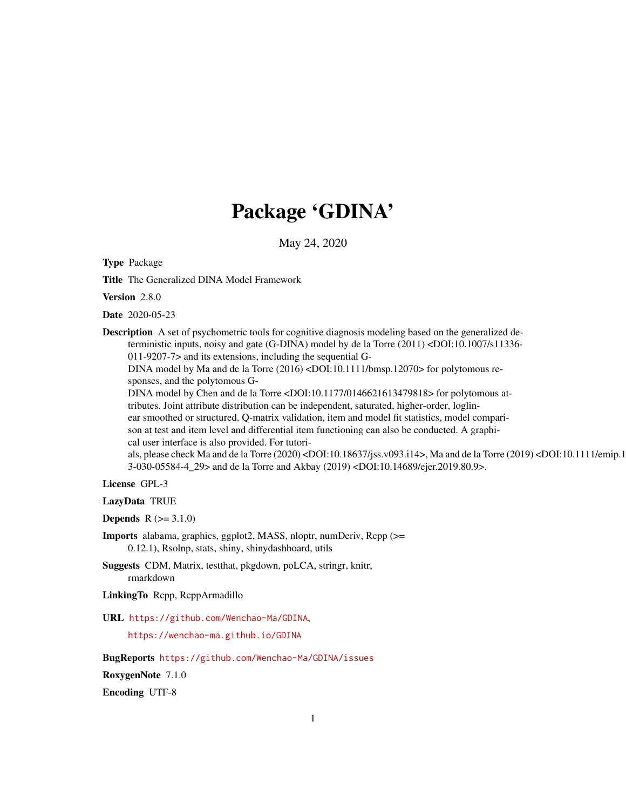# Package 'GDINA'

May 24, 2020

<span id="page-0-0"></span>Type Package

Title The Generalized DINA Model Framework

Version 2.8.0

Date 2020-05-23

Description A set of psychometric tools for cognitive diagnosis modeling based on the generalized deterministic inputs, noisy and gate (G-DINA) model by de la Torre (2011) <DOI:10.1007/s11336- 011-9207-7> and its extensions, including the sequential G-DINA model by Ma and de la Torre (2016) <DOI:10.1111/bmsp.12070> for polytomous re-

sponses, and the polytomous G-

DINA model by Chen and de la Torre <DOI:10.1177/0146621613479818> for polytomous at-

tributes. Joint attribute distribution can be independent, saturated, higher-order, loglin-

ear smoothed or structured. Q-matrix validation, item and model fit statistics, model compari-

son at test and item level and differential item functioning can also be conducted. A graphical user interface is also provided. For tutori-

als, please check Ma and de la Torre (2020) <DOI:10.18637/jss.v093.i14>, Ma and de la Torre (2019) <DOI:10.1111/emip.1 3-030-05584-4\_29> and de la Torre and Akbay (2019) <DOI:10.14689/ejer.2019.80.9>.

License GPL-3

LazyData TRUE

**Depends**  $R (= 3.1.0)$ 

Imports alabama, graphics, ggplot2, MASS, nloptr, numDeriv, Rcpp (>= 0.12.1), Rsolnp, stats, shiny, shinydashboard, utils

Suggests CDM, Matrix, testthat, pkgdown, poLCA, stringr, knitr, rmarkdown

LinkingTo Rcpp, RcppArmadillo

URL <https://github.com/Wenchao-Ma/GDINA>,

<https://wenchao-ma.github.io/GDINA>

BugReports <https://github.com/Wenchao-Ma/GDINA/issues>

RoxygenNote 7.1.0

Encoding UTF-8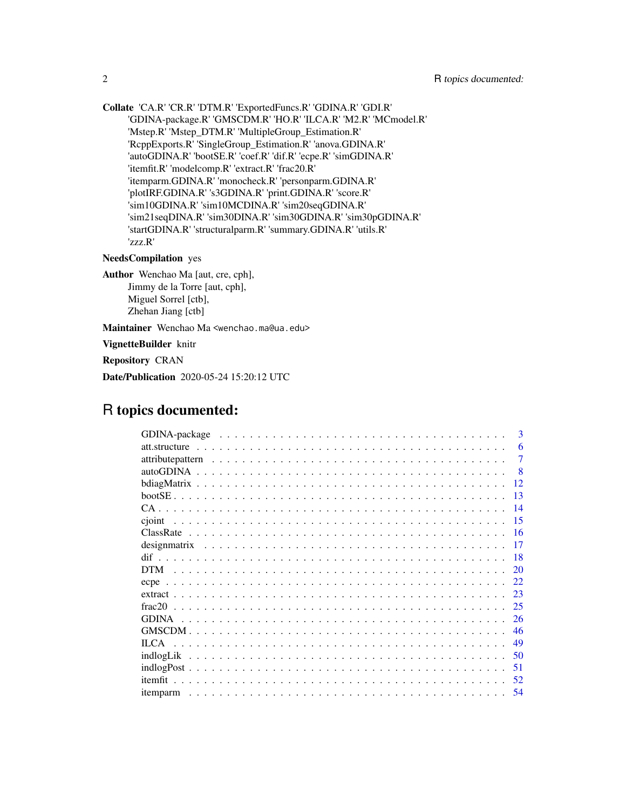Collate 'CA.R' 'CR.R' 'DTM.R' 'ExportedFuncs.R' 'GDINA.R' 'GDI.R' 'GDINA-package.R' 'GMSCDM.R' 'HO.R' 'ILCA.R' 'M2.R' 'MCmodel.R' 'Mstep.R' 'Mstep\_DTM.R' 'MultipleGroup\_Estimation.R' 'RcppExports.R' 'SingleGroup\_Estimation.R' 'anova.GDINA.R' 'autoGDINA.R' 'bootSE.R' 'coef.R' 'dif.R' 'ecpe.R' 'simGDINA.R' 'itemfit.R' 'modelcomp.R' 'extract.R' 'frac20.R' 'itemparm.GDINA.R' 'monocheck.R' 'personparm.GDINA.R' 'plotIRF.GDINA.R' 's3GDINA.R' 'print.GDINA.R' 'score.R' 'sim10GDINA.R' 'sim10MCDINA.R' 'sim20seqGDINA.R' 'sim21seqDINA.R' 'sim30DINA.R' 'sim30GDINA.R' 'sim30pGDINA.R' 'startGDINA.R' 'structuralparm.R' 'summary.GDINA.R' 'utils.R' 'zzz.R'

## NeedsCompilation yes

Author Wenchao Ma [aut, cre, cph], Jimmy de la Torre [aut, cph], Miguel Sorrel [ctb], Zhehan Jiang [ctb]

Maintainer Wenchao Ma <wenchao.ma@ua.edu>

VignetteBuilder knitr

Repository CRAN

Date/Publication 2020-05-24 15:20:12 UTC

## R topics documented:

| $\mathbf{B}$       |
|--------------------|
| 6<br>att.structure |
| 7                  |
| -8                 |
| 12                 |
| 13                 |
| 14                 |
| -15                |
| 16                 |
| 17                 |
| 18                 |
| <b>DTM</b><br>20   |
| 22                 |
| 23                 |
| frac20<br>25       |
| 26                 |
| 46                 |
| <b>ILCA</b><br>49  |
| 50                 |
| 51                 |
| 52                 |
| 54                 |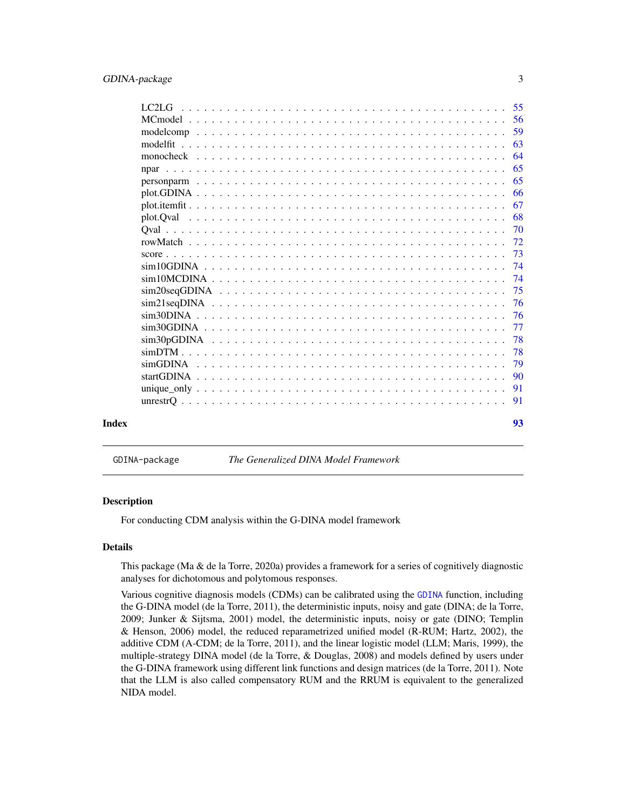<span id="page-2-0"></span>

|       | LC <sub>2</sub> L <sub>G</sub> | -55 |
|-------|--------------------------------|-----|
|       |                                | -56 |
|       |                                | 59  |
|       |                                | 63  |
|       |                                | 64  |
|       |                                | 65  |
|       |                                | 65  |
|       |                                | 66  |
|       |                                | 67  |
|       |                                | 68  |
|       |                                | 70  |
|       |                                | 72  |
|       |                                | 73  |
|       |                                | 74  |
|       |                                | 74  |
|       |                                | 75  |
|       |                                | 76  |
|       |                                | 76  |
|       |                                | 77  |
|       |                                | 78  |
|       |                                | 78  |
|       |                                | 79  |
|       |                                | 90  |
|       |                                | 91  |
|       |                                |     |
|       |                                |     |
| Index |                                | 93  |

GDINA-package *The Generalized DINA Model Framework*

#### Description

For conducting CDM analysis within the G-DINA model framework

## Details

This package (Ma & de la Torre, 2020a) provides a framework for a series of cognitively diagnostic analyses for dichotomous and polytomous responses.

Various cognitive diagnosis models (CDMs) can be calibrated using the [GDINA](#page-25-1) function, including the G-DINA model (de la Torre, 2011), the deterministic inputs, noisy and gate (DINA; de la Torre, 2009; Junker & Sijtsma, 2001) model, the deterministic inputs, noisy or gate (DINO; Templin & Henson, 2006) model, the reduced reparametrized unified model (R-RUM; Hartz, 2002), the additive CDM (A-CDM; de la Torre, 2011), and the linear logistic model (LLM; Maris, 1999), the multiple-strategy DINA model (de la Torre, & Douglas, 2008) and models defined by users under the G-DINA framework using different link functions and design matrices (de la Torre, 2011). Note that the LLM is also called compensatory RUM and the RRUM is equivalent to the generalized NIDA model.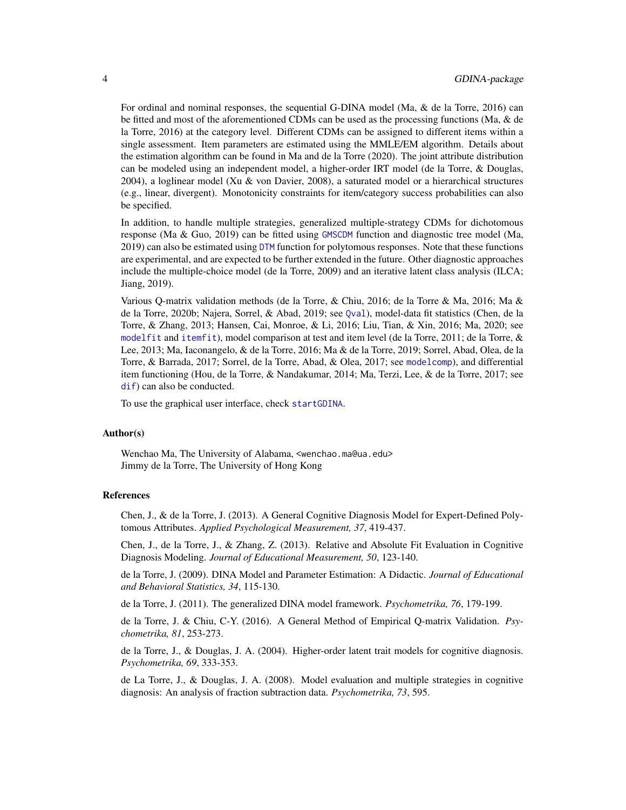For ordinal and nominal responses, the sequential G-DINA model (Ma, & de la Torre, 2016) can be fitted and most of the aforementioned CDMs can be used as the processing functions (Ma, & de la Torre, 2016) at the category level. Different CDMs can be assigned to different items within a single assessment. Item parameters are estimated using the MMLE/EM algorithm. Details about the estimation algorithm can be found in Ma and de la Torre (2020). The joint attribute distribution can be modeled using an independent model, a higher-order IRT model (de la Torre, & Douglas, 2004), a loglinear model (Xu & von Davier, 2008), a saturated model or a hierarchical structures (e.g., linear, divergent). Monotonicity constraints for item/category success probabilities can also be specified.

In addition, to handle multiple strategies, generalized multiple-strategy CDMs for dichotomous response (Ma & Guo, 2019) can be fitted using [GMSCDM](#page-45-1) function and diagnostic tree model (Ma, 2019) can also be estimated using [DTM](#page-19-1) function for polytomous responses. Note that these functions are experimental, and are expected to be further extended in the future. Other diagnostic approaches include the multiple-choice model (de la Torre, 2009) and an iterative latent class analysis (ILCA; Jiang, 2019).

Various Q-matrix validation methods (de la Torre, & Chiu, 2016; de la Torre & Ma, 2016; Ma & de la Torre, 2020b; Najera, Sorrel, & Abad, 2019; see [Qval](#page-69-1)), model-data fit statistics (Chen, de la Torre, & Zhang, 2013; Hansen, Cai, Monroe, & Li, 2016; Liu, Tian, & Xin, 2016; Ma, 2020; see [modelfit](#page-62-1) and [itemfit](#page-51-1)), model comparison at test and item level (de la Torre, 2011; de la Torre, & Lee, 2013; Ma, Iaconangelo, & de la Torre, 2016; Ma & de la Torre, 2019; Sorrel, Abad, Olea, de la Torre, & Barrada, 2017; Sorrel, de la Torre, Abad, & Olea, 2017; see [modelcomp](#page-58-1)), and differential item functioning (Hou, de la Torre, & Nandakumar, 2014; Ma, Terzi, Lee, & de la Torre, 2017; see [dif](#page-17-1)) can also be conducted.

To use the graphical user interface, check [startGDINA](#page-89-1).

#### Author(s)

Wenchao Ma, The University of Alabama, <wenchao.ma@ua.edu> Jimmy de la Torre, The University of Hong Kong

## References

Chen, J., & de la Torre, J. (2013). A General Cognitive Diagnosis Model for Expert-Defined Polytomous Attributes. *Applied Psychological Measurement, 37*, 419-437.

Chen, J., de la Torre, J., & Zhang, Z. (2013). Relative and Absolute Fit Evaluation in Cognitive Diagnosis Modeling. *Journal of Educational Measurement, 50*, 123-140.

de la Torre, J. (2009). DINA Model and Parameter Estimation: A Didactic. *Journal of Educational and Behavioral Statistics, 34*, 115-130.

de la Torre, J. (2011). The generalized DINA model framework. *Psychometrika, 76*, 179-199.

de la Torre, J. & Chiu, C-Y. (2016). A General Method of Empirical Q-matrix Validation. *Psychometrika, 81*, 253-273.

de la Torre, J., & Douglas, J. A. (2004). Higher-order latent trait models for cognitive diagnosis. *Psychometrika, 69*, 333-353.

de La Torre, J., & Douglas, J. A. (2008). Model evaluation and multiple strategies in cognitive diagnosis: An analysis of fraction subtraction data. *Psychometrika, 73*, 595.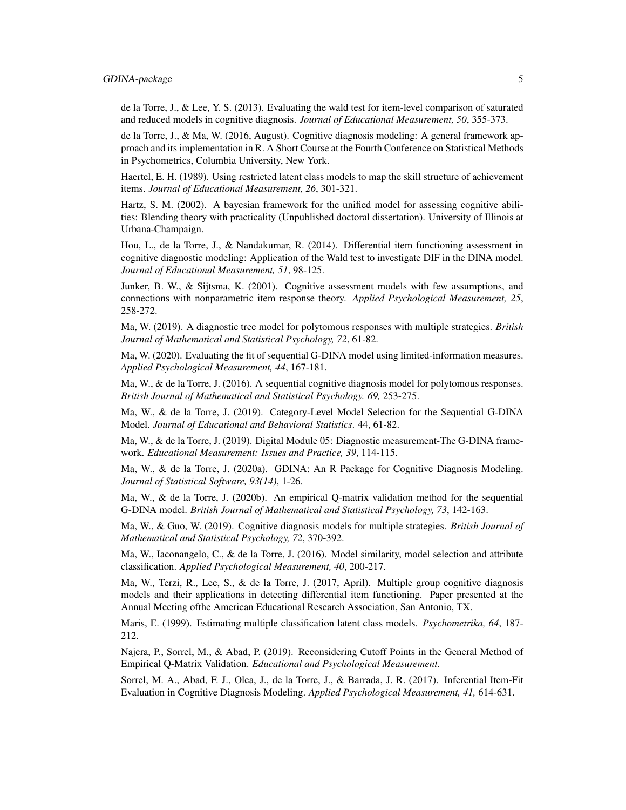## GDINA-package 5

de la Torre, J., & Lee, Y. S. (2013). Evaluating the wald test for item-level comparison of saturated and reduced models in cognitive diagnosis. *Journal of Educational Measurement, 50*, 355-373.

de la Torre, J., & Ma, W. (2016, August). Cognitive diagnosis modeling: A general framework approach and its implementation in R. A Short Course at the Fourth Conference on Statistical Methods in Psychometrics, Columbia University, New York.

Haertel, E. H. (1989). Using restricted latent class models to map the skill structure of achievement items. *Journal of Educational Measurement, 26*, 301-321.

Hartz, S. M. (2002). A bayesian framework for the unified model for assessing cognitive abilities: Blending theory with practicality (Unpublished doctoral dissertation). University of Illinois at Urbana-Champaign.

Hou, L., de la Torre, J., & Nandakumar, R. (2014). Differential item functioning assessment in cognitive diagnostic modeling: Application of the Wald test to investigate DIF in the DINA model. *Journal of Educational Measurement, 51*, 98-125.

Junker, B. W., & Sijtsma, K. (2001). Cognitive assessment models with few assumptions, and connections with nonparametric item response theory. *Applied Psychological Measurement, 25*, 258-272.

Ma, W. (2019). A diagnostic tree model for polytomous responses with multiple strategies. *British Journal of Mathematical and Statistical Psychology, 72*, 61-82.

Ma, W. (2020). Evaluating the fit of sequential G-DINA model using limited-information measures. *Applied Psychological Measurement, 44*, 167-181.

Ma, W., & de la Torre, J. (2016). A sequential cognitive diagnosis model for polytomous responses. *British Journal of Mathematical and Statistical Psychology. 69,* 253-275.

Ma, W., & de la Torre, J. (2019). Category-Level Model Selection for the Sequential G-DINA Model. *Journal of Educational and Behavioral Statistics*. 44, 61-82.

Ma, W., & de la Torre, J. (2019). Digital Module 05: Diagnostic measurement-The G-DINA framework. *Educational Measurement: Issues and Practice, 39*, 114-115.

Ma, W., & de la Torre, J. (2020a). GDINA: An R Package for Cognitive Diagnosis Modeling. *Journal of Statistical Software, 93(14)*, 1-26.

Ma, W., & de la Torre, J. (2020b). An empirical Q-matrix validation method for the sequential G-DINA model. *British Journal of Mathematical and Statistical Psychology, 73*, 142-163.

Ma, W., & Guo, W. (2019). Cognitive diagnosis models for multiple strategies. *British Journal of Mathematical and Statistical Psychology, 72*, 370-392.

Ma, W., Iaconangelo, C., & de la Torre, J. (2016). Model similarity, model selection and attribute classification. *Applied Psychological Measurement, 40*, 200-217.

Ma, W., Terzi, R., Lee, S., & de la Torre, J. (2017, April). Multiple group cognitive diagnosis models and their applications in detecting differential item functioning. Paper presented at the Annual Meeting ofthe American Educational Research Association, San Antonio, TX.

Maris, E. (1999). Estimating multiple classification latent class models. *Psychometrika, 64*, 187- 212.

Najera, P., Sorrel, M., & Abad, P. (2019). Reconsidering Cutoff Points in the General Method of Empirical Q-Matrix Validation. *Educational and Psychological Measurement*.

Sorrel, M. A., Abad, F. J., Olea, J., de la Torre, J., & Barrada, J. R. (2017). Inferential Item-Fit Evaluation in Cognitive Diagnosis Modeling. *Applied Psychological Measurement, 41,* 614-631.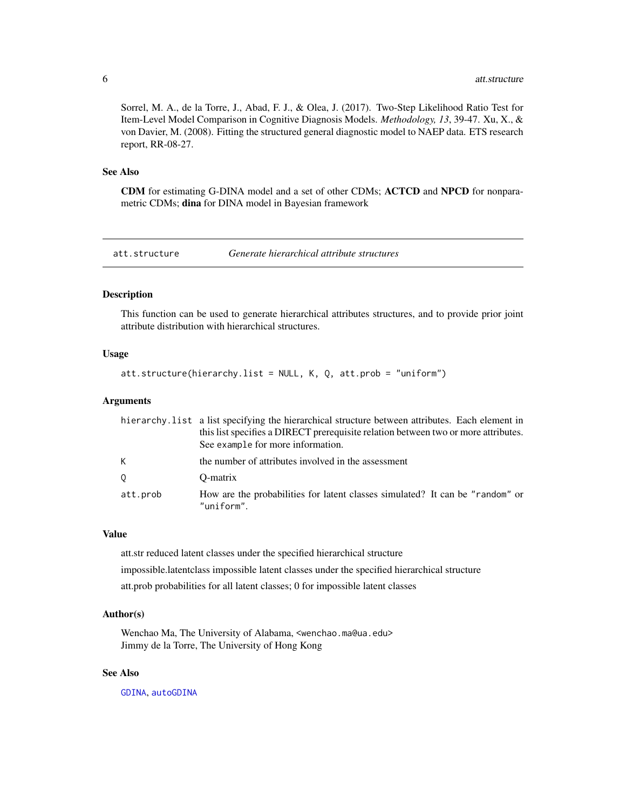<span id="page-5-0"></span>Sorrel, M. A., de la Torre, J., Abad, F. J., & Olea, J. (2017). Two-Step Likelihood Ratio Test for Item-Level Model Comparison in Cognitive Diagnosis Models. *Methodology, 13*, 39-47. Xu, X., & von Davier, M. (2008). Fitting the structured general diagnostic model to NAEP data. ETS research report, RR-08-27.

## See Also

CDM for estimating G-DINA model and a set of other CDMs; ACTCD and NPCD for nonparametric CDMs; dina for DINA model in Bayesian framework

att.structure *Generate hierarchical attribute structures*

#### Description

This function can be used to generate hierarchical attributes structures, and to provide prior joint attribute distribution with hierarchical structures.

## Usage

att.structure(hierarchy.list = NULL, K, Q, att.prob = "uniform")

#### Arguments

|          | hierarchy. list a list specifying the hierarchical structure between attributes. Each element in |
|----------|--------------------------------------------------------------------------------------------------|
|          | this list specifies a DIRECT prerequisite relation between two or more attributes.               |
|          | See example for more information.                                                                |
| K.       | the number of attributes involved in the assessment                                              |
| 0        | O-matrix                                                                                         |
| att.prob | How are the probabilities for latent classes simulated? It can be "random" or<br>"uniform".      |

#### Value

att.str reduced latent classes under the specified hierarchical structure impossible.latentclass impossible latent classes under the specified hierarchical structure att.prob probabilities for all latent classes; 0 for impossible latent classes

## Author(s)

Wenchao Ma, The University of Alabama, <wenchao.ma@ua.edu> Jimmy de la Torre, The University of Hong Kong

## See Also

[GDINA](#page-25-1), [autoGDINA](#page-7-1)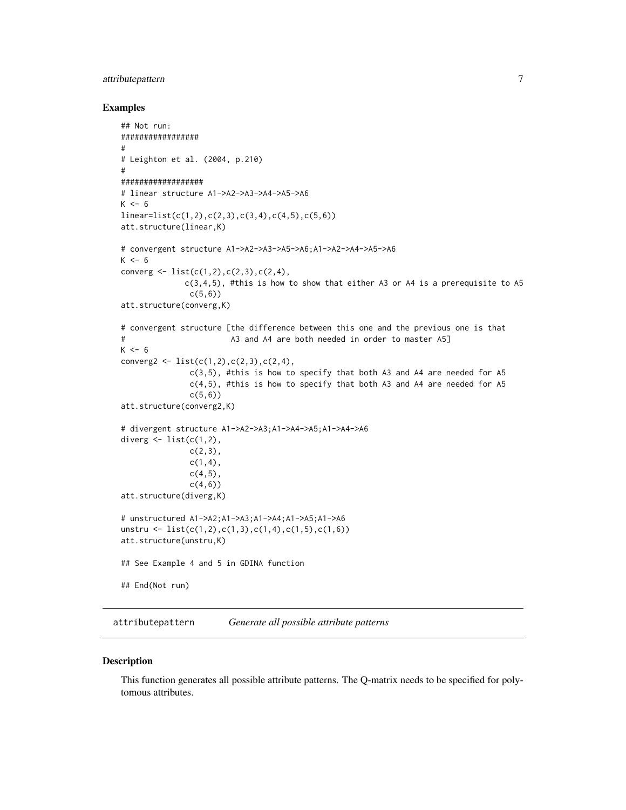## <span id="page-6-0"></span>attributepattern 7

#### Examples

```
## Not run:
#################
#
# Leighton et al. (2004, p.210)
#
##################
# linear structure A1->A2->A3->A4->A5->A6
K < -6linear=list(c(1,2),c(2,3),c(3,4),c(4,5),c(5,6))
att.structure(linear,K)
# convergent structure A1->A2->A3->A5->A6;A1->A2->A4->A5->A6
K < -6converg \leq 1 ist(c(1,2),c(2,3),c(2,4),
             c(3,4,5), #this is how to show that either A3 or A4 is a prerequisite to A5
               c(5,6)att.structure(converg,K)
# convergent structure [the difference between this one and the previous one is that
# A3 and A4 are both needed in order to master A5]
K < -6converg2 <- list(c(1,2),c(2,3),c(2,4),
               c(3,5), #this is how to specify that both A3 and A4 are needed for A5
               c(4,5), #this is how to specify that both A3 and A4 are needed for A5
               c(5,6))
att.structure(converg2,K)
# divergent structure A1->A2->A3;A1->A4->A5;A1->A4->A6
diverg \leq list(c(1,2),
               c(2,3),
               c(1,4),
               c(4,5),
               c(4,6))
att.structure(diverg,K)
# unstructured A1->A2;A1->A3;A1->A4;A1->A5;A1->A6
unstru <- list(c(1,2),c(1,3),c(1,4),c(1,5),c(1,6))
att.structure(unstru,K)
## See Example 4 and 5 in GDINA function
## End(Not run)
```
attributepattern *Generate all possible attribute patterns*

#### Description

This function generates all possible attribute patterns. The Q-matrix needs to be specified for polytomous attributes.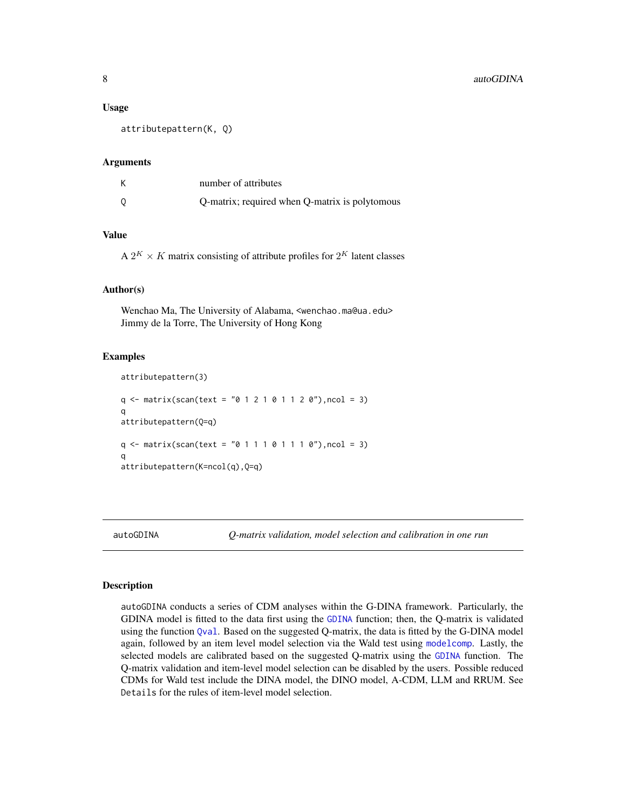#### <span id="page-7-0"></span>Usage

attributepattern(K, Q)

## Arguments

| К | number of attributes                           |
|---|------------------------------------------------|
| 0 | Q-matrix; required when Q-matrix is polytomous |

## Value

A  $2^K \times K$  matrix consisting of attribute profiles for  $2^K$  latent classes

## Author(s)

Wenchao Ma, The University of Alabama, <wenchao.ma@ua.edu> Jimmy de la Torre, The University of Hong Kong

#### Examples

```
attributepattern(3)
q \leq - matrix(scan(text = "0 1 2 1 0 1 1 2 0"), ncol = 3)
q
attributepattern(Q=q)
q \leq - matrix(scan(text = "0 1 1 1 0 1 1 1 0"), ncol = 3)
q
attributepattern(K=ncol(q),Q=q)
```
<span id="page-7-1"></span>

autoGDINA *Q-matrix validation, model selection and calibration in one run*

#### Description

autoGDINA conducts a series of CDM analyses within the G-DINA framework. Particularly, the GDINA model is fitted to the data first using the [GDINA](#page-25-1) function; then, the Q-matrix is validated using the function [Qval](#page-69-1). Based on the suggested Q-matrix, the data is fitted by the G-DINA model again, followed by an item level model selection via the Wald test using [modelcomp](#page-58-1). Lastly, the selected models are calibrated based on the suggested Q-matrix using the [GDINA](#page-25-1) function. The Q-matrix validation and item-level model selection can be disabled by the users. Possible reduced CDMs for Wald test include the DINA model, the DINO model, A-CDM, LLM and RRUM. See Details for the rules of item-level model selection.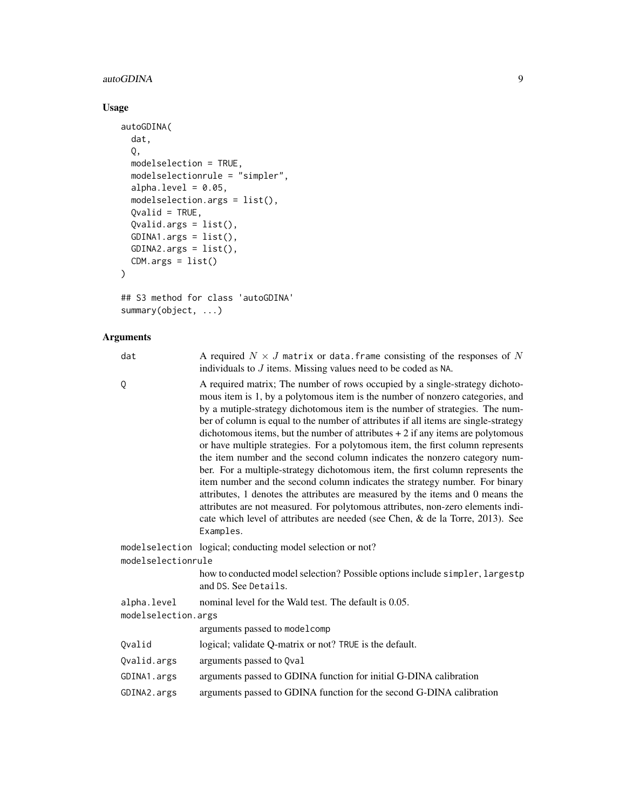## autoGDINA 9

## Usage

```
autoGDINA(
 dat,
  Q,
 modelselection = TRUE,
 modelselectionrule = "simpler",
 alpha.level = 0.05,
 modelselection.args = list(),
 Qualid = TRUE,Qvalid.args = list(),
 GDINA1.args = list(),GDINA2.args = list(),
 CDM.args = list()\mathcal{L}
```

```
## S3 method for class 'autoGDINA'
summary(object, ...)
```
## Arguments

| dat                 | A required $N \times J$ matrix or data. frame consisting of the responses of N<br>individuals to $J$ items. Missing values need to be coded as NA.                                                                                                                                                                                                                                                                                                                                                                                                                                                                                                                                                                                                                                                                                                                                                                                                                                                                            |  |
|---------------------|-------------------------------------------------------------------------------------------------------------------------------------------------------------------------------------------------------------------------------------------------------------------------------------------------------------------------------------------------------------------------------------------------------------------------------------------------------------------------------------------------------------------------------------------------------------------------------------------------------------------------------------------------------------------------------------------------------------------------------------------------------------------------------------------------------------------------------------------------------------------------------------------------------------------------------------------------------------------------------------------------------------------------------|--|
| Q                   | A required matrix; The number of rows occupied by a single-strategy dichoto-<br>mous item is 1, by a polytomous item is the number of nonzero categories, and<br>by a mutiple-strategy dichotomous item is the number of strategies. The num-<br>ber of column is equal to the number of attributes if all items are single-strategy<br>dichotomous items, but the number of attributes $+2$ if any items are polytomous<br>or have multiple strategies. For a polytomous item, the first column represents<br>the item number and the second column indicates the nonzero category num-<br>ber. For a multiple-strategy dichotomous item, the first column represents the<br>item number and the second column indicates the strategy number. For binary<br>attributes, 1 denotes the attributes are measured by the items and 0 means the<br>attributes are not measured. For polytomous attributes, non-zero elements indi-<br>cate which level of attributes are needed (see Chen, & de la Torre, 2013). See<br>Examples. |  |
|                     | modelselection logical; conducting model selection or not?                                                                                                                                                                                                                                                                                                                                                                                                                                                                                                                                                                                                                                                                                                                                                                                                                                                                                                                                                                    |  |
| modelselectionrule  |                                                                                                                                                                                                                                                                                                                                                                                                                                                                                                                                                                                                                                                                                                                                                                                                                                                                                                                                                                                                                               |  |
|                     | how to conducted model selection? Possible options include simpler, largestp<br>and DS. See Details.                                                                                                                                                                                                                                                                                                                                                                                                                                                                                                                                                                                                                                                                                                                                                                                                                                                                                                                          |  |
| alpha.level         | nominal level for the Wald test. The default is 0.05.                                                                                                                                                                                                                                                                                                                                                                                                                                                                                                                                                                                                                                                                                                                                                                                                                                                                                                                                                                         |  |
| modelselection.args |                                                                                                                                                                                                                                                                                                                                                                                                                                                                                                                                                                                                                                                                                                                                                                                                                                                                                                                                                                                                                               |  |
|                     | arguments passed to model comp                                                                                                                                                                                                                                                                                                                                                                                                                                                                                                                                                                                                                                                                                                                                                                                                                                                                                                                                                                                                |  |
| Qvalid              | logical; validate Q-matrix or not? TRUE is the default.                                                                                                                                                                                                                                                                                                                                                                                                                                                                                                                                                                                                                                                                                                                                                                                                                                                                                                                                                                       |  |
| Qvalid.args         | arguments passed to Qval                                                                                                                                                                                                                                                                                                                                                                                                                                                                                                                                                                                                                                                                                                                                                                                                                                                                                                                                                                                                      |  |
| GDINA1.args         | arguments passed to GDINA function for initial G-DINA calibration                                                                                                                                                                                                                                                                                                                                                                                                                                                                                                                                                                                                                                                                                                                                                                                                                                                                                                                                                             |  |
| GDINA2.args         | arguments passed to GDINA function for the second G-DINA calibration                                                                                                                                                                                                                                                                                                                                                                                                                                                                                                                                                                                                                                                                                                                                                                                                                                                                                                                                                          |  |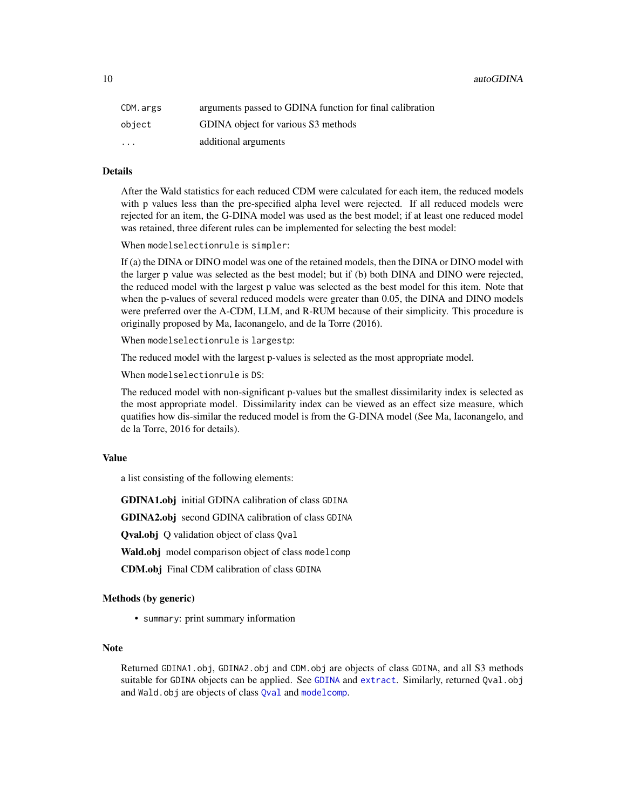| CDM.args | arguments passed to GDINA function for final calibration |
|----------|----------------------------------------------------------|
| object   | GDINA object for various S3 methods                      |
| $\cdots$ | additional arguments                                     |

#### Details

After the Wald statistics for each reduced CDM were calculated for each item, the reduced models with p values less than the pre-specified alpha level were rejected. If all reduced models were rejected for an item, the G-DINA model was used as the best model; if at least one reduced model was retained, three diferent rules can be implemented for selecting the best model:

When modelselectionrule is simpler:

If (a) the DINA or DINO model was one of the retained models, then the DINA or DINO model with the larger p value was selected as the best model; but if (b) both DINA and DINO were rejected, the reduced model with the largest p value was selected as the best model for this item. Note that when the p-values of several reduced models were greater than 0.05, the DINA and DINO models were preferred over the A-CDM, LLM, and R-RUM because of their simplicity. This procedure is originally proposed by Ma, Iaconangelo, and de la Torre (2016).

When modelselectionrule is largestp:

The reduced model with the largest p-values is selected as the most appropriate model.

When modelselectionrule is DS:

The reduced model with non-significant p-values but the smallest dissimilarity index is selected as the most appropriate model. Dissimilarity index can be viewed as an effect size measure, which quatifies how dis-similar the reduced model is from the G-DINA model (See Ma, Iaconangelo, and de la Torre, 2016 for details).

## Value

a list consisting of the following elements:

GDINA1.obj initial GDINA calibration of class GDINA

GDINA2.obj second GDINA calibration of class GDINA

Qval.obj Q validation object of class Qval

Wald.obj model comparison object of class model comp

CDM.obj Final CDM calibration of class GDINA

## Methods (by generic)

• summary: print summary information

## Note

Returned GDINA1.obj, GDINA2.obj and CDM.obj are objects of class GDINA, and all S3 methods suitable for [GDINA](#page-25-1) objects can be applied. See GDINA and [extract](#page-22-1). Similarly, returned Qval.obj and Wald.obj are objects of class [Qval](#page-69-1) and [modelcomp](#page-58-1).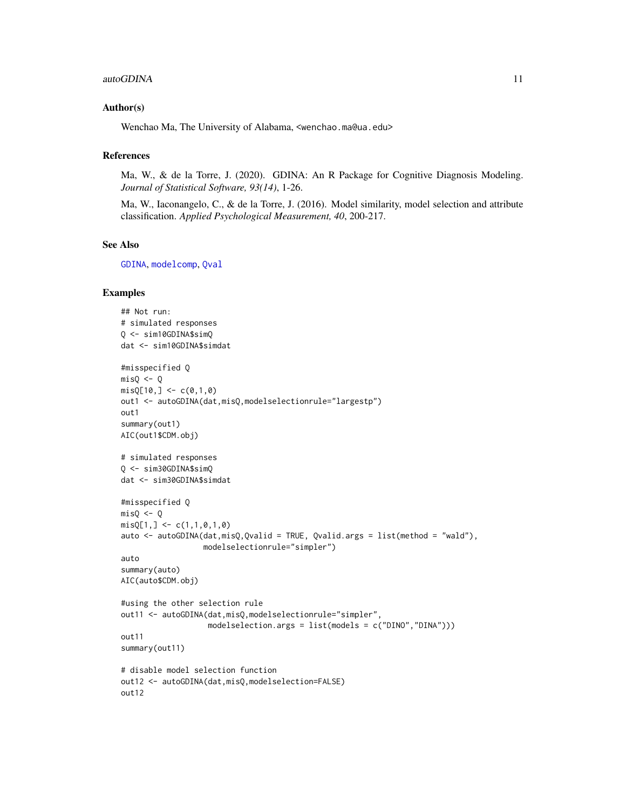#### autoGDINA 11

## Author(s)

Wenchao Ma, The University of Alabama, <wenchao.ma@ua.edu>

## References

Ma, W., & de la Torre, J. (2020). GDINA: An R Package for Cognitive Diagnosis Modeling. *Journal of Statistical Software, 93(14)*, 1-26.

Ma, W., Iaconangelo, C., & de la Torre, J. (2016). Model similarity, model selection and attribute classification. *Applied Psychological Measurement, 40*, 200-217.

## See Also

[GDINA](#page-25-1), [modelcomp](#page-58-1), [Qval](#page-69-1)

```
## Not run:
# simulated responses
Q <- sim10GDINA$simQ
dat <- sim10GDINA$simdat
#misspecified Q
misQ \leftarrow QmisQ[10, ] \leq c(0,1,0)out1 <- autoGDINA(dat,misQ,modelselectionrule="largestp")
out1
summary(out1)
AIC(out1$CDM.obj)
# simulated responses
Q <- sim30GDINA$simQ
dat <- sim30GDINA$simdat
#misspecified Q
mis0 < -0misQ[1, ] \leftarrow c(1,1,0,1,0)auto <- autoGDINA(dat, misQ, Qvalid = TRUE, Qvalid.args = list(method = "wald"),
                  modelselectionrule="simpler")
auto
summary(auto)
AIC(auto$CDM.obj)
#using the other selection rule
out11 <- autoGDINA(dat,misQ,modelselectionrule="simpler",
                   modelselection.args = list(models = c("DINO","DINA")))
out11
summary(out11)
# disable model selection function
out12 <- autoGDINA(dat,misQ,modelselection=FALSE)
out12
```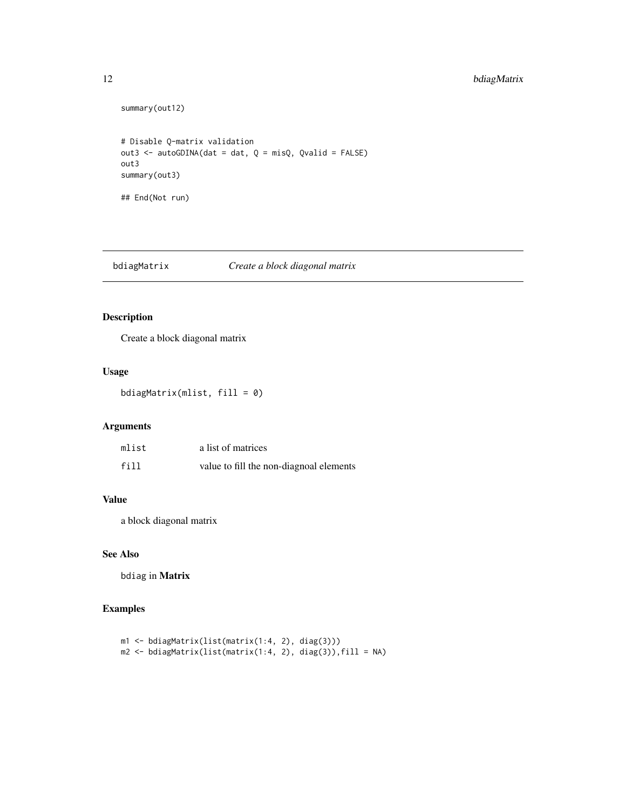## <span id="page-11-0"></span>12 bdiagMatrix

```
summary(out12)
# Disable Q-matrix validation
out3 <- autoGDINA(dat = dat, Q = misQ, Qvalid = FALSE)
out3
summary(out3)
## End(Not run)
```
bdiagMatrix *Create a block diagonal matrix*

## Description

Create a block diagonal matrix

## Usage

bdiagMatrix(mlist, fill = 0)

#### Arguments

| mlist | a list of matrices                      |
|-------|-----------------------------------------|
| fill  | value to fill the non-diagnoal elements |

## Value

a block diagonal matrix

## See Also

bdiag in Matrix

```
m1 <- bdiagMatrix(list(matrix(1:4, 2), diag(3)))
m2 <- bdiagMatrix(list(matrix(1:4, 2), diag(3)),fill = NA)
```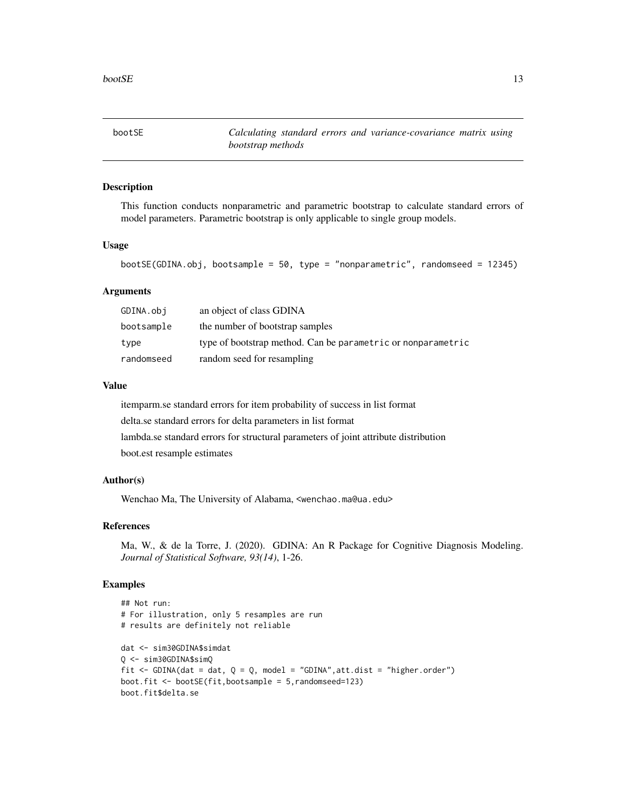<span id="page-12-0"></span>bootSE *Calculating standard errors and variance-covariance matrix using bootstrap methods*

## Description

This function conducts nonparametric and parametric bootstrap to calculate standard errors of model parameters. Parametric bootstrap is only applicable to single group models.

### Usage

```
bootSE(GDINA.obj, bootsample = 50, type = "nonparametric", randomseed = 12345)
```
## Arguments

| GDINA.obj  | an object of class GDINA                                     |
|------------|--------------------------------------------------------------|
| bootsample | the number of bootstrap samples                              |
| type       | type of bootstrap method. Can be parametric or nonparametric |
| randomseed | random seed for resampling                                   |

#### Value

itemparm.se standard errors for item probability of success in list format delta.se standard errors for delta parameters in list format lambda.se standard errors for structural parameters of joint attribute distribution boot.est resample estimates

#### Author(s)

Wenchao Ma, The University of Alabama, <wenchao.ma@ua.edu>

#### References

Ma, W., & de la Torre, J. (2020). GDINA: An R Package for Cognitive Diagnosis Modeling. *Journal of Statistical Software, 93(14)*, 1-26.

```
## Not run:
# For illustration, only 5 resamples are run
# results are definitely not reliable
dat <- sim30GDINA$simdat
Q <- sim30GDINA$simQ
fit <- GDINA(dat = dat, Q = Q, model = "GDINA", att.dist = "higher.order")
boot.fit <- bootSE(fit,bootsample = 5,randomseed=123)
boot.fit$delta.se
```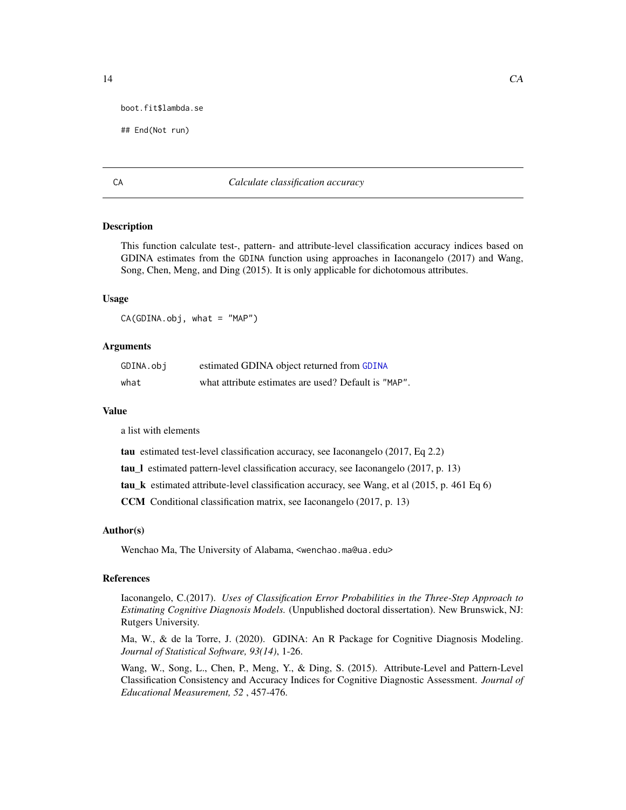```
boot.fit$lambda.se
```

```
## End(Not run)
```
## CA *Calculate classification accuracy*

## **Description**

This function calculate test-, pattern- and attribute-level classification accuracy indices based on GDINA estimates from the GDINA function using approaches in Iaconangelo (2017) and Wang, Song, Chen, Meng, and Ding (2015). It is only applicable for dichotomous attributes.

## Usage

 $CA(GDINA.obj, what = "MAP")$ 

## Arguments

| GDINA.obj | estimated GDINA object returned from GDINA           |
|-----------|------------------------------------------------------|
| what      | what attribute estimates are used? Default is "MAP". |

## Value

a list with elements

tau estimated test-level classification accuracy, see Iaconangelo (2017, Eq 2.2)

tau\_l estimated pattern-level classification accuracy, see Iaconangelo (2017, p. 13)

tau\_k estimated attribute-level classification accuracy, see Wang, et al (2015, p. 461 Eq 6)

CCM Conditional classification matrix, see Iaconangelo (2017, p. 13)

### Author(s)

Wenchao Ma, The University of Alabama, <wenchao.ma@ua.edu>

#### References

Iaconangelo, C.(2017). *Uses of Classification Error Probabilities in the Three-Step Approach to Estimating Cognitive Diagnosis Models.* (Unpublished doctoral dissertation). New Brunswick, NJ: Rutgers University.

Ma, W., & de la Torre, J. (2020). GDINA: An R Package for Cognitive Diagnosis Modeling. *Journal of Statistical Software, 93(14)*, 1-26.

Wang, W., Song, L., Chen, P., Meng, Y., & Ding, S. (2015). Attribute-Level and Pattern-Level Classification Consistency and Accuracy Indices for Cognitive Diagnostic Assessment. *Journal of Educational Measurement, 52* , 457-476.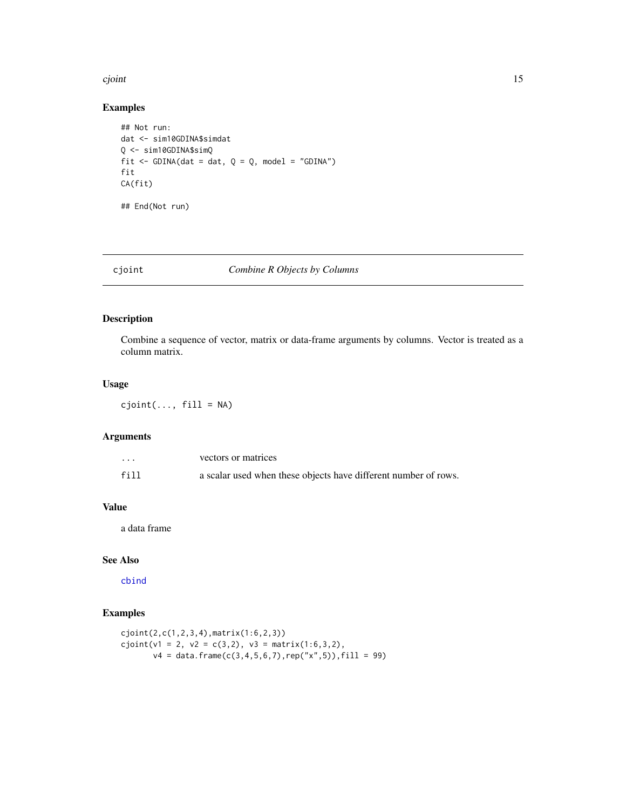#### <span id="page-14-0"></span>cjoint 15

## Examples

```
## Not run:
dat <- sim10GDINA$simdat
Q <- sim10GDINA$simQ
fit \le GDINA(dat = dat, Q = Q, model = "GDINA")
fit
CA(fit)
## End(Not run)
```
## cjoint *Combine R Objects by Columns*

## Description

Combine a sequence of vector, matrix or data-frame arguments by columns. Vector is treated as a column matrix.

## Usage

 $cjoint(\ldots, fill = NA)$ 

#### Arguments

| $\cdots$ | vectors or matrices                                             |
|----------|-----------------------------------------------------------------|
| fill     | a scalar used when these objects have different number of rows. |

## Value

a data frame

## See Also

[cbind](#page-0-0)

```
cjoint(2,c(1,2,3,4),matrix(1:6,2,3))
cjoint(v1 = 2, v2 = c(3,2), v3 = matrix(1:6,3,2),v4 = data. frame(c(3,4,5,6,7),rep("x",5)),fill = 99)
```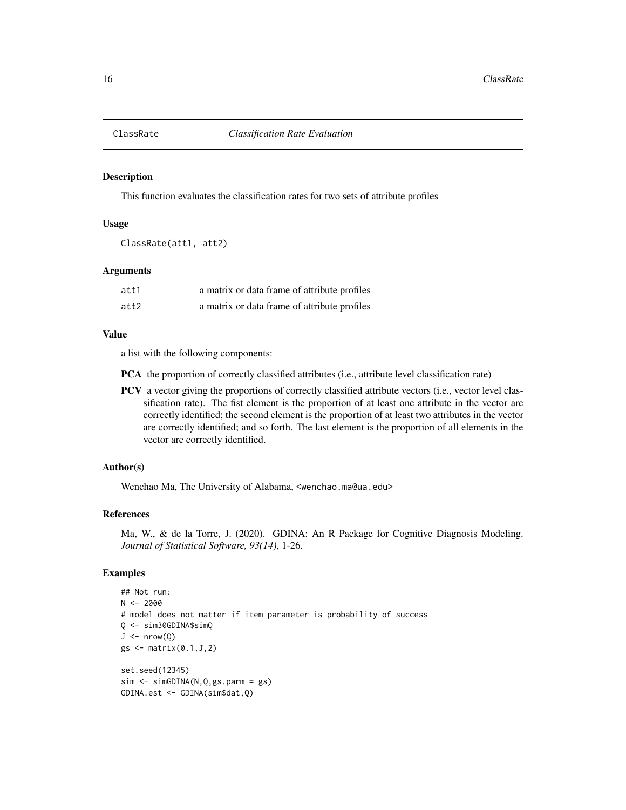<span id="page-15-0"></span>

#### Description

This function evaluates the classification rates for two sets of attribute profiles

## Usage

ClassRate(att1, att2)

## Arguments

| att1 | a matrix or data frame of attribute profiles |
|------|----------------------------------------------|
| att2 | a matrix or data frame of attribute profiles |

## Value

a list with the following components:

PCA the proportion of correctly classified attributes (i.e., attribute level classification rate)

PCV a vector giving the proportions of correctly classified attribute vectors (i.e., vector level classification rate). The fist element is the proportion of at least one attribute in the vector are correctly identified; the second element is the proportion of at least two attributes in the vector are correctly identified; and so forth. The last element is the proportion of all elements in the vector are correctly identified.

## Author(s)

Wenchao Ma, The University of Alabama, <wenchao.ma@ua.edu>

## References

Ma, W., & de la Torre, J. (2020). GDINA: An R Package for Cognitive Diagnosis Modeling. *Journal of Statistical Software, 93(14)*, 1-26.

```
## Not run:
N < -2000# model does not matter if item parameter is probability of success
Q <- sim30GDINA$simQ
J \leftarrow nrow(Q)gs \leftarrow matrix(0.1, J, 2)set.seed(12345)
sim <- simGDINA(N,Q,gs.parm = gs)
GDINA.est <- GDINA(sim$dat,Q)
```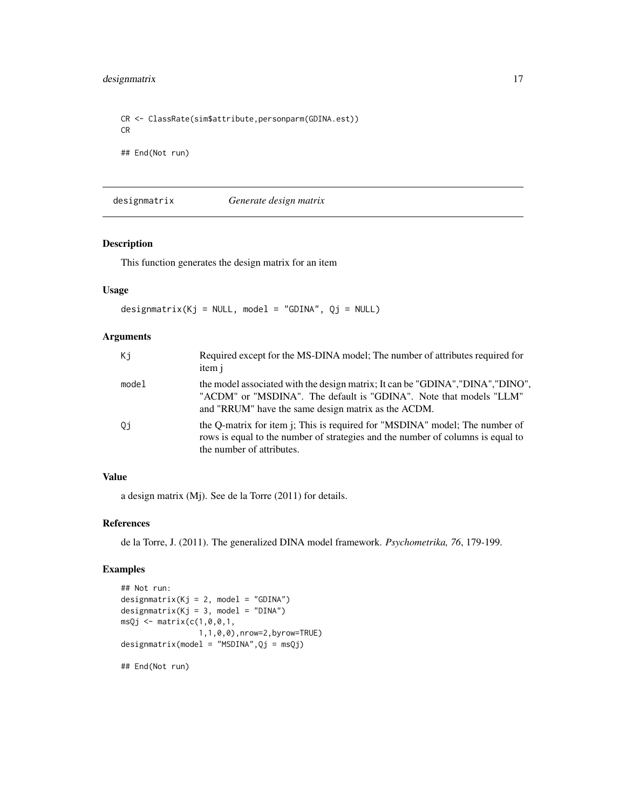<span id="page-16-0"></span>CR <- ClassRate(sim\$attribute,personparm(GDINA.est)) CR ## End(Not run)

designmatrix *Generate design matrix*

## Description

This function generates the design matrix for an item

## Usage

designmatrix(Kj = NULL, model = "GDINA",  $Qj$  = NULL)

## Arguments

| Кi    | Required except for the MS-DINA model; The number of attributes required for<br>item j                                                                                                                       |
|-------|--------------------------------------------------------------------------------------------------------------------------------------------------------------------------------------------------------------|
| model | the model associated with the design matrix; It can be "GDINA", "DINA", "DINO",<br>"ACDM" or "MSDINA". The default is "GDINA". Note that models "LLM"<br>and "RRUM" have the same design matrix as the ACDM. |
| Qj    | the Q-matrix for item j; This is required for "MSDINA" model; The number of<br>rows is equal to the number of strategies and the number of columns is equal to<br>the number of attributes.                  |

## Value

a design matrix (Mj). See de la Torre (2011) for details.

## References

de la Torre, J. (2011). The generalized DINA model framework. *Psychometrika, 76*, 179-199.

```
## Not run:
designmatrix(Kj = 2, model = "GDINA")designmatrix(Kj = 3, model = "DINA")
msQj \leq -\text{matrix}(c(1, 0, 0, 1,1,1,0,0),nrow=2,byrow=TRUE)
designmatrix(model = "MSDINA",Qj = msQj)
## End(Not run)
```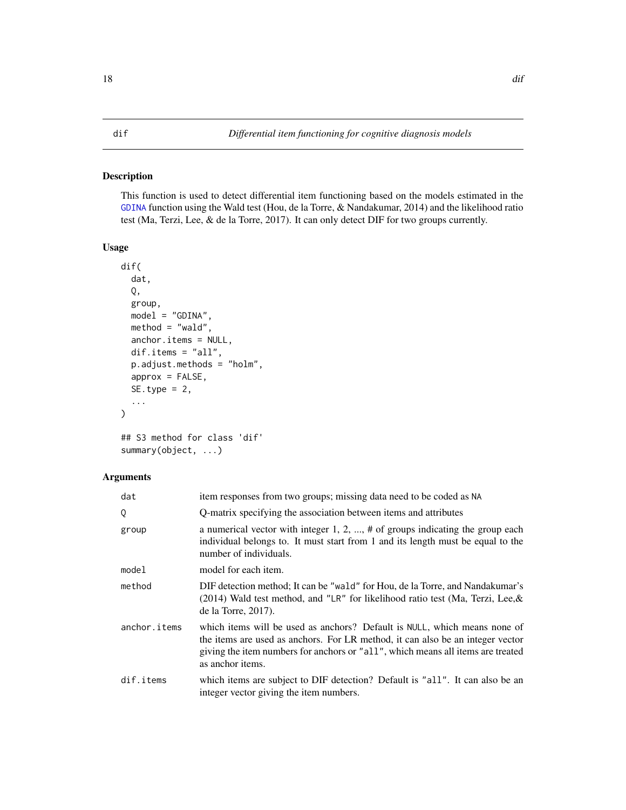## <span id="page-17-1"></span><span id="page-17-0"></span>Description

This function is used to detect differential item functioning based on the models estimated in the [GDINA](#page-25-1) function using the Wald test (Hou, de la Torre, & Nandakumar, 2014) and the likelihood ratio test (Ma, Terzi, Lee, & de la Torre, 2017). It can only detect DIF for two groups currently.

## Usage

```
dif(
  dat,
  Q,
  group,
 model = "GDINA",
 method = "wald",anchor.items = NULL,
  dif.items = "all",
  p.adjust.methods = "holm",
  approx = FALSE,
  SE.type = 2,
  ...
)
```

```
## S3 method for class 'dif'
summary(object, ...)
```
## Arguments

| dat          | item responses from two groups; missing data need to be coded as NA                                                                                                                                                                                                |
|--------------|--------------------------------------------------------------------------------------------------------------------------------------------------------------------------------------------------------------------------------------------------------------------|
| 0            | Q-matrix specifying the association between items and attributes                                                                                                                                                                                                   |
| group        | a numerical vector with integer 1, 2, , $\#$ of groups indicating the group each<br>individual belongs to. It must start from 1 and its length must be equal to the<br>number of individuals.                                                                      |
| model        | model for each item.                                                                                                                                                                                                                                               |
| method       | DIF detection method; It can be "wald" for Hou, de la Torre, and Nandakumar's<br>$(2014)$ Wald test method, and "LR" for likelihood ratio test (Ma, Terzi, Lee, &<br>de la Torre, $2017$ ).                                                                        |
| anchor.items | which items will be used as anchors? Default is NULL, which means none of<br>the items are used as anchors. For LR method, it can also be an integer vector<br>giving the item numbers for anchors or "all", which means all items are treated<br>as anchor items. |
| dif.items    | which items are subject to DIF detection? Default is "all". It can also be an<br>integer vector giving the item numbers.                                                                                                                                           |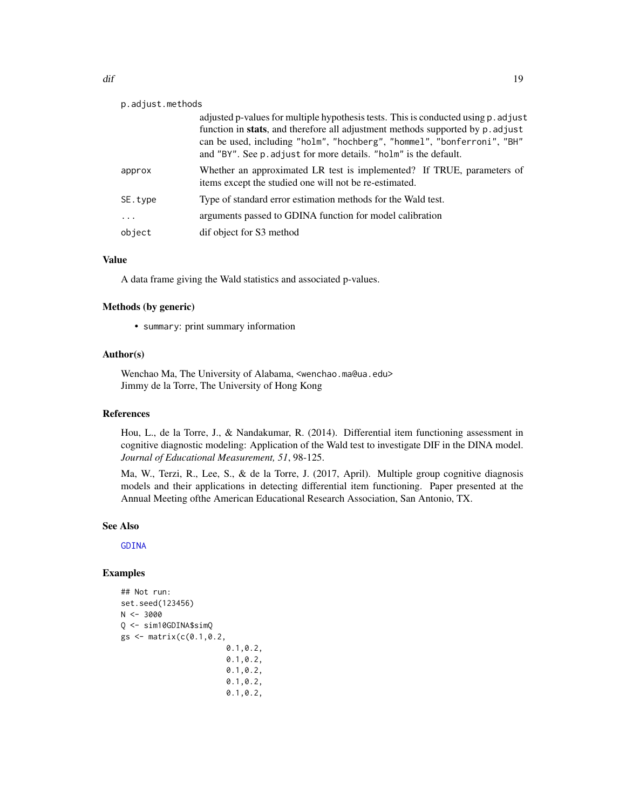| p.adjust.methods |                                                                                                                                                                                                                                                                                                                             |  |
|------------------|-----------------------------------------------------------------------------------------------------------------------------------------------------------------------------------------------------------------------------------------------------------------------------------------------------------------------------|--|
|                  | adjusted p-values for multiple hypothesis tests. This is conducted using p. adjust<br>function in <b>stats</b> , and therefore all adjustment methods supported by p. adjust<br>can be used, including "holm", "hochberg", "hommel", "bonferroni", "BH"<br>and "BY". See p. adjust for more details. "holm" is the default. |  |
| approx           | Whether an approximated LR test is implemented? If TRUE, parameters of<br>items except the studied one will not be re-estimated.                                                                                                                                                                                            |  |
| SE.type          | Type of standard error estimation methods for the Wald test.                                                                                                                                                                                                                                                                |  |
| $\ddots$         | arguments passed to GDINA function for model calibration                                                                                                                                                                                                                                                                    |  |
| object           | dif object for S3 method                                                                                                                                                                                                                                                                                                    |  |
|                  |                                                                                                                                                                                                                                                                                                                             |  |

## Value

A data frame giving the Wald statistics and associated p-values.

## Methods (by generic)

• summary: print summary information

## Author(s)

Wenchao Ma, The University of Alabama, <wenchao.ma@ua.edu> Jimmy de la Torre, The University of Hong Kong

## References

Hou, L., de la Torre, J., & Nandakumar, R. (2014). Differential item functioning assessment in cognitive diagnostic modeling: Application of the Wald test to investigate DIF in the DINA model. *Journal of Educational Measurement, 51*, 98-125.

Ma, W., Terzi, R., Lee, S., & de la Torre, J. (2017, April). Multiple group cognitive diagnosis models and their applications in detecting differential item functioning. Paper presented at the Annual Meeting ofthe American Educational Research Association, San Antonio, TX.

#### See Also

[GDINA](#page-25-1)

```
## Not run:
set.seed(123456)
N < -3000Q <- sim10GDINA$simQ
gs <- matrix(c(0.1, 0.2,0.1,0.2,
                       0.1,0.2,
                       0.1,0.2,
                       0.1,0.2,
                       0.1,0.2,
```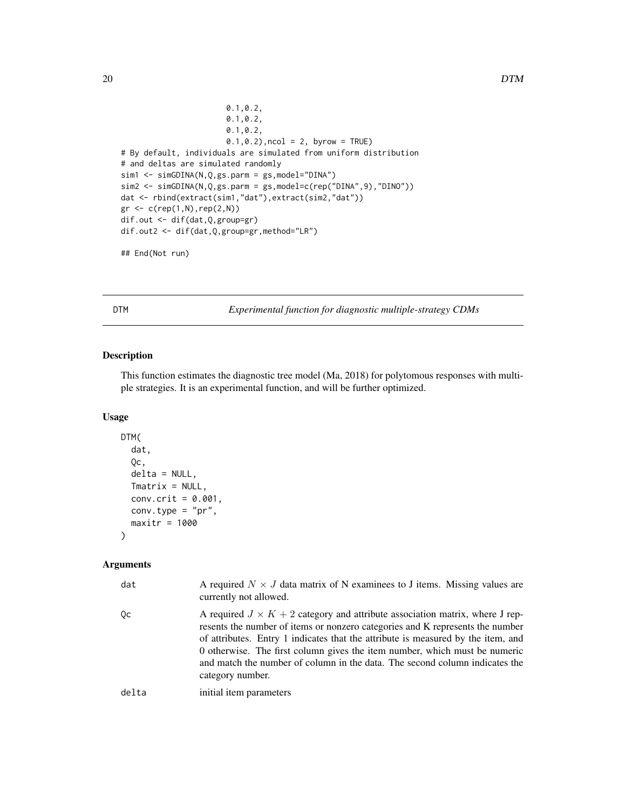```
0.1,0.2,
                       0.1,0.2,
                       0.1,0.2,
                       0.1, 0.2), ncol = 2, byrow = TRUE)
# By default, individuals are simulated from uniform distribution
# and deltas are simulated randomly
sim1 <- simGDINA(N,Q,gs.parm = gs,model="DINA")
sim2 <- simGDINA(N,Q,gs.parm = gs,model=c(rep("DINA",9),"DINO"))
dat <- rbind(extract(sim1,"dat"),extract(sim2,"dat"))
gr \leftarrow c(rep(1,N),rep(2,N))dif.out <- dif(dat,Q,group=gr)
dif.out2 <- dif(dat,Q,group=gr,method="LR")
```

```
## End(Not run)
```
<span id="page-19-1"></span>DTM *Experimental function for diagnostic multiple-strategy CDMs*

## Description

This function estimates the diagnostic tree model (Ma, 2018) for polytomous responses with multiple strategies. It is an experimental function, and will be further optimized.

## Usage

```
DTM(
  dat,
  Qc,
 delta = NULL,
 Tmatrix = NULL,
 conv.crit = 0.001,
 conv.type = "pr",
 maxitr = 1000)
```
#### Arguments

| dat   | A required $N \times J$ data matrix of N examinees to J items. Missing values are<br>currently not allowed.                                                                                                                                                                                                                                                                                                                               |
|-------|-------------------------------------------------------------------------------------------------------------------------------------------------------------------------------------------------------------------------------------------------------------------------------------------------------------------------------------------------------------------------------------------------------------------------------------------|
| Qc    | A required $J \times K + 2$ category and attribute association matrix, where J rep-<br>resents the number of items or nonzero categories and K represents the number<br>of attributes. Entry 1 indicates that the attribute is measured by the item, and<br>0 otherwise. The first column gives the item number, which must be numeric<br>and match the number of column in the data. The second column indicates the<br>category number. |
| delta | initial item parameters                                                                                                                                                                                                                                                                                                                                                                                                                   |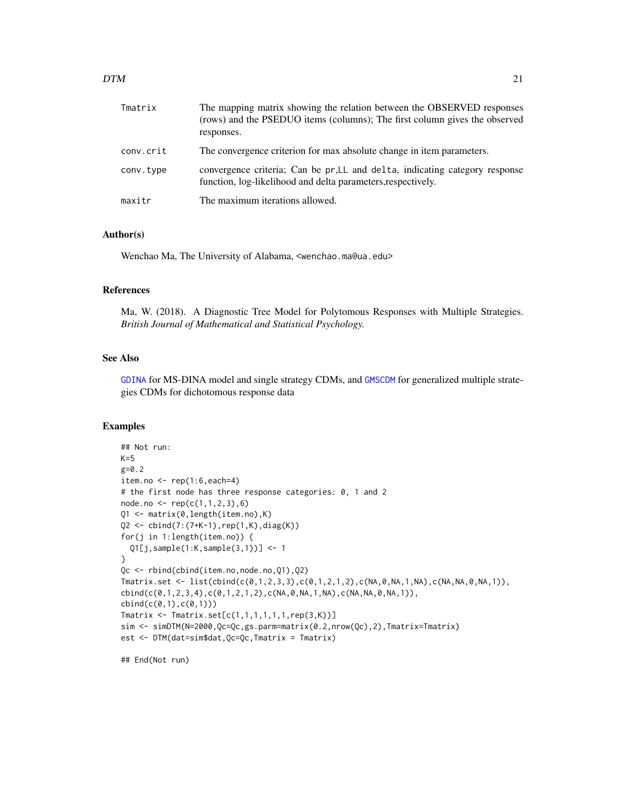| Tmatrix   | The mapping matrix showing the relation between the OBSERVED responses<br>(rows) and the PSEDUO items (columns); The first column gives the observed<br>responses. |
|-----------|--------------------------------------------------------------------------------------------------------------------------------------------------------------------|
| conv.crit | The convergence criterion for max absolute change in item parameters.                                                                                              |
| conv.type | convergence criteria; Can be pr, LL and delta, indicating category response<br>function, log-likelihood and delta parameters, respectively.                        |
| maxitr    | The maximum iterations allowed.                                                                                                                                    |

## Author(s)

Wenchao Ma, The University of Alabama, <wenchao.ma@ua.edu>

## References

Ma, W. (2018). A Diagnostic Tree Model for Polytomous Responses with Multiple Strategies. *British Journal of Mathematical and Statistical Psychology.*

## See Also

[GDINA](#page-25-1) for MS-DINA model and single strategy CDMs, and [GMSCDM](#page-45-1) for generalized multiple strategies CDMs for dichotomous response data

#### Examples

```
## Not run:
K=5g=0.2
item.no \leq rep(1:6,each=4)
# the first node has three response categories: 0, 1 and 2
node.no \leftarrow rep(c(1,1,2,3),6)Q1 <- matrix(0,length(item.no),K)
Q2 <- cbind(7:(7+K-1),rep(1,K),diag(K))
for(j in 1:length(item.no)) {
  Q1[j,sample(1:K,sample(3,1))] <- 1
}
Qc <- rbind(cbind(item.no,node.no,Q1),Q2)
Tmatrix.set <- list(cbind(c(0,1,2,3,3),c(0,1,2,1,2),c(NA,0,NA,1,NA),c(NA,NA,0,NA,1)),
cbind(c(0,1,2,3,4),c(0,1,2,1,2),c(NA,0,NA,1,NA),c(NA,NA,0,NA,1)),
cbind(c(0,1),c(0,1)))Tmatrix \leq Tmatrix.set[c(1,1,1,1,1,1,rep(3,K))]
sim <- simDTM(N=2000,Qc=Qc,gs.parm=matrix(0.2,nrow(Qc),2),Tmatrix=Tmatrix)
est <- DTM(dat=sim$dat,Qc=Qc,Tmatrix = Tmatrix)
```
## End(Not run)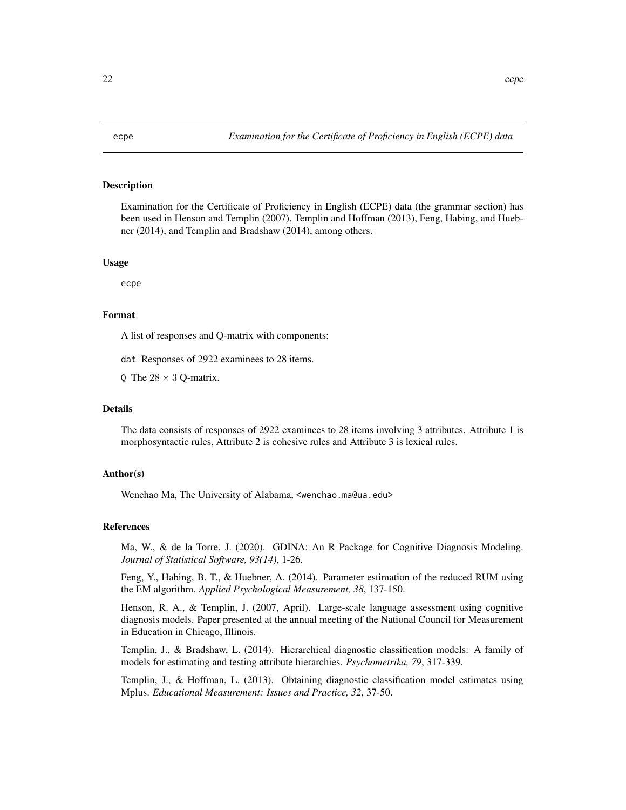## <span id="page-21-0"></span>Description

Examination for the Certificate of Proficiency in English (ECPE) data (the grammar section) has been used in Henson and Templin (2007), Templin and Hoffman (2013), Feng, Habing, and Huebner (2014), and Templin and Bradshaw (2014), among others.

## Usage

ecpe

## Format

A list of responses and Q-matrix with components:

dat Responses of 2922 examinees to 28 items.

Q The  $28 \times 3$  Q-matrix.

## Details

The data consists of responses of 2922 examinees to 28 items involving 3 attributes. Attribute 1 is morphosyntactic rules, Attribute 2 is cohesive rules and Attribute 3 is lexical rules.

## Author(s)

Wenchao Ma, The University of Alabama, <wenchao.ma@ua.edu>

#### References

Ma, W., & de la Torre, J. (2020). GDINA: An R Package for Cognitive Diagnosis Modeling. *Journal of Statistical Software, 93(14)*, 1-26.

Feng, Y., Habing, B. T., & Huebner, A. (2014). Parameter estimation of the reduced RUM using the EM algorithm. *Applied Psychological Measurement, 38*, 137-150.

Henson, R. A., & Templin, J. (2007, April). Large-scale language assessment using cognitive diagnosis models. Paper presented at the annual meeting of the National Council for Measurement in Education in Chicago, Illinois.

Templin, J., & Bradshaw, L. (2014). Hierarchical diagnostic classification models: A family of models for estimating and testing attribute hierarchies. *Psychometrika, 79*, 317-339.

Templin, J., & Hoffman, L. (2013). Obtaining diagnostic classification model estimates using Mplus. *Educational Measurement: Issues and Practice, 32*, 37-50.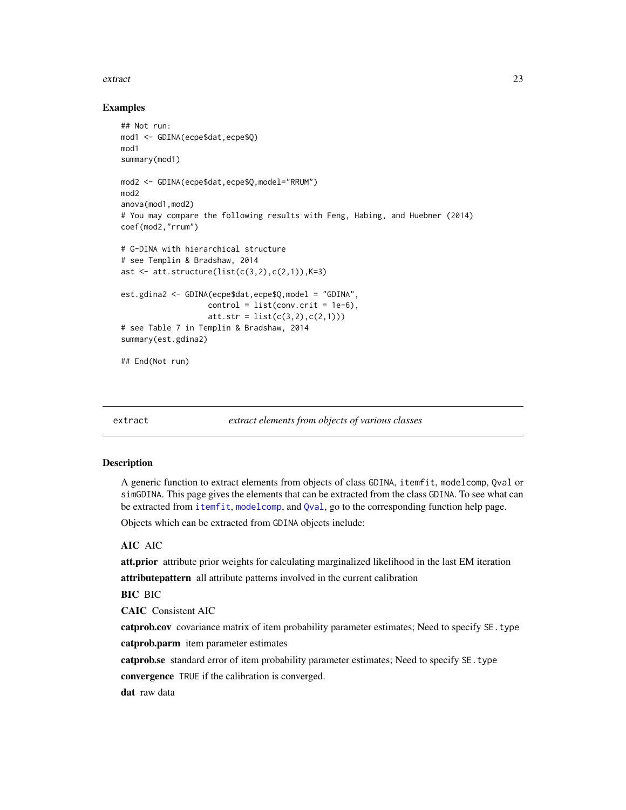#### <span id="page-22-0"></span>extract 23

## Examples

```
## Not run:
mod1 <- GDINA(ecpe$dat,ecpe$Q)
mod1
summary(mod1)
mod2 <- GDINA(ecpe$dat,ecpe$Q,model="RRUM")
mod2
anova(mod1,mod2)
# You may compare the following results with Feng, Habing, and Huebner (2014)
coef(mod2,"rrum")
# G-DINA with hierarchical structure
# see Templin & Bradshaw, 2014
ast \leq att.structure(list(c(3,2),c(2,1)),K=3)
est.gdina2 <- GDINA(ecpe$dat,ecpe$Q,model = "GDINA",
                   control = list(conv.crit = 1e-6),att.str = list(c(3,2), c(2,1)))# see Table 7 in Templin & Bradshaw, 2014
summary(est.gdina2)
## End(Not run)
```
<span id="page-22-1"></span>

extract *extract elements from objects of various classes*

#### **Description**

A generic function to extract elements from objects of class GDINA, itemfit, modelcomp, Qval or simGDINA. This page gives the elements that can be extracted from the class GDINA. To see what can be extracted from [itemfit](#page-51-1), [modelcomp](#page-58-1), and [Qval](#page-69-1), go to the corresponding function help page.

Objects which can be extracted from GDINA objects include:

## AIC AIC

att.prior attribute prior weights for calculating marginalized likelihood in the last EM iteration attributepattern all attribute patterns involved in the current calibration

BIC BIC

CAIC Consistent AIC

catprob.cov covariance matrix of item probability parameter estimates; Need to specify SE.type catprob.parm item parameter estimates

catprob.se standard error of item probability parameter estimates; Need to specify SE.type convergence TRUE if the calibration is converged.

dat raw data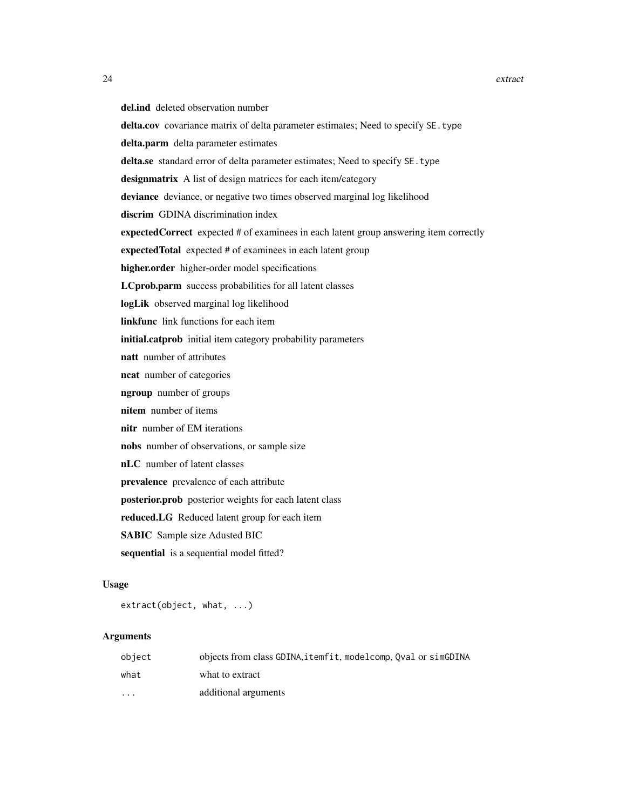del.ind deleted observation number delta.cov covariance matrix of delta parameter estimates; Need to specify SE.type delta.parm delta parameter estimates delta.se standard error of delta parameter estimates; Need to specify SE.type designmatrix A list of design matrices for each item/category deviance deviance, or negative two times observed marginal log likelihood discrim GDINA discrimination index expectedCorrect expected # of examinees in each latent group answering item correctly expectedTotal expected # of examinees in each latent group higher.order higher-order model specifications LCprob.parm success probabilities for all latent classes logLik observed marginal log likelihood linkfunc link functions for each item initial.catprob initial item category probability parameters natt number of attributes ncat number of categories ngroup number of groups nitem number of items nitr number of EM iterations nobs number of observations, or sample size nLC number of latent classes prevalence prevalence of each attribute posterior.prob posterior weights for each latent class reduced.LG Reduced latent group for each item SABIC Sample size Adusted BIC sequential is a sequential model fitted?

## Usage

extract(object, what, ...)

#### Arguments

| object   | objects from class GDINA, itemfit, modelcomp, Oval or simGDINA |
|----------|----------------------------------------------------------------|
| what     | what to extract                                                |
| $\cdots$ | additional arguments                                           |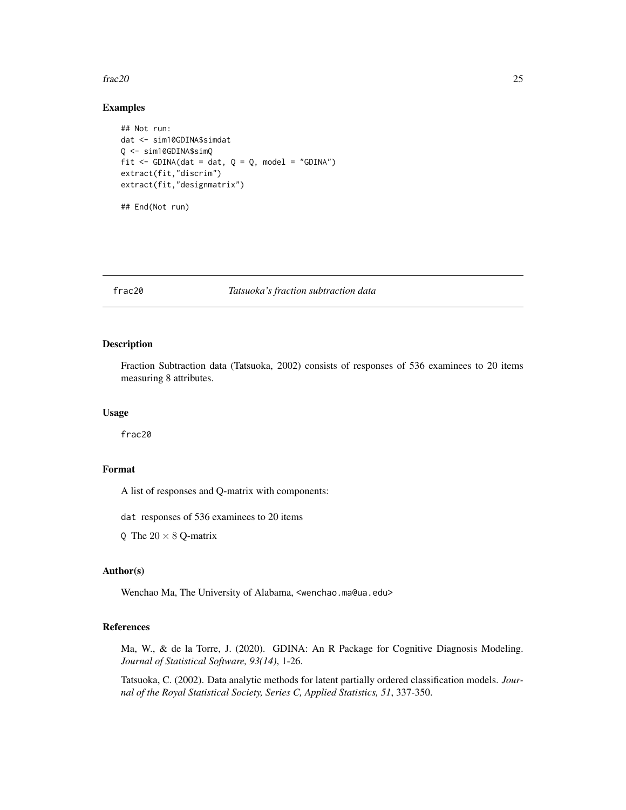#### <span id="page-24-0"></span>frac20 25

## Examples

```
## Not run:
dat <- sim10GDINA$simdat
Q <- sim10GDINA$simQ
fit \le - GDINA(dat = dat, Q = Q, model = "GDINA")
extract(fit,"discrim")
extract(fit,"designmatrix")
## End(Not run)
```
## frac20 *Tatsuoka's fraction subtraction data*

## Description

Fraction Subtraction data (Tatsuoka, 2002) consists of responses of 536 examinees to 20 items measuring 8 attributes.

#### Usage

frac20

## Format

A list of responses and Q-matrix with components:

dat responses of 536 examinees to 20 items

Q The  $20 \times 8$  Q-matrix

## Author(s)

Wenchao Ma, The University of Alabama, <wenchao.ma@ua.edu>

## References

Ma, W., & de la Torre, J. (2020). GDINA: An R Package for Cognitive Diagnosis Modeling. *Journal of Statistical Software, 93(14)*, 1-26.

Tatsuoka, C. (2002). Data analytic methods for latent partially ordered classification models. *Journal of the Royal Statistical Society, Series C, Applied Statistics, 51*, 337-350.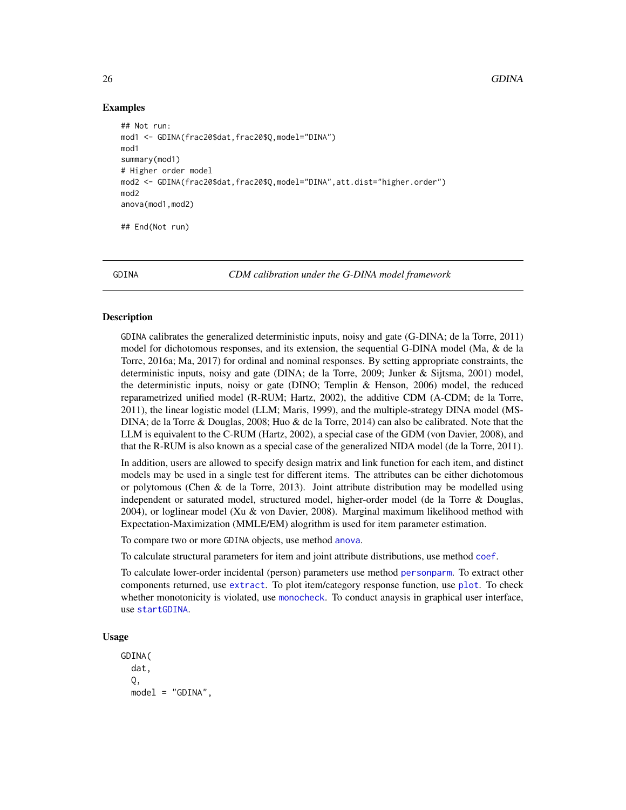## Examples

```
## Not run:
mod1 <- GDINA(frac20$dat,frac20$Q,model="DINA")
mod1
summary(mod1)
# Higher order model
mod2 <- GDINA(frac20$dat,frac20$Q,model="DINA",att.dist="higher.order")
mod2
anova(mod1,mod2)
## End(Not run)
```
<span id="page-25-1"></span>GDINA *CDM calibration under the G-DINA model framework*

#### **Description**

GDINA calibrates the generalized deterministic inputs, noisy and gate (G-DINA; de la Torre, 2011) model for dichotomous responses, and its extension, the sequential G-DINA model (Ma, & de la Torre, 2016a; Ma, 2017) for ordinal and nominal responses. By setting appropriate constraints, the deterministic inputs, noisy and gate (DINA; de la Torre, 2009; Junker & Sijtsma, 2001) model, the deterministic inputs, noisy or gate (DINO; Templin & Henson, 2006) model, the reduced reparametrized unified model (R-RUM; Hartz, 2002), the additive CDM (A-CDM; de la Torre, 2011), the linear logistic model (LLM; Maris, 1999), and the multiple-strategy DINA model (MS-DINA; de la Torre & Douglas, 2008; Huo & de la Torre, 2014) can also be calibrated. Note that the LLM is equivalent to the C-RUM (Hartz, 2002), a special case of the GDM (von Davier, 2008), and that the R-RUM is also known as a special case of the generalized NIDA model (de la Torre, 2011).

In addition, users are allowed to specify design matrix and link function for each item, and distinct models may be used in a single test for different items. The attributes can be either dichotomous or polytomous (Chen & de la Torre, 2013). Joint attribute distribution may be modelled using independent or saturated model, structured model, higher-order model (de la Torre & Douglas, 2004), or loglinear model (Xu & von Davier, 2008). Marginal maximum likelihood method with Expectation-Maximization (MMLE/EM) alogrithm is used for item parameter estimation.

To compare two or more GDINA objects, use method [anova](#page-0-0).

To calculate structural parameters for item and joint attribute distributions, use method [coef](#page-0-0).

To calculate lower-order incidental (person) parameters use method [personparm](#page-64-1). To extract other components returned, use [extract](#page-22-1). To plot item/category response function, use [plot](#page-0-0). To check whether monotonicity is violated, use [monocheck](#page-63-1). To conduct anaysis in graphical user interface, use [startGDINA](#page-89-1).

## Usage

GDINA( dat, Q, model = "GDINA",

<span id="page-25-0"></span>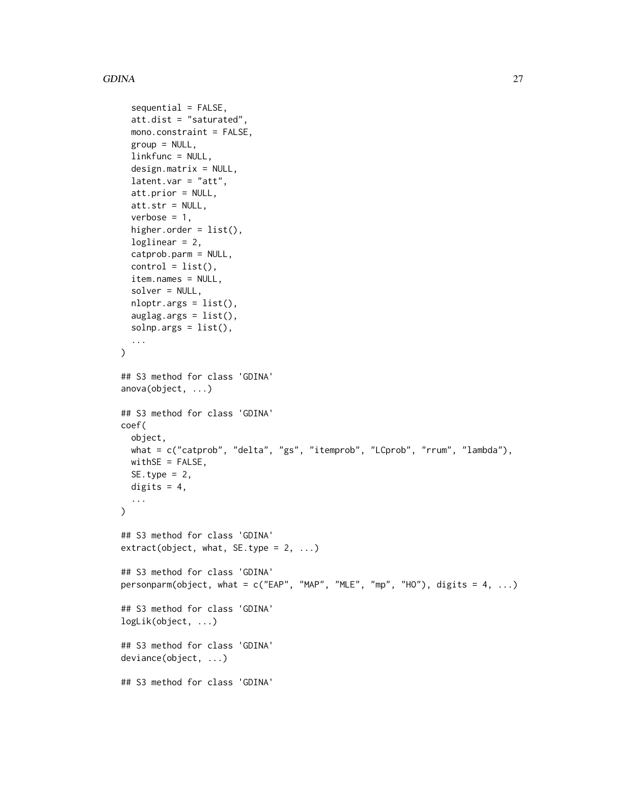## GDINA 27

```
sequential = FALSE,
  att.dist = "saturated"mono.constraint = FALSE,
  group = NULL,
  linkfunc = NULL,
  design.matrix = NULL,
  latent.var = "att",
  att.prior = NULL,
  att.str = NULL,
  verbose = 1,
  higher.order = list(),
  loglinear = 2,
  catprob.parm = NULL,
  control = list(),
  item.names = NULL,
  solver = NULL,
  nloptr.args = list(),
  auglag.orgs = list(),solnp.args = list(),
  ...
\mathcal{L}## S3 method for class 'GDINA'
anova(object, ...)
## S3 method for class 'GDINA'
coef(
 object,
 what = c("catprob", "delta", "gs", "itemprob", "LCprob", "rrum", "lambda"),
 withSE = FALSE,SE.type = 2,
 digits = 4,
  ...
\lambda## S3 method for class 'GDINA'
extract(object, what, SE.type = 2, ...)
## S3 method for class 'GDINA'
personparm(object, what = c("EAP", "MAP", "MLE", "mp", "HO"), digits = 4, ...)
## S3 method for class 'GDINA'
logLik(object, ...)
## S3 method for class 'GDINA'
deviance(object, ...)
## S3 method for class 'GDINA'
```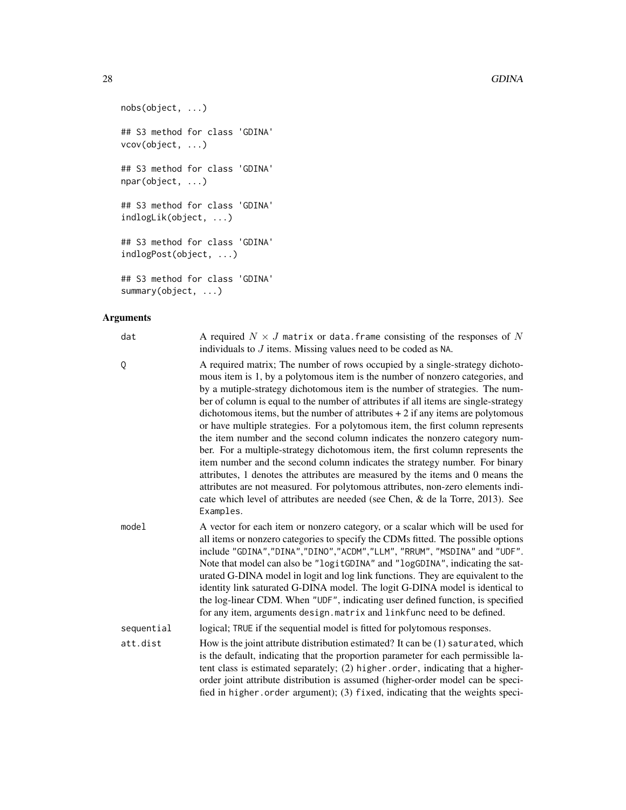```
nobs(object, ...)
## S3 method for class 'GDINA'
vcov(object, ...)
## S3 method for class 'GDINA'
npar(object, ...)
## S3 method for class 'GDINA'
indlogLik(object, ...)
## S3 method for class 'GDINA'
indlogPost(object, ...)
## S3 method for class 'GDINA'
summary(object, ...)
```
## Arguments

| dat        | A required $N \times J$ matrix or data. frame consisting of the responses of N<br>individuals to $J$ items. Missing values need to be coded as NA.                                                                                                                                                                                                                                                                                                                                                                                                                                                                                                                                                                                                                                                                                                                                                                                                                                                                            |
|------------|-------------------------------------------------------------------------------------------------------------------------------------------------------------------------------------------------------------------------------------------------------------------------------------------------------------------------------------------------------------------------------------------------------------------------------------------------------------------------------------------------------------------------------------------------------------------------------------------------------------------------------------------------------------------------------------------------------------------------------------------------------------------------------------------------------------------------------------------------------------------------------------------------------------------------------------------------------------------------------------------------------------------------------|
| Q          | A required matrix; The number of rows occupied by a single-strategy dichoto-<br>mous item is 1, by a polytomous item is the number of nonzero categories, and<br>by a mutiple-strategy dichotomous item is the number of strategies. The num-<br>ber of column is equal to the number of attributes if all items are single-strategy<br>dichotomous items, but the number of attributes $+2$ if any items are polytomous<br>or have multiple strategies. For a polytomous item, the first column represents<br>the item number and the second column indicates the nonzero category num-<br>ber. For a multiple-strategy dichotomous item, the first column represents the<br>item number and the second column indicates the strategy number. For binary<br>attributes, 1 denotes the attributes are measured by the items and 0 means the<br>attributes are not measured. For polytomous attributes, non-zero elements indi-<br>cate which level of attributes are needed (see Chen, & de la Torre, 2013). See<br>Examples. |
| mode1      | A vector for each item or nonzero category, or a scalar which will be used for<br>all items or nonzero categories to specify the CDMs fitted. The possible options<br>include "GDINA","DINA","DINO","ACDM","LLM", "RRUM", "MSDINA" and "UDF".<br>Note that model can also be "logitGDINA" and "logGDINA", indicating the sat-<br>urated G-DINA model in logit and log link functions. They are equivalent to the<br>identity link saturated G-DINA model. The logit G-DINA model is identical to<br>the log-linear CDM. When "UDF", indicating user defined function, is specified<br>for any item, arguments design.matrix and linkfunc need to be defined.                                                                                                                                                                                                                                                                                                                                                                  |
| sequential | logical; TRUE if the sequential model is fitted for polytomous responses.                                                                                                                                                                                                                                                                                                                                                                                                                                                                                                                                                                                                                                                                                                                                                                                                                                                                                                                                                     |
| att.dist   | How is the joint attribute distribution estimated? It can be (1) saturated, which<br>is the default, indicating that the proportion parameter for each permissible la-<br>tent class is estimated separately; (2) higher.order, indicating that a higher-<br>order joint attribute distribution is assumed (higher-order model can be speci-<br>fied in higher.order argument); (3) fixed, indicating that the weights speci-                                                                                                                                                                                                                                                                                                                                                                                                                                                                                                                                                                                                 |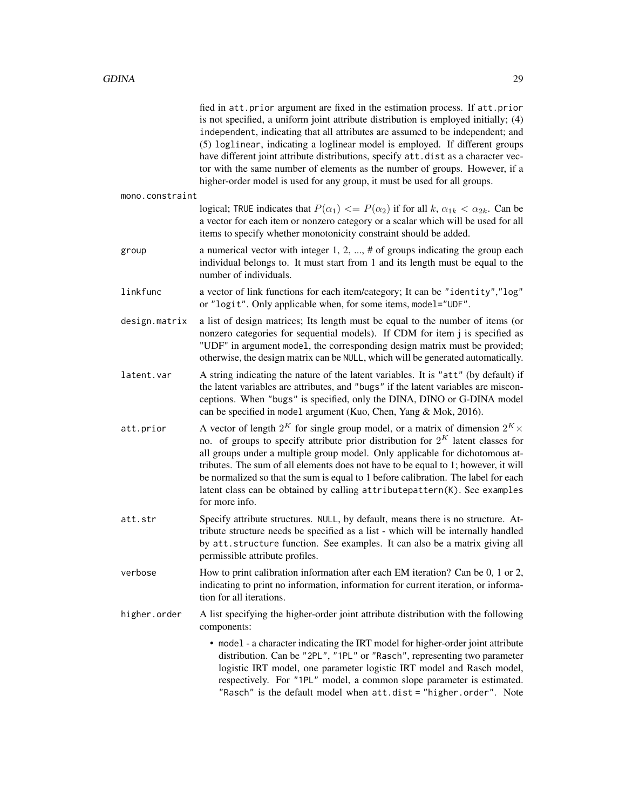fied in att.prior argument are fixed in the estimation process. If att.prior is not specified, a uniform joint attribute distribution is employed initially; (4) independent, indicating that all attributes are assumed to be independent; and (5) loglinear, indicating a loglinear model is employed. If different groups have different joint attribute distributions, specify att.dist as a character vector with the same number of elements as the number of groups. However, if a higher-order model is used for any group, it must be used for all groups.

mono.constraint

logical; TRUE indicates that  $P(\alpha_1) \leq P(\alpha_2)$  if for all  $k, \alpha_{1k} \leq \alpha_{2k}$ . Can be a vector for each item or nonzero category or a scalar which will be used for all items to specify whether monotonicity constraint should be added.

- group a numerical vector with integer 1, 2, ..., # of groups indicating the group each individual belongs to. It must start from 1 and its length must be equal to the number of individuals.
- linkfunc a vector of link functions for each item/category; It can be "identity","log" or "logit". Only applicable when, for some items, model="UDF".
- design.matrix a list of design matrices; Its length must be equal to the number of items (or nonzero categories for sequential models). If CDM for item j is specified as "UDF" in argument model, the corresponding design matrix must be provided; otherwise, the design matrix can be NULL, which will be generated automatically.
- latent.var A string indicating the nature of the latent variables. It is "att" (by default) if the latent variables are attributes, and "bugs" if the latent variables are misconceptions. When "bugs" is specified, only the DINA, DINO or G-DINA model can be specified in model argument (Kuo, Chen, Yang & Mok, 2016).
- att.prior  $\phantom{i}$  A vector of length  $2^K$  for single group model, or a matrix of dimension  $2^K \times$ no. of groups to specify attribute prior distribution for  $2^K$  latent classes for all groups under a multiple group model. Only applicable for dichotomous attributes. The sum of all elements does not have to be equal to 1; however, it will be normalized so that the sum is equal to 1 before calibration. The label for each latent class can be obtained by calling attributepattern(K). See examples for more info.
- att.str Specify attribute structures. NULL, by default, means there is no structure. Attribute structure needs be specified as a list - which will be internally handled by att.structure function. See examples. It can also be a matrix giving all permissible attribute profiles.
- verbose How to print calibration information after each EM iteration? Can be 0, 1 or 2, indicating to print no information, information for current iteration, or information for all iterations.
- higher.order A list specifying the higher-order joint attribute distribution with the following components:
	- model a character indicating the IRT model for higher-order joint attribute distribution. Can be "2PL", "1PL" or "Rasch", representing two parameter logistic IRT model, one parameter logistic IRT model and Rasch model, respectively. For "1PL" model, a common slope parameter is estimated. "Rasch" is the default model when att.dist = "higher.order". Note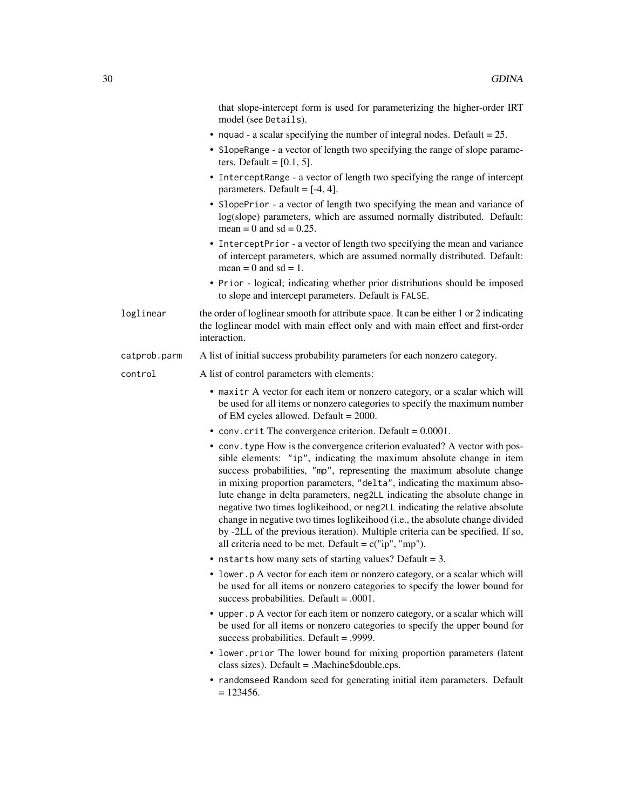|              | that slope-intercept form is used for parameterizing the higher-order IRT<br>model (see Details).                                                                                                                                                                                                                                                                                                                                                                                                                                                                                                                                                                                               |
|--------------|-------------------------------------------------------------------------------------------------------------------------------------------------------------------------------------------------------------------------------------------------------------------------------------------------------------------------------------------------------------------------------------------------------------------------------------------------------------------------------------------------------------------------------------------------------------------------------------------------------------------------------------------------------------------------------------------------|
|              | • nquad - a scalar specifying the number of integral nodes. Default = $25$ .                                                                                                                                                                                                                                                                                                                                                                                                                                                                                                                                                                                                                    |
|              | • SlopeRange - a vector of length two specifying the range of slope parame-<br>ters. Default = $[0.1, 5]$ .                                                                                                                                                                                                                                                                                                                                                                                                                                                                                                                                                                                     |
|              | • InterceptRange - a vector of length two specifying the range of intercept<br>parameters. Default = $[-4, 4]$ .                                                                                                                                                                                                                                                                                                                                                                                                                                                                                                                                                                                |
|              | • SlopePrior - a vector of length two specifying the mean and variance of<br>log(slope) parameters, which are assumed normally distributed. Default:<br>mean = 0 and sd = $0.25$ .                                                                                                                                                                                                                                                                                                                                                                                                                                                                                                              |
|              | • InterceptPrior - a vector of length two specifying the mean and variance<br>of intercept parameters, which are assumed normally distributed. Default:<br>mean = $0$ and sd = 1.                                                                                                                                                                                                                                                                                                                                                                                                                                                                                                               |
|              | • Prior - logical; indicating whether prior distributions should be imposed<br>to slope and intercept parameters. Default is FALSE.                                                                                                                                                                                                                                                                                                                                                                                                                                                                                                                                                             |
| loglinear    | the order of loglinear smooth for attribute space. It can be either 1 or 2 indicating<br>the loglinear model with main effect only and with main effect and first-order<br>interaction.                                                                                                                                                                                                                                                                                                                                                                                                                                                                                                         |
| catprob.parm | A list of initial success probability parameters for each nonzero category.                                                                                                                                                                                                                                                                                                                                                                                                                                                                                                                                                                                                                     |
| control      | A list of control parameters with elements:                                                                                                                                                                                                                                                                                                                                                                                                                                                                                                                                                                                                                                                     |
|              | • maxitr A vector for each item or nonzero category, or a scalar which will<br>be used for all items or nonzero categories to specify the maximum number<br>of EM cycles allowed. Default = $2000$ .                                                                                                                                                                                                                                                                                                                                                                                                                                                                                            |
|              | • conv. crit The convergence criterion. Default = $0.0001$ .                                                                                                                                                                                                                                                                                                                                                                                                                                                                                                                                                                                                                                    |
|              | • conv. type How is the convergence criterion evaluated? A vector with pos-<br>sible elements: "ip", indicating the maximum absolute change in item<br>success probabilities, "mp", representing the maximum absolute change<br>in mixing proportion parameters, "delta", indicating the maximum abso-<br>lute change in delta parameters, neg2LL indicating the absolute change in<br>negative two times loglikeihood, or neg2LL indicating the relative absolute<br>change in negative two times loglikeihood (i.e., the absolute change divided<br>by -2LL of the previous iteration). Multiple criteria can be specified. If so,<br>all criteria need to be met. Default = $c("ip", "mp").$ |
|              | • nstarts how many sets of starting values? Default = $3$ .                                                                                                                                                                                                                                                                                                                                                                                                                                                                                                                                                                                                                                     |
|              | • lower.p A vector for each item or nonzero category, or a scalar which will<br>be used for all items or nonzero categories to specify the lower bound for<br>success probabilities. Default = $.0001$ .                                                                                                                                                                                                                                                                                                                                                                                                                                                                                        |
|              | • upper p A vector for each item or nonzero category, or a scalar which will<br>be used for all items or nonzero categories to specify the upper bound for<br>success probabilities. Default = .9999.                                                                                                                                                                                                                                                                                                                                                                                                                                                                                           |
|              | • lower.prior The lower bound for mixing proportion parameters (latent<br>class sizes). Default = .Machine\$double.eps.                                                                                                                                                                                                                                                                                                                                                                                                                                                                                                                                                                         |
|              | • randomseed Random seed for generating initial item parameters. Default<br>$= 123456.$                                                                                                                                                                                                                                                                                                                                                                                                                                                                                                                                                                                                         |
|              |                                                                                                                                                                                                                                                                                                                                                                                                                                                                                                                                                                                                                                                                                                 |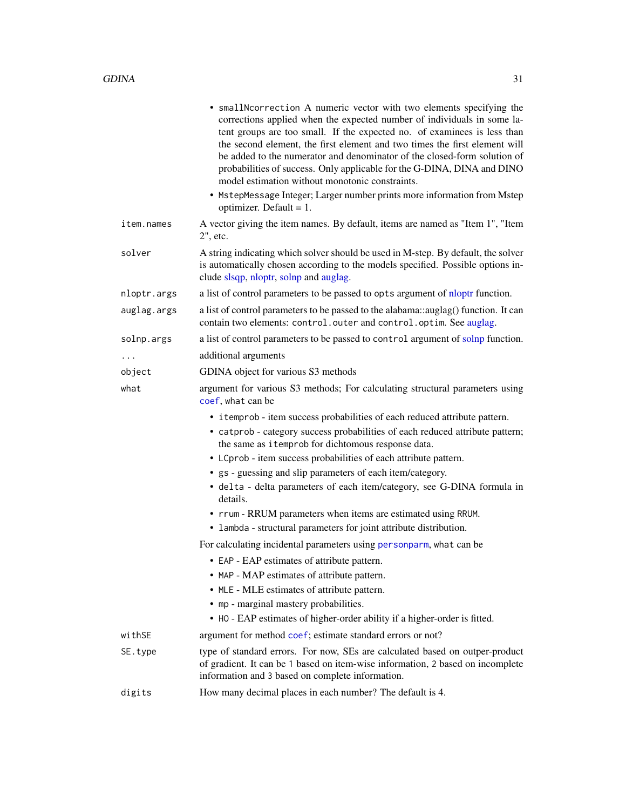|             | • smallNcorrection A numeric vector with two elements specifying the<br>corrections applied when the expected number of individuals in some la-<br>tent groups are too small. If the expected no. of examinees is less than<br>the second element, the first element and two times the first element will<br>be added to the numerator and denominator of the closed-form solution of<br>probabilities of success. Only applicable for the G-DINA, DINA and DINO<br>model estimation without monotonic constraints.<br>• MstepMessage Integer; Larger number prints more information from Mstep<br>optimizer. Default = $1$ .                                                                                                                                                                                                                   |
|-------------|-------------------------------------------------------------------------------------------------------------------------------------------------------------------------------------------------------------------------------------------------------------------------------------------------------------------------------------------------------------------------------------------------------------------------------------------------------------------------------------------------------------------------------------------------------------------------------------------------------------------------------------------------------------------------------------------------------------------------------------------------------------------------------------------------------------------------------------------------|
| item.names  | A vector giving the item names. By default, items are named as "Item 1", "Item<br>2", etc.                                                                                                                                                                                                                                                                                                                                                                                                                                                                                                                                                                                                                                                                                                                                                      |
| solver      | A string indicating which solver should be used in M-step. By default, the solver<br>is automatically chosen according to the models specified. Possible options in-<br>clude slsqp, nloptr, solnp and auglag.                                                                                                                                                                                                                                                                                                                                                                                                                                                                                                                                                                                                                                  |
| nloptr.args | a list of control parameters to be passed to opts argument of nloptr function.                                                                                                                                                                                                                                                                                                                                                                                                                                                                                                                                                                                                                                                                                                                                                                  |
| auglag.args | a list of control parameters to be passed to the alabama::auglag() function. It can<br>contain two elements: control.outer and control.optim. See auglag.                                                                                                                                                                                                                                                                                                                                                                                                                                                                                                                                                                                                                                                                                       |
| solnp.args  | a list of control parameters to be passed to control argument of solnp function.                                                                                                                                                                                                                                                                                                                                                                                                                                                                                                                                                                                                                                                                                                                                                                |
| $\ddotsc$   | additional arguments                                                                                                                                                                                                                                                                                                                                                                                                                                                                                                                                                                                                                                                                                                                                                                                                                            |
| object      | GDINA object for various S3 methods                                                                                                                                                                                                                                                                                                                                                                                                                                                                                                                                                                                                                                                                                                                                                                                                             |
| what        | argument for various S3 methods; For calculating structural parameters using<br>coef, what can be                                                                                                                                                                                                                                                                                                                                                                                                                                                                                                                                                                                                                                                                                                                                               |
|             | • itemprob - item success probabilities of each reduced attribute pattern.<br>• catprob - category success probabilities of each reduced attribute pattern;<br>the same as itemprob for dichtomous response data.<br>• LCprob - item success probabilities of each attribute pattern.<br>• gs - guessing and slip parameters of each item/category.<br>· delta - delta parameters of each item/category, see G-DINA formula in<br>details.<br>• rrum - RRUM parameters when items are estimated using RRUM.<br>• lambda - structural parameters for joint attribute distribution.<br>For calculating incidental parameters using personparm, what can be<br>• EAP - EAP estimates of attribute pattern.<br>• MAP - MAP estimates of attribute pattern.<br>• MLE - MLE estimates of attribute pattern.<br>• mp - marginal mastery probabilities. |
|             | • HO - EAP estimates of higher-order ability if a higher-order is fitted.                                                                                                                                                                                                                                                                                                                                                                                                                                                                                                                                                                                                                                                                                                                                                                       |
| withSE      | argument for method coef; estimate standard errors or not?                                                                                                                                                                                                                                                                                                                                                                                                                                                                                                                                                                                                                                                                                                                                                                                      |
| SE.type     | type of standard errors. For now, SEs are calculated based on outper-product<br>of gradient. It can be 1 based on item-wise information, 2 based on incomplete<br>information and 3 based on complete information.                                                                                                                                                                                                                                                                                                                                                                                                                                                                                                                                                                                                                              |
| digits      | How many decimal places in each number? The default is 4.                                                                                                                                                                                                                                                                                                                                                                                                                                                                                                                                                                                                                                                                                                                                                                                       |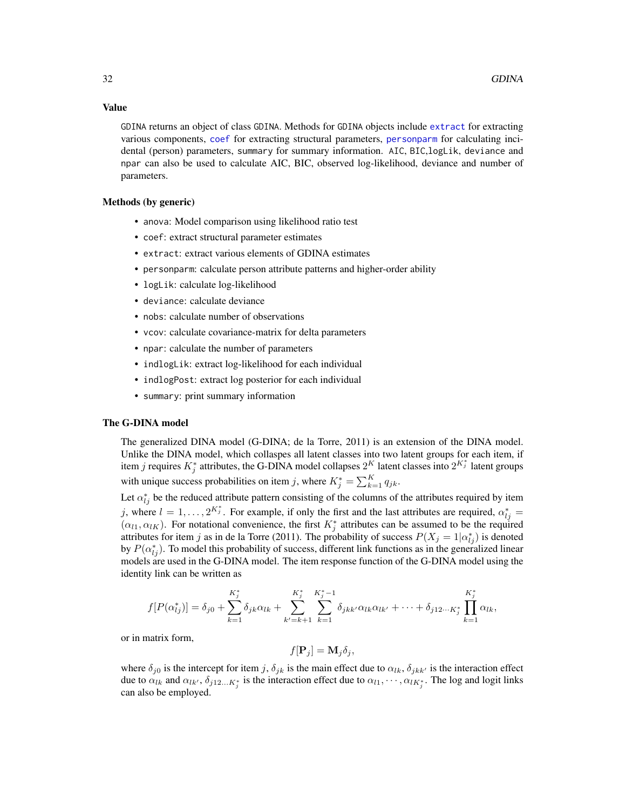#### Value

GDINA returns an object of class GDINA. Methods for GDINA objects include [extract](#page-22-1) for extracting various components, [coef](#page-0-0) for extracting structural parameters, [personparm](#page-64-1) for calculating incidental (person) parameters, summary for summary information. AIC, BIC,logLik, deviance and npar can also be used to calculate AIC, BIC, observed log-likelihood, deviance and number of parameters.

## Methods (by generic)

- anova: Model comparison using likelihood ratio test
- coef: extract structural parameter estimates
- extract: extract various elements of GDINA estimates
- personparm: calculate person attribute patterns and higher-order ability
- logLik: calculate log-likelihood
- deviance: calculate deviance
- nobs: calculate number of observations
- vcov: calculate covariance-matrix for delta parameters
- npar: calculate the number of parameters
- indlogLik: extract log-likelihood for each individual
- indlogPost: extract log posterior for each individual
- summary: print summary information

## The G-DINA model

The generalized DINA model (G-DINA; de la Torre, 2011) is an extension of the DINA model. Unlike the DINA model, which collaspes all latent classes into two latent groups for each item, if item j requires  $K_j^*$  attributes, the G-DINA model collapses  $2^K$  latent classes into  $2^{K_j^*}$  latent groups with unique success probabilities on item j, where  $K_j^* = \sum_{k=1}^K q_{jk}$ .

Let  $\alpha_{lj}^*$  be the reduced attribute pattern consisting of the columns of the attributes required by item j, where  $l = 1, ..., 2^{K_j^*}$ . For example, if only the first and the last attributes are required,  $\alpha_{lj}^* =$  $(\alpha_{l1}, \alpha_{lK})$ . For notational convenience, the first  $K_j^*$  attributes can be assumed to be the required attributes for item j as in de la Torre (2011). The probability of success  $P(X_j = 1 | \alpha_{ij}^*)$  is denoted by  $P(\alpha_{lj}^*)$ . To model this probability of success, different link functions as in the generalized linear models are used in the G-DINA model. The item response function of the G-DINA model using the identity link can be written as

$$
f[P(\alpha_{lj}^*)] = \delta_{j0} + \sum_{k=1}^{K_j^*} \delta_{jk} \alpha_{lk} + \sum_{k'=k+1}^{K_j^*} \sum_{k=1}^{K_j^* - 1} \delta_{jkk'} \alpha_{lk} \alpha_{lk'} + \cdots + \delta_{j12\cdots K_j^*} \prod_{k=1}^{K_j^*} \alpha_{lk},
$$

or in matrix form,

$$
f[\mathbf{P}_j] = \mathbf{M}_j \delta_j,
$$

where  $\delta_{j0}$  is the intercept for item j,  $\delta_{jk}$  is the main effect due to  $\alpha_{lk}$ ,  $\delta_{jkk'}$  is the interaction effect due to  $\alpha_{lk}$  and  $\alpha_{lk'}$ ,  $\delta_{j12...K_j^*}$  is the interaction effect due to  $\alpha_{l1}, \cdots, \alpha_{lK_j^*}$ . The log and logit links can also be employed.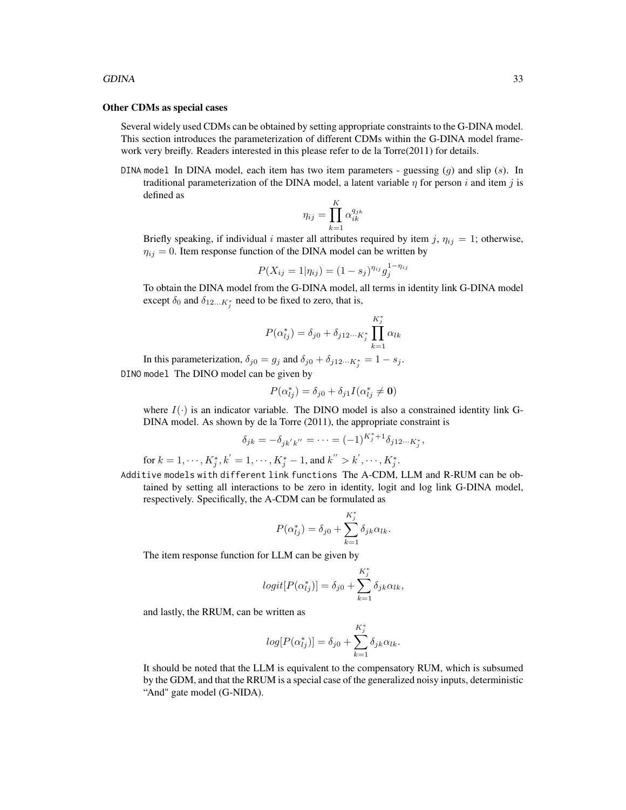#### GDINA 33

#### Other CDMs as special cases

Several widely used CDMs can be obtained by setting appropriate constraints to the G-DINA model. This section introduces the parameterization of different CDMs within the G-DINA model framework very breifly. Readers interested in this please refer to de la Torre(2011) for details.

DINA model In DINA model, each item has two item parameters - guessing  $(g)$  and slip  $(s)$ . In traditional parameterization of the DINA model, a latent variable  $\eta$  for person i and item j is defined as

$$
\eta_{ij} = \prod_{k=1}^K \alpha_{ik}^{q_{jk}}
$$

Briefly speaking, if individual i master all attributes required by item j,  $\eta_{ij} = 1$ ; otherwise,  $\eta_{ij} = 0$ . Item response function of the DINA model can be written by

$$
P(X_{ij} = 1 | \eta_{ij}) = (1 - s_j)^{\eta_{ij}} g_j^{1 - \eta_{ij}}
$$

To obtain the DINA model from the G-DINA model, all terms in identity link G-DINA model except  $\delta_0$  and  $\delta_{12...K_j^*}$  need to be fixed to zero, that is,

$$
P(\alpha_{lj}^{*}) = \delta_{j0} + \delta_{j12\cdots K_{j}^{*}} \prod_{k=1}^{K_{j}^{*}} \alpha_{lk}
$$

In this parameterization,  $\delta_{j0} = g_j$  and  $\delta_{j0} + \delta_{j12\cdots K_j^*} = 1 - s_j$ . DINO model The DINO model can be given by

$$
P(\alpha_{lj}^*) = \delta_{j0} + \delta_{j1} I(\alpha_{lj}^* \neq \mathbf{0})
$$

where  $I(\cdot)$  is an indicator variable. The DINO model is also a constrained identity link G-DINA model. As shown by de la Torre (2011), the appropriate constraint is

$$
\delta_{jk} = -\delta_{jk'k''} = \cdots = (-1)^{K_j^* + 1} \delta_{j12\cdots K_j^*},
$$

for  $k = 1, \dots, K_j^*, k' = 1, \dots, K_j^* - 1$ , and  $k'' > k', \dots, K_j^*$ . Additive models with different link functions The A-CDM, LLM and R-RUM can be ob-

tained by setting all interactions to be zero in identity, logit and log link G-DINA model, respectively. Specifically, the A-CDM can be formulated as

$$
P(\alpha_{lj}^*) = \delta_{j0} + \sum_{k=1}^{K_j^*} \delta_{jk} \alpha_{lk}.
$$

The item response function for LLM can be given by

$$
logit[P(\alpha_{lj}^*)] = \delta_{j0} + \sum_{k=1}^{K_j^*} \delta_{jk}\alpha_{lk},
$$

and lastly, the RRUM, can be written as

$$
log[P(\alpha_{lj}^*)] = \delta_{j0} + \sum_{k=1}^{K_j^*} \delta_{jk}\alpha_{lk}.
$$

It should be noted that the LLM is equivalent to the compensatory RUM, which is subsumed by the GDM, and that the RRUM is a special case of the generalized noisy inputs, deterministic "And" gate model (G-NIDA).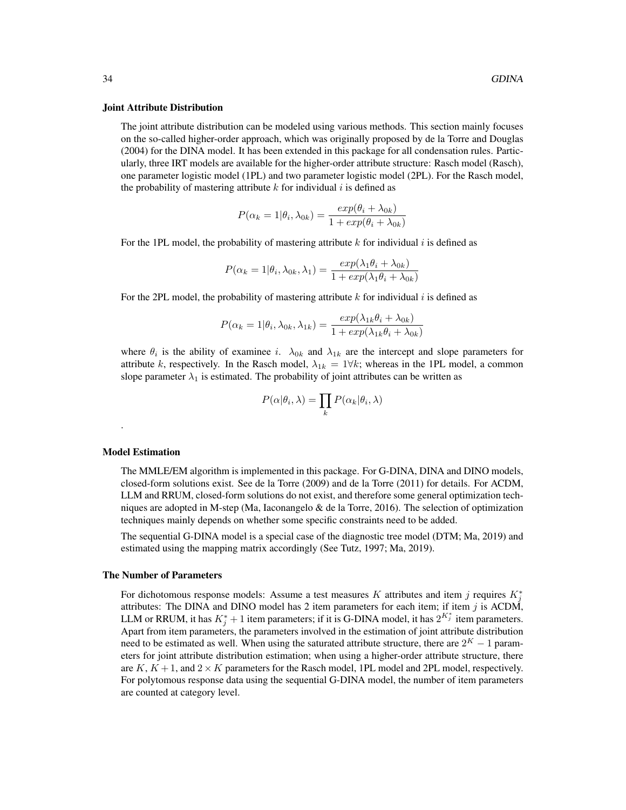#### Joint Attribute Distribution

The joint attribute distribution can be modeled using various methods. This section mainly focuses on the so-called higher-order approach, which was originally proposed by de la Torre and Douglas (2004) for the DINA model. It has been extended in this package for all condensation rules. Particularly, three IRT models are available for the higher-order attribute structure: Rasch model (Rasch), one parameter logistic model (1PL) and two parameter logistic model (2PL). For the Rasch model, the probability of mastering attribute  $k$  for individual  $i$  is defined as

$$
P(\alpha_k = 1 | \theta_i, \lambda_{0k}) = \frac{exp(\theta_i + \lambda_{0k})}{1 + exp(\theta_i + \lambda_{0k})}
$$

For the 1PL model, the probability of mastering attribute k for individual i is defined as

$$
P(\alpha_k = 1 | \theta_i, \lambda_{0k}, \lambda_1) = \frac{exp(\lambda_1 \theta_i + \lambda_{0k})}{1 + exp(\lambda_1 \theta_i + \lambda_{0k})}
$$

For the 2PL model, the probability of mastering attribute  $k$  for individual  $i$  is defined as

$$
P(\alpha_k = 1 | \theta_i, \lambda_{0k}, \lambda_{1k}) = \frac{exp(\lambda_{1k}\theta_i + \lambda_{0k})}{1 + exp(\lambda_{1k}\theta_i + \lambda_{0k})}
$$

where  $\theta_i$  is the ability of examinee i.  $\lambda_{0k}$  and  $\lambda_{1k}$  are the intercept and slope parameters for attribute k, respectively. In the Rasch model,  $\lambda_{1k} = 1 \forall k$ ; whereas in the 1PL model, a common slope parameter  $\lambda_1$  is estimated. The probability of joint attributes can be written as

$$
P(\alpha|\theta_i, \lambda) = \prod_k P(\alpha_k|\theta_i, \lambda)
$$

#### Model Estimation

.

The MMLE/EM algorithm is implemented in this package. For G-DINA, DINA and DINO models, closed-form solutions exist. See de la Torre (2009) and de la Torre (2011) for details. For ACDM, LLM and RRUM, closed-form solutions do not exist, and therefore some general optimization techniques are adopted in M-step (Ma, Iaconangelo  $\&$  de la Torre, 2016). The selection of optimization techniques mainly depends on whether some specific constraints need to be added.

The sequential G-DINA model is a special case of the diagnostic tree model (DTM; Ma, 2019) and estimated using the mapping matrix accordingly (See Tutz, 1997; Ma, 2019).

#### The Number of Parameters

For dichotomous response models: Assume a test measures K attributes and item j requires  $K_j^*$ attributes: The DINA and DINO model has 2 item parameters for each item; if item  $j$  is ACDM, LLM or RRUM, it has  $K_j^* + 1$  item parameters; if it is G-DINA model, it has  $2^{K_j^*}$  item parameters. Apart from item parameters, the parameters involved in the estimation of joint attribute distribution need to be estimated as well. When using the saturated attribute structure, there are  $2<sup>K</sup> - 1$  parameters for joint attribute distribution estimation; when using a higher-order attribute structure, there are  $K, K+1$ , and  $2 \times K$  parameters for the Rasch model, 1PL model and 2PL model, respectively. For polytomous response data using the sequential G-DINA model, the number of item parameters are counted at category level.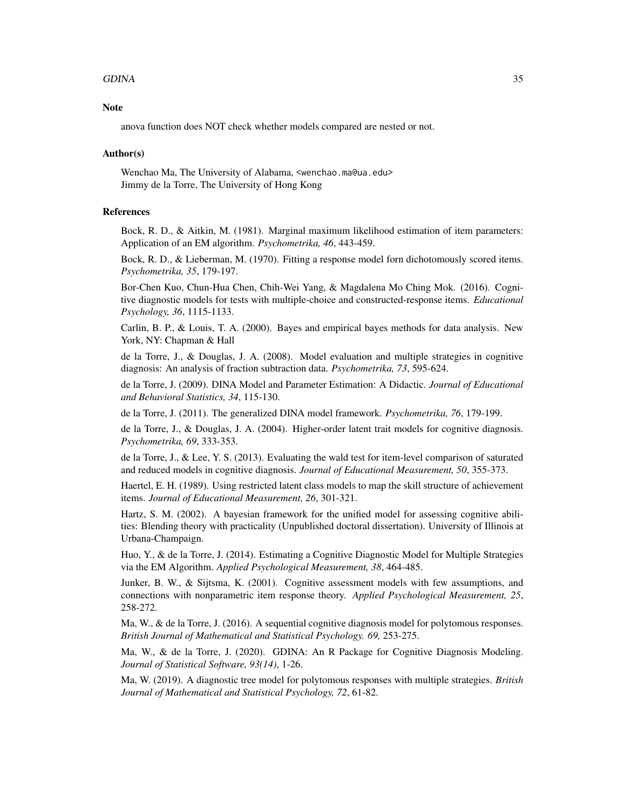#### GDINA 35

## **Note**

anova function does NOT check whether models compared are nested or not.

#### Author(s)

Wenchao Ma, The University of Alabama, <wenchao.ma@ua.edu> Jimmy de la Torre, The University of Hong Kong

## References

Bock, R. D., & Aitkin, M. (1981). Marginal maximum likelihood estimation of item parameters: Application of an EM algorithm. *Psychometrika, 46*, 443-459.

Bock, R. D., & Lieberman, M. (1970). Fitting a response model forn dichotomously scored items. *Psychometrika, 35*, 179-197.

Bor-Chen Kuo, Chun-Hua Chen, Chih-Wei Yang, & Magdalena Mo Ching Mok. (2016). Cognitive diagnostic models for tests with multiple-choice and constructed-response items. *Educational Psychology, 36*, 1115-1133.

Carlin, B. P., & Louis, T. A. (2000). Bayes and empirical bayes methods for data analysis. New York, NY: Chapman & Hall

de la Torre, J., & Douglas, J. A. (2008). Model evaluation and multiple strategies in cognitive diagnosis: An analysis of fraction subtraction data. *Psychometrika, 73*, 595-624.

de la Torre, J. (2009). DINA Model and Parameter Estimation: A Didactic. *Journal of Educational and Behavioral Statistics, 34*, 115-130.

de la Torre, J. (2011). The generalized DINA model framework. *Psychometrika, 76*, 179-199.

de la Torre, J., & Douglas, J. A. (2004). Higher-order latent trait models for cognitive diagnosis. *Psychometrika, 69*, 333-353.

de la Torre, J., & Lee, Y. S. (2013). Evaluating the wald test for item-level comparison of saturated and reduced models in cognitive diagnosis. *Journal of Educational Measurement, 50*, 355-373.

Haertel, E. H. (1989). Using restricted latent class models to map the skill structure of achievement items. *Journal of Educational Measurement, 26*, 301-321.

Hartz, S. M. (2002). A bayesian framework for the unified model for assessing cognitive abilities: Blending theory with practicality (Unpublished doctoral dissertation). University of Illinois at Urbana-Champaign.

Huo, Y., & de la Torre, J. (2014). Estimating a Cognitive Diagnostic Model for Multiple Strategies via the EM Algorithm. *Applied Psychological Measurement, 38*, 464-485.

Junker, B. W., & Sijtsma, K. (2001). Cognitive assessment models with few assumptions, and connections with nonparametric item response theory. *Applied Psychological Measurement, 25*, 258-272.

Ma, W., & de la Torre, J. (2016). A sequential cognitive diagnosis model for polytomous responses. *British Journal of Mathematical and Statistical Psychology. 69,* 253-275.

Ma, W., & de la Torre, J. (2020). GDINA: An R Package for Cognitive Diagnosis Modeling. *Journal of Statistical Software, 93(14)*, 1-26.

Ma, W. (2019). A diagnostic tree model for polytomous responses with multiple strategies. *British Journal of Mathematical and Statistical Psychology, 72*, 61-82.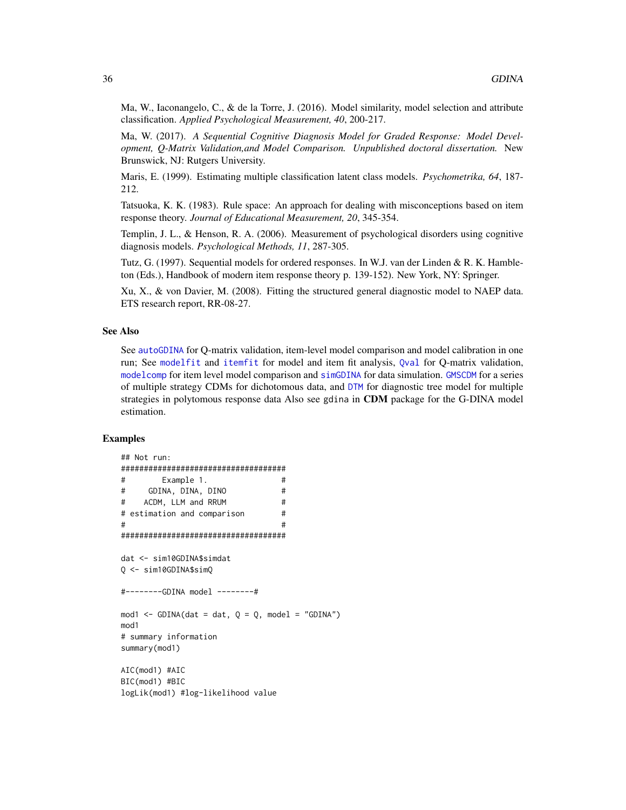Ma, W., Iaconangelo, C., & de la Torre, J. (2016). Model similarity, model selection and attribute classification. *Applied Psychological Measurement, 40*, 200-217.

Ma, W. (2017). *A Sequential Cognitive Diagnosis Model for Graded Response: Model Development, Q-Matrix Validation,and Model Comparison. Unpublished doctoral dissertation.* New Brunswick, NJ: Rutgers University.

Maris, E. (1999). Estimating multiple classification latent class models. *Psychometrika, 64*, 187- 212.

Tatsuoka, K. K. (1983). Rule space: An approach for dealing with misconceptions based on item response theory. *Journal of Educational Measurement, 20*, 345-354.

Templin, J. L., & Henson, R. A. (2006). Measurement of psychological disorders using cognitive diagnosis models. *Psychological Methods, 11*, 287-305.

Tutz, G. (1997). Sequential models for ordered responses. In W.J. van der Linden & R. K. Hambleton (Eds.), Handbook of modern item response theory p. 139-152). New York, NY: Springer.

Xu, X., & von Davier, M. (2008). Fitting the structured general diagnostic model to NAEP data. ETS research report, RR-08-27.

#### See Also

See [autoGDINA](#page-7-1) for Q-matrix validation, item-level model comparison and model calibration in one run; See [modelfit](#page-62-1) and [itemfit](#page-51-1) for model and item fit analysis, [Qval](#page-69-1) for Q-matrix validation, [modelcomp](#page-58-1) for item level model comparison and [simGDINA](#page-78-1) for data simulation. [GMSCDM](#page-45-1) for a series of multiple strategy CDMs for dichotomous data, and [DTM](#page-19-1) for diagnostic tree model for multiple strategies in polytomous response data Also see gdina in CDM package for the G-DINA model estimation.

```
## Not run:
####################################
# Example 1. #
# GDINA, DINA, DINO #
# ACDM, LLM and RRUM #
# estimation and comparison #
\# \#####################################
dat <- sim10GDINA$simdat
Q <- sim10GDINA$simQ
#--------GDINA model --------#
mod1 <- GDINA(dat = dat, Q = Q, model = "GDINA")
mod1
# summary information
summary(mod1)
AIC(mod1) #AIC
BIC(mod1) #BIC
logLik(mod1) #log-likelihood value
```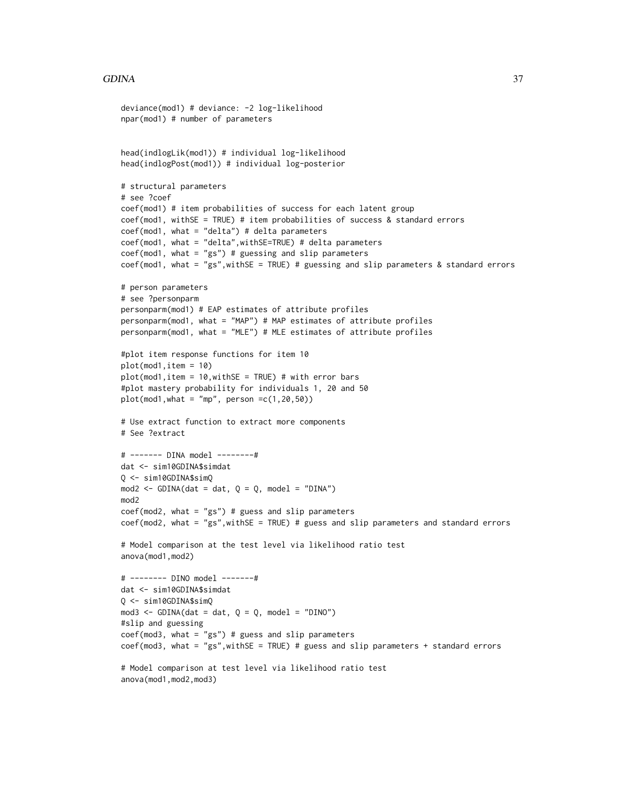#### GDINA 37

```
deviance(mod1) # deviance: -2 log-likelihood
npar(mod1) # number of parameters
head(indlogLik(mod1)) # individual log-likelihood
head(indlogPost(mod1)) # individual log-posterior
# structural parameters
# see ?coef
coef(mod1) # item probabilities of success for each latent group
coef(mod1, withSE = TRUE) # item probabilities of success & standard errors
coef(mod1, what = "delta") # delta parameterscoef(mod1, what = "delta",withSE=TRUE) # delta parameters
coef(mod1, what = "gs") # guessing and slip parameterscoef(mod1, what = "gs",withSE = TRUE) # guessing and slip parameters & standard errors
# person parameters
# see ?personparm
personparm(mod1) # EAP estimates of attribute profiles
personparm(mod1, what = "MAP") # MAP estimates of attribute profiles
personparm(mod1, what = "MLE") # MLE estimates of attribute profiles
#plot item response functions for item 10
plot(mod1,item = 10)
plot(mod1,item = 10, withSE = TRUE) # with error bars
#plot mastery probability for individuals 1, 20 and 50
plot(mod1, what = "mp", person =c(1,20,50))# Use extract function to extract more components
# See ?extract
# ------- DINA model --------#
dat <- sim10GDINA$simdat
Q <- sim10GDINA$simQ
mod2 < - GDINA(dat = dat, Q = Q, model = "DINA")
mod2
coef(mod2, what = "gs") # guess and slip parameterscoef(mod2, what = "gs",withSE = TRUE) # guess and slip parameters and standard errors
# Model comparison at the test level via likelihood ratio test
anova(mod1,mod2)
# -------- DINO model -------#
dat <- sim10GDINA$simdat
Q <- sim10GDINA$simQ
mod3 \le - GDINA(dat = dat, Q = Q, model = "DINO")
#slip and guessing
coef(mod3, what = "gs") # guess and slip parameters
coef(mod3, what = "gs",withSE = TRUE) # guess and slip parameters + standard errors
# Model comparison at test level via likelihood ratio test
anova(mod1,mod2,mod3)
```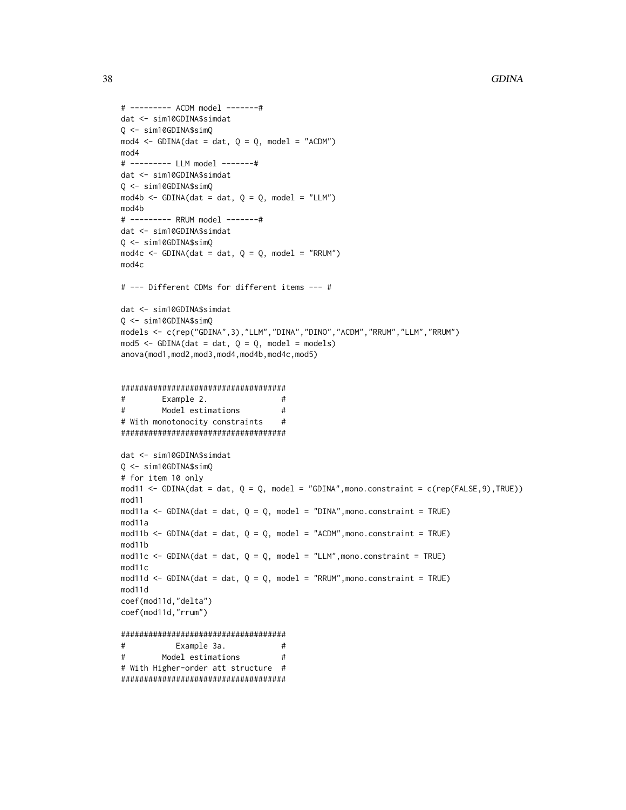```
# -------- ACDM model -------#
dat <- sim10GDINA$simdat
Q \le - \sin 10GDINA$simQ
mod4 \le - GDINA(dat = dat, Q = Q, model = "ACDM")
mod4# -------- LLM model -------#
dat <- sim10GDINA$simdat
Q \le -\sin 10GDINA$simQ
mod4b \leq -GDINA(data = dat, Q = Q, model = "LLM")mod4h# -------- RRUM model -------#
dat <- sim10GDINA$simdat
Q <- sim10GDINA$simQ
mod4c <- GDINA(dat = dat, Q = Q, model = "RRUM")
mod4c
# --- Different CDMs for different items --- #
dat <- sim10GDINA$simdat
Q <- sim10GDINA$simQ
models <- c(rep("GDINA",3),"LLM","DINA","DINO","ACDM","RRUM","LLM","RRUM")
mod5 \leq GDINA(dat = dat, Q = Q, model = models)
anova(mod1, mod2, mod3, mod4, mod4b, mod4c, mod5)
#Example 2.
                                 #Model estimations
                                 \### With monotonocity constraints
                                 #####################################
dat <- sim10GDINA$simdat
Q <- sim10GDINA$simQ
# for item 10 only
mod11 <- GDINA(dat = dat, Q = Q, model = "GDINA", mono.constraint = c(rep(FALSE, 9), TRUE))
mod11mod11a <- GDINA(dat = dat, Q = Q, model = "DINA", mono.constraint = TRUE)
mod11a
mod11b <- GDINA(dat = dat, Q = Q, model = "ACDM", mono.constraint = TRUE)
mod11b
mod11c <- GDINA(dat = dat, Q = Q, model = "LLM", mono.constraint = TRUE)
mod11cmod11d <- GDINA(dat = dat, Q = Q, model = "RRUM", mono.constraint = TRUE)
mod11d
coef(mod11d,"delta")
coef(mod11d,"rrum")
#Example 3a.
                                 ##Model estimations
                                  #
```
# With Higher-order att structure #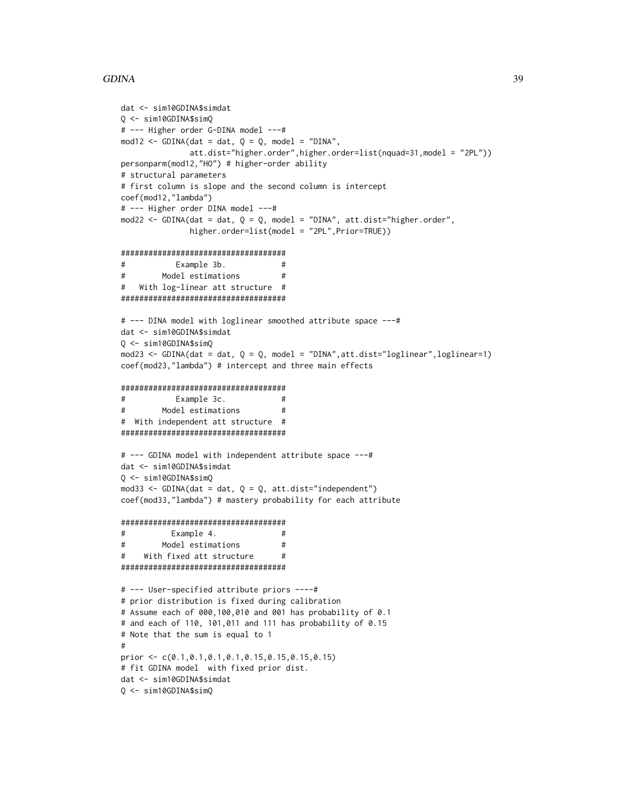# **GDINA**

```
dat <- sim10GDINA$simdat
Q \le - \sin 10GDINA$simQ
# --- Higher order G-DINA model ---#
mod12 <- GDINA(dat = dat, Q = Q, model = "DINA",
              att.dist="higher.order", higher.order=list(nquad=31, model = "2PL"))
personparm(mod12,"HO") # higher-order ability
# structural parameters
# first column is slope and the second column is intercept
coef(mod12,"lambda")
# --- Higher order DINA model ---#
mod22 <- GDINA(dat = dat, Q = Q, model = "DINA", att.dist="higher.order",
              higher.order=list(model = "2PL", Prior=TRUE))
#Example 3b.
                                 #\#Model estimations
                                 ##With log-linear att structure #
# --- DINA model with loglinear smoothed attribute space ---#
dat <- sim10GDINA$simdat
0 \le -\sin 10GDINA$simO
mod23 <- GDINA(dat = dat, Q = Q, model = "DINA", att.dist="loglinear", loglinear=1)
coef(mod23,"lambda") # intercept and three main effects
#Example 3c.
                                ##Model estimations
                                 ## With independent att structure #
# --- GDINA model with independent attribute space ---#
dat <- sim10GDINA$simdat
Q \le -\sin 10GDINA$simQ
mod33 <- GDINA(dat = dat, Q = Q, att.dist="independent")
coef(mod33,"lambda") # mastery probability for each attribute
####################################
#Example 4.
                                 ##Model estimations
                                 #With fixed att structure
######################################
# --- User-specified attribute priors ----#
# prior distribution is fixed during calibration
# Assume each of 000,100,010 and 001 has probability of 0.1
# and each of 110, 101,011 and 111 has probability of 0.15
# Note that the sum is equal to 1
\pmb{\pm}prior <- c(0.1, 0.1, 0.1, 0.1, 0.15, 0.15, 0.15, 0.15)# fit GDINA model with fixed prior dist.
dat <- sim10GDINA$simdat
Q <- sim10GDINA$simQ
```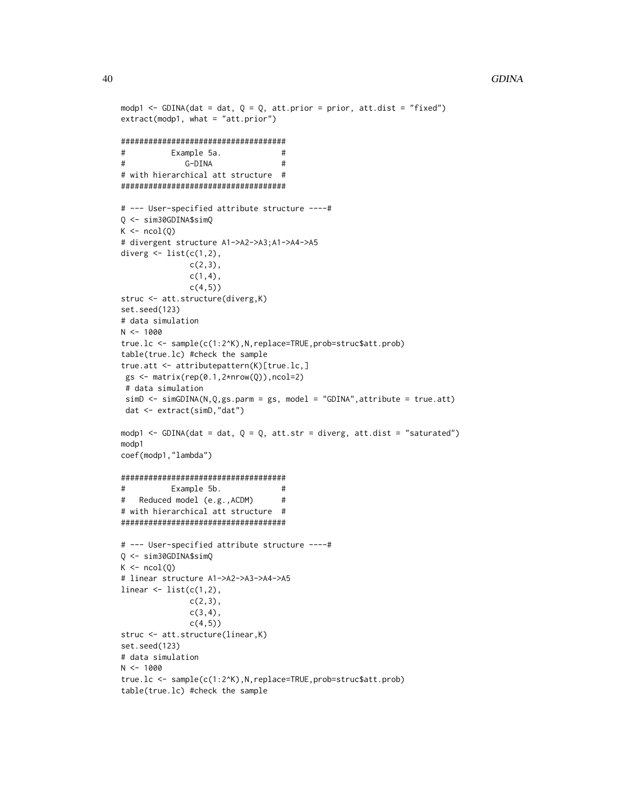```
modp1 <- GDINA(dat = dat, Q = Q, att.prior = prior, att.dist = "fixed")
extract(modp1, what = "att.print")#Example 5a.
                                 ##G-DINA
                                 \pm# with hierarchical att structure #
# --- User-specified attribute structure ----#
Q <- sim30GDINA$simQ
K \leftarrow \text{ncol}(Q)# divergent structure A1->A2->A3;A1->A4->A5
diverg \leq list(c(1,2),
              c(2,3),
              c(1,4),c(4,5))
struc <- att.structure(diverg,K)
set.seed(123)
# data simulation
N < -1000true.lc <- sample(c(1:2^K), N, replace=TRUE, prob=struc$att.prob)
table(true.lc) #check the sample
true.att <- attributepattern(K)[true.lc,]
gs \leftarrow matrix(rep(0.1, 2*nrow(Q)), ncol=2)# data simulation
simD \leftarrow simGDINA(N,Q,gs.parm = gs, model = "GDINA", attribute = true.att)dat <- extract(simD,"dat")
modp1 <- GDINA(dat = dat, Q = Q, att.str = diverg, att.dist = "saturated")
modp1
coef(modp1,"lambda")
#Example 5b.
                                 #Reduced model (e.g., ACDM)
### with hierarchical att structure #
# --- User-specified attribute structure ----#
Q \le -\sin 30GDINA$simQ
K \leftarrow \text{ncol}(Q)# linear structure A1->A2->A3->A4->A5
linear \leq list(c(1,2),
              c(2,3),
              c(3, 4),
              c(4,5)struc <- att.structure(linear,K)
set.seed(123)
# data simulation
N < -1000true.lc <- sample(c(1:2^K), N, replace=TRUE, prob=struc$att.prob)
table(true.lc) #check the sample
```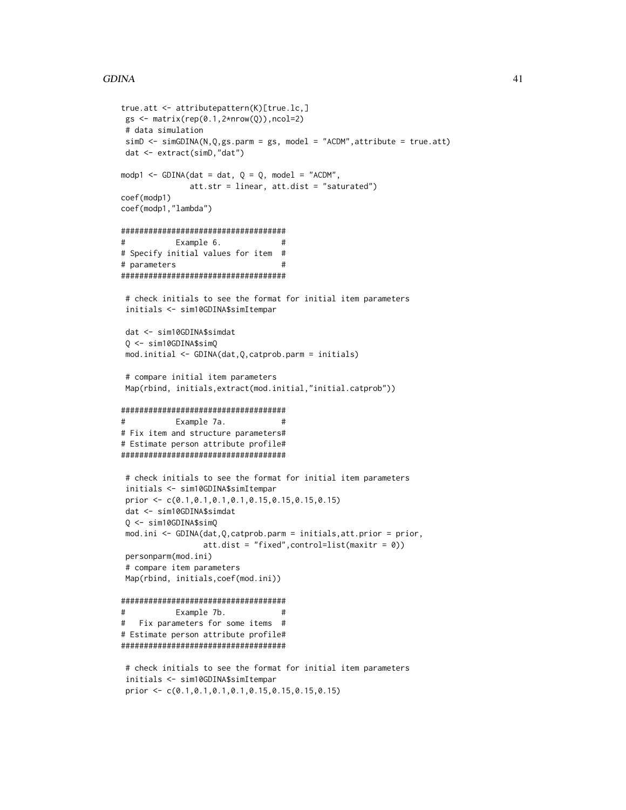# **GDINA**

```
true.att <- attributepattern(K)[true.lc,]
gs \leftarrow matrix(rep(0.1, 2*nrow(Q)), ncol=2)# data simulation
simD \le -simGDINA(N,Q,gs.parm = gs, model = "ACDM", attribute = true.att)dat <- extract(simD,"dat")
modp1 <- GDINA(dat = dat, Q = Q, model = "ACDM",
              att.str = linear, att.dist = "saturated")coef(modp1)
coef(modp1,"lambda")
#Example 6.
                                  ## Specify initial values for item #
# parameters
                                   ####################################
 # check initials to see the format for initial item parameters
initials <- sim10GDINA$simItempar
dat <- sim10GDINA$simdat
 0 \le - \sin 10GDINA$simQ
mod.initial <- GDINA(dat, Q, catprob.parm = initials)
 # compare initial item parameters
Map(rbind, initials, extract(mod. initial,"initial.catprob"))
###################################
#Example 7a.
                                  ## Fix item and structure parameters#
# Estimate person attribute profile#
####################################
 # check initials to see the format for initial item parameters
 initials <- sim10GDINA$simItempar
prior <- c(0.1, 0.1, 0.1, 0.1, 0.15, 0.15, 0.15, 0.15)dat <- sim10GDINA$simdat
Q <- sim10GDINA$simQ
mod.ini <- GDINA(dat, Q, catprob.parm = initials, att.prior = prior,
                 att.dist = "fixed", control=list(maxitr = 0)personparm(mod.ini)
# compare item parameters
Map(rbind, initials, coef(mod.ini))
####################################
#Example 7b.
                                  ## Fix parameters for some items #
# Estimate person attribute profile#
###################################
 # check initials to see the format for initial item parameters
 initials <- sim10GDINA$simItempar
```
prior <-  $c(0.1, 0.1, 0.1, 0.1, 0.15, 0.15, 0.15, 0.15)$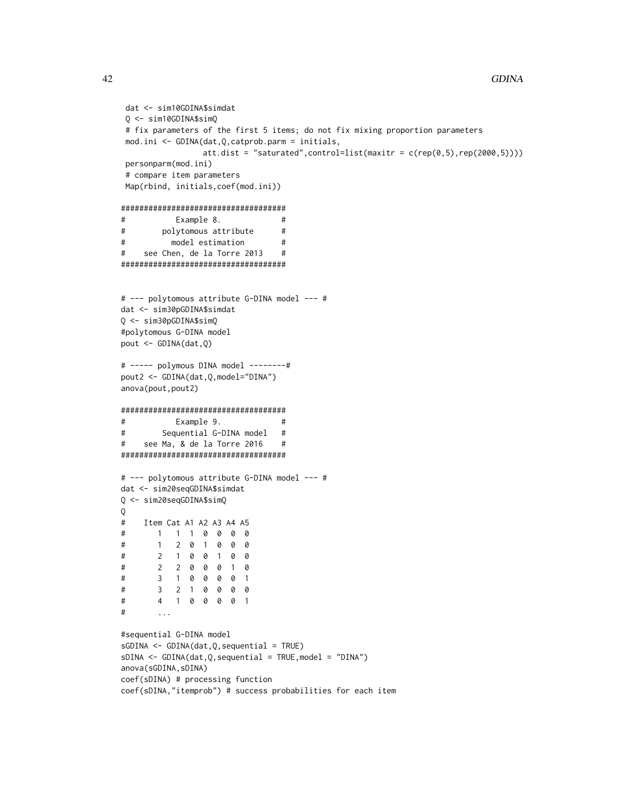```
dat <- sim10GDINA$simdat
Q \le - \sin 10GDINA$simQ
# fix parameters of the first 5 items; do not fix mixing proportion parameters
mod.ini <- GDINA(dat, Q, catprob.parm = initials,
                att.dist = "saturated", control=list(maxitr = c(rep(0,5), rep(2000,5))))personparm(mod.ini)
# compare item parameters
Map(rbind, initials, coef(mod.ini))
####################################
#Example 8.
                                 \#\#polytomous attribute
                                 #\#model estimation
                                 \#\#see Chen, de la Torre 2013
                                 \## --- polytomous attribute G-DINA model --- #
dat <- sim30pGDINA$simdat
Q <- sim30pGDINA$simQ
#polytomous G-DINA model
pout \leq GDINA(dat, Q)
# ----- polymous DINA model --------#
pout2 <- GDINA(dat, Q, model="DINA")
anova(pout, pout2)
\#\#Example 9.
#Sequential G-DINA model
                                ##see Ma, & de la Torre 2016
                                 ## --- polytomous attribute G-DINA model --- #
dat <- sim20seqGDINA$simdat
Q <- sim20seqGDINA$simQ
\mathsf{O}Item Cat A1 A2 A3 A4 A5
\#1 1 1 0 0 0 0
\#2 0 1 0 0
\#\mathbf{1}0
\#\overline{2}1 0 0 1 0 0
\#\overline{2}2 0 0 0 1 0
          1 0 0 0 0 1
#\overline{3}#3 2 1 0 0 0 0
       4 1 0 0 0 0 1
##\ddotsc#sequential G-DINA model
sGDINA <- GDINA(dat, Q, sequential = TRUE)
sDINA \leftarrow GDINA(data, Q, sequential = TRUE, model = "DINA")anova(sGDINA, sDINA)
coef(sDINA) # processing function
coef(sDINA,"itemprob") # success probabilities for each item
```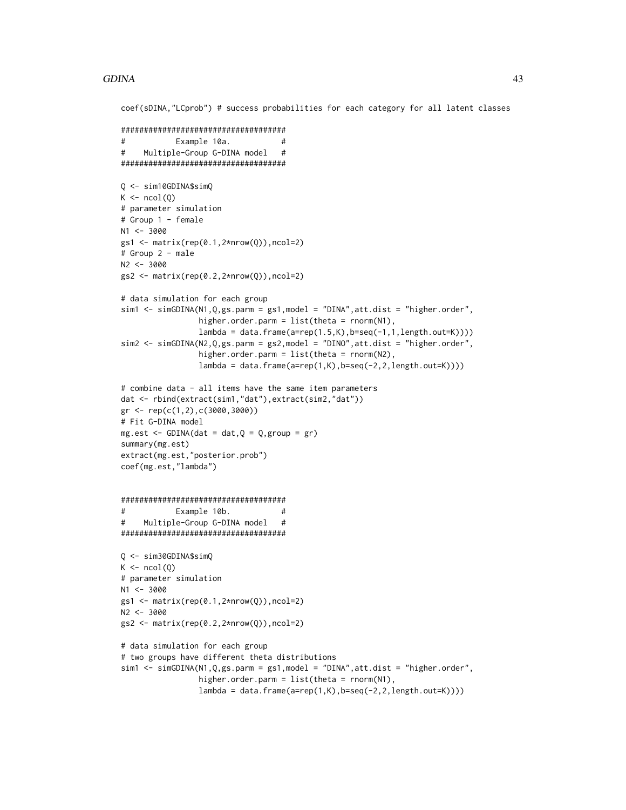## GDINA and the contract of the contract of the contract of the contract of the contract of the contract of the contract of the contract of the contract of the contract of the contract of the contract of the contract of the

coef(sDINA,"LCprob") # success probabilities for each category for all latent classes

```
####################################
# Example 10a. #
# Multiple-Group G-DINA model #
####################################
Q <- sim10GDINA$simQ
K \leftarrow \text{ncol}(0)# parameter simulation
# Group 1 - female
N1 <- 3000
gs1 <- matrix(rep(0.1,2*nrow(Q)),ncol=2)
# Group 2 - male
N2 <- 3000
gs2 \leftarrow matrix(rep(0.2,2*nrow(Q)),ncol=2)# data simulation for each group
sim1 <- simGDINA(N1,Q,gs.parm = gs1,model = "DINA",att.dist = "higher.order",
                 higher.order.parm = list(theta = rnorm(N1),
                 lambda = data.frame(a=rep(1.5,K),b=seq(-1,1,length.out=K))))sim2 <- simGDINA(N2,Q,gs.parm = gs2,model = "DINO",att.dist = "higher.order",
                 higher.order.parm = list(theta = rnorm(N2),
                 lambda = data frame(a=rep(1,K),b=seq(-2,2,length.out=K))))# combine data - all items have the same item parameters
dat <- rbind(extract(sim1,"dat"),extract(sim2,"dat"))
gr <- rep(c(1,2),c(3000,3000))
# Fit G-DINA model
mg.set < - GDINA(dat = dat,Q = Q,group = gr)
summary(mg.est)
extract(mg.est,"posterior.prob")
coef(mg.est,"lambda")
####################################
# Example 10b. #
# Multiple-Group G-DINA model #
####################################
Q <- sim30GDINA$simQ
K \leftarrow \text{ncol}(Q)# parameter simulation
N1 <- 3000
gs1 \leftarrow matrix(rep(0.1,2*nrow(Q)),ncol=2)N2 < -3000gs2 \leftarrow matrix(rep(0.2,2*nrow(Q)),ncol=2)# data simulation for each group
# two groups have different theta distributions
sim1 <- simGDINA(N1,Q,gs.parm = gs1,model = "DINA",att.dist = "higher.order",
                 higher.order.parm = list(theta = rnorm(N1),
                 lambda = data frame(a=rep(1,K),b=seq(-2,2,length.out=K))))
```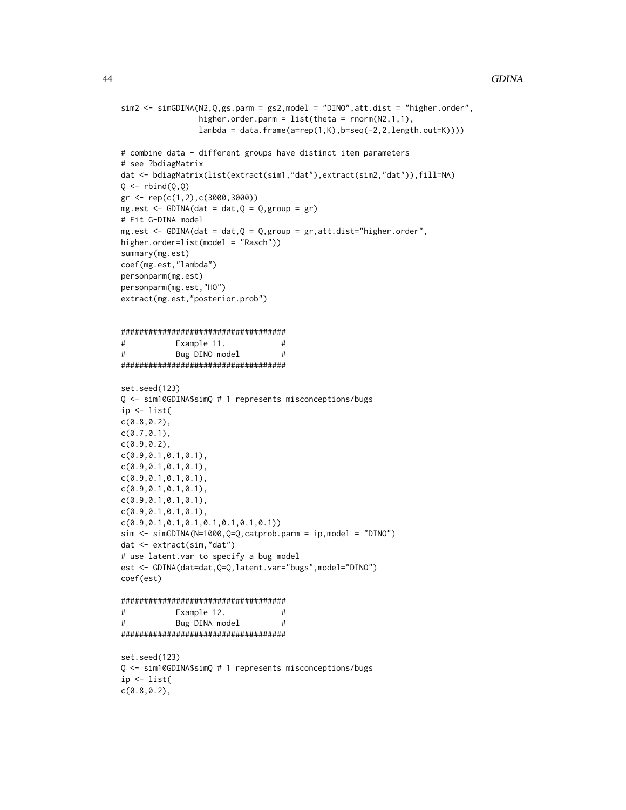```
sim2 <- simGDINA(N2,Q,gs.parm = gs2,model = "DINO",att.dist = "higher.order",
                higher.order.parm = list(theta = rnorm(N2,1,1),lambda = data.frame(a=rep(1,K),b=seq(-2,2,length.out=K))))
# combine data - different groups have distinct item parameters
# see ?bdiagMatrix
dat <- bdiagMatrix(list(extract(sim1,"dat"),extract(sim2,"dat")),fill=NA)
Q \leftarrow rbind(Q, Q)gr <- rep(c(1,2),c(3000,3000))
mg.est \leq GDINA(dat = dat,Q = Q, group = gr)
# Fit G-DINA model
mg.est \leq GDINA(dat = dat,Q = Q, group = gr, att.dist="higher.order",
higher.order=list(model = "Rasch"))
summary(mg.est)
coef(mg.est,"lambda")
personparm(mg.est)
personparm(mg.est,"HO")
extract(mg.est,"posterior.prob")
####################################
# Example 11. #
# Bug DINO model #
####################################
set.seed(123)
Q <- sim10GDINA$simQ # 1 represents misconceptions/bugs
ip <- list(
c(0.8,0.2),
c(0.7,0.1),
c(0.9, 0.2),
c(0.9,0.1,0.1,0.1),
c(0.9,0.1,0.1,0.1),
c(0.9, 0.1, 0.1, 0.1),
c(0.9,0.1,0.1,0.1),
c(0.9,0.1,0.1,0.1),
c(0.9,0.1,0.1,0.1),
c(0.9,0.1,0.1,0.1,0.1,0.1,0.1,0.1))
sim < simGDINA(N=1000,Q=Q,catprob.parm = ip,model = "DINO")
dat <- extract(sim,"dat")
# use latent.var to specify a bug model
est <- GDINA(dat=dat,Q=Q,latent.var="bugs",model="DINO")
coef(est)
####################################
# Example 12. #
# Bug DINA model #
####################################
set.seed(123)
Q <- sim10GDINA$simQ # 1 represents misconceptions/bugs
ip <- list(
c(0.8,0.2),
```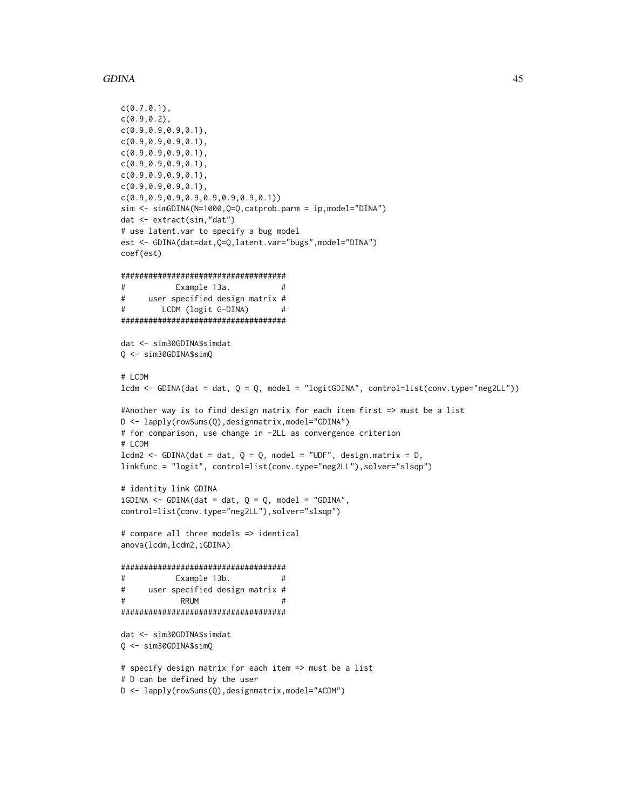```
GDINA
```

```
c(0.7, 0.1),
c(0.9, 0.2),
c(0.9, 0.9, 0.9, 0.1),c(0.9, 0.9, 0.9, 0.1),c(0.9, 0.9, 0.9, 0.1),c(0.9, 0.9, 0.9, 0.1),c(0.9, 0.9, 0.9, 0.1),C(0.9, 0.9, 0.9, 0.1),sim <- simGDINA(N=1000,Q=Q,catprob.parm = ip,model="DINA")
dat <- extract(sim,"dat")
# use latent.var to specify a bug model
est <- GDINA(dat=dat, Q=Q, latent. var="bugs", model="DINA")
coef(est)
#Example 13a.
                               #\pmb{\pm}user specified design matrix #
#LCDM (logit G-DINA)
                               #dat <- sim30GDINA$simdat
Q \le -\sin 30GDINA$simQ
# LCDM
lcdm <- GDINA(dat = dat, Q = Q, model = "logitGDINA", control=list(conv.type="neg2LL"))
#Another way is to find design matrix for each item first => must be a list
D <- lapply(rowSums(Q),designmatrix,model="GDINA")
# for comparison, use change in -2LL as convergence criterion
# LCDM
1cdm2 <- GDINA(dat = dat, Q = Q, model = "UDF", design.matrix = D,
linkfunc = "logit", control=list(conv.type="neg2LL"), solver="slsqp")
# identity link GDINA
iGDINA <- GDINA(dat = dat, Q = Q, model = "GDINA",
control=list(conv.type="neg2LL"), solver="slsqp")
# compare all three models => identical
anova(lcdm, lcdm2, iGDINA)
#Example 13b.
                               ##user specified design matrix #
\pmRRIM
                               #dat <- sim30GDINA$simdat
Q <- sim30GDINA$simQ
# specify design matrix for each item => must be a list
# D can be defined by the user
D <- lapply(rowSums(Q),designmatrix,model="ACDM")
```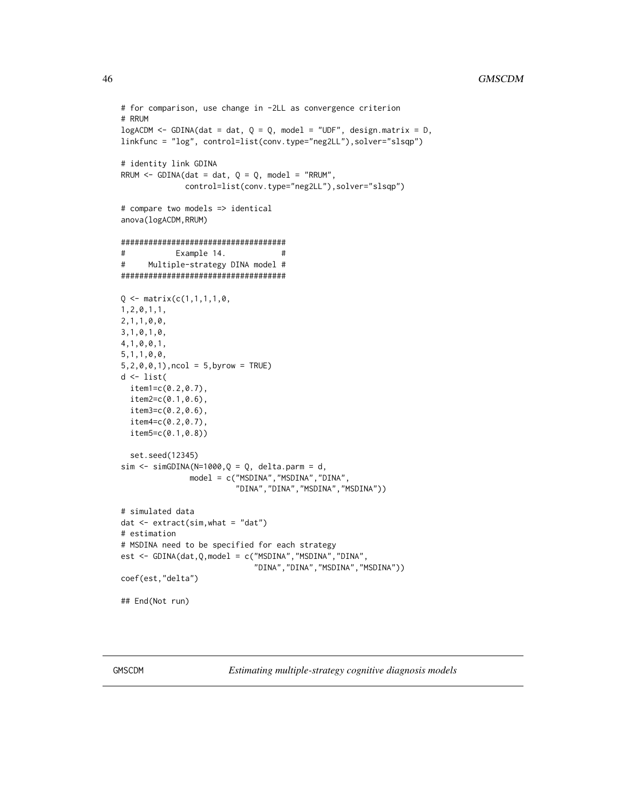```
# for comparison, use change in -2LL as convergence criterion
# RRUM
logACDM \leq GDINA(data = dat, Q = Q, model = "UDF", design_matrix = D,linkfunc = "log", control=list(conv.type="neg2LL"),solver="slsqp")
# identity link GDINA
RRUM \leq GDINA(dat = dat, Q = Q, model = "RRUM",
             control=list(conv.type="neg2LL"),solver="slsqp")
# compare two models => identical
anova(logACDM,RRUM)
####################################
# Example 14. #
# Multiple-strategy DINA model #
####################################
Q \leq - matrix(c(1,1,1,1,0,
1,2,0,1,1,
2,1,1,0,0,
3,1,0,1,0,
4,1,0,0,1,
5,1,1,0,0,
5,2,0,0,1),ncol = 5,byrow = TRUE)
d <- list(
  item1=c(0.2,0.7),
  item2=c(0.1,0.6),
  item3=c(0.2,0.6),
  item4=c(0.2,0.7),
  item5=c(0.1,0.8))
  set.seed(12345)
sim < -simGDINA(N=1000,Q = Q, delta.parm = d,
              model = c("MSDINA","MSDINA","DINA",
                         "DINA","DINA","MSDINA","MSDINA"))
# simulated data
dat < - extract(sim, what = "dat")# estimation
# MSDINA need to be specified for each strategy
est <- GDINA(dat,Q,model = c("MSDINA","MSDINA","DINA",
                             "DINA","DINA","MSDINA","MSDINA"))
coef(est,"delta")
## End(Not run)
```
GMSCDM *Estimating multiple-strategy cognitive diagnosis models*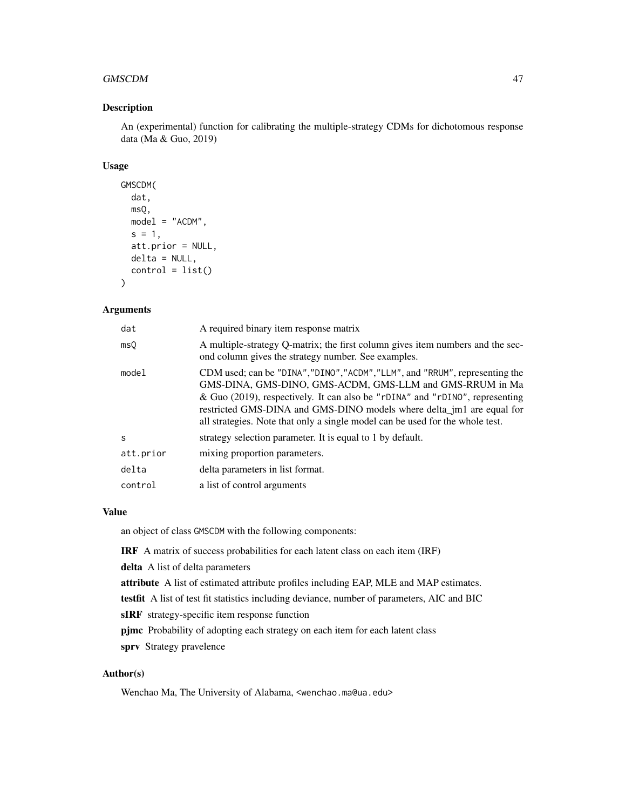#### GMSCDM 47

# Description

An (experimental) function for calibrating the multiple-strategy CDMs for dichotomous response data (Ma & Guo, 2019)

## Usage

```
GMSCDM(
  dat,
  msQ,
 model = "ACDM",
  s = 1,
  att.prior = NULL,
  delta = NULL,
  control = list())
```
## Arguments

| dat       | A required binary item response matrix                                                                                                                                                                                                                                                                                                                                             |
|-----------|------------------------------------------------------------------------------------------------------------------------------------------------------------------------------------------------------------------------------------------------------------------------------------------------------------------------------------------------------------------------------------|
| msQ       | A multiple-strategy Q-matrix; the first column gives item numbers and the sec-<br>ond column gives the strategy number. See examples.                                                                                                                                                                                                                                              |
| model     | CDM used; can be "DINA", "DINO", "ACDM", "LLM", and "RRUM", representing the<br>GMS-DINA, GMS-DINO, GMS-ACDM, GMS-LLM and GMS-RRUM in Ma<br>& Guo (2019), respectively. It can also be "rDINA" and "rDINO", representing<br>restricted GMS-DINA and GMS-DINO models where delta_jm1 are equal for<br>all strategies. Note that only a single model can be used for the whole test. |
| S         | strategy selection parameter. It is equal to 1 by default.                                                                                                                                                                                                                                                                                                                         |
| att.prior | mixing proportion parameters.                                                                                                                                                                                                                                                                                                                                                      |
| delta     | delta parameters in list format.                                                                                                                                                                                                                                                                                                                                                   |
| control   | a list of control arguments                                                                                                                                                                                                                                                                                                                                                        |

## Value

an object of class GMSCDM with the following components:

IRF A matrix of success probabilities for each latent class on each item (IRF)

delta A list of delta parameters

attribute A list of estimated attribute profiles including EAP, MLE and MAP estimates.

testfit A list of test fit statistics including deviance, number of parameters, AIC and BIC

sIRF strategy-specific item response function

pjmc Probability of adopting each strategy on each item for each latent class

sprv Strategy pravelence

## Author(s)

Wenchao Ma, The University of Alabama, <wenchao.ma@ua.edu>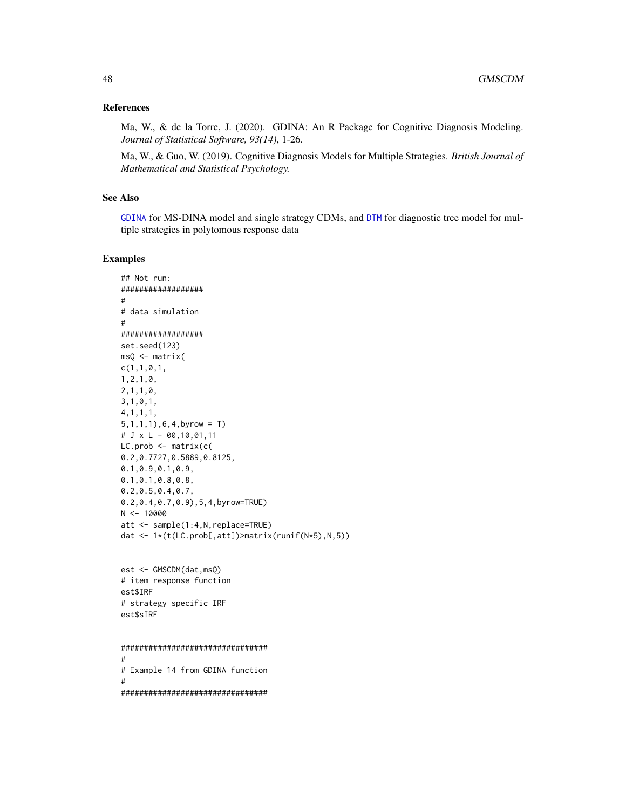## **References**

Ma, W., & de la Torre, J. (2020). GDINA: An R Package for Cognitive Diagnosis Modeling. Journal of Statistical Software, 93(14), 1-26.

Ma, W., & Guo, W. (2019). Cognitive Diagnosis Models for Multiple Strategies. British Journal of Mathematical and Statistical Psychology.

# **See Also**

GDINA for MS-DINA model and single strategy CDMs, and DTM for diagnostic tree model for multiple strategies in polytomous response data

## **Examples**

```
## Not run:
#################
\## data simulation
##################
set.seed(123)
msQ < - matrix(c(1,1,0,1,1, 2, 1, 0,2, 1, 1, 0,3, 1, 0, 1,4, 1, 1, 1,5, 1, 1, 1), 6, 4, byrow = T)
# J \times L - 00,10,01,11LC. prob \leftarrow matrix(c)0.2, 0.7727, 0.5889, 0.8125,0.1, 0.9, 0.1, 0.9,0.1, 0.1, 0.8, 0.8,0.2, 0.5, 0.4, 0.7,0.2, 0.4, 0.7, 0.9), 5, 4, byrow=TRUE)
N < -10000att <- sample(1:4, N, replace=TRUE)
dat <- 1*(t(LC.prob[,att])>matrix(runif(N*5),N,5))
est <- GMSCDM(dat, msQ)
# item response function
est$IRF
# strategy specific IRF
est$sIRF
```

```
###############################
## Example 14 from GDINA function
################################
```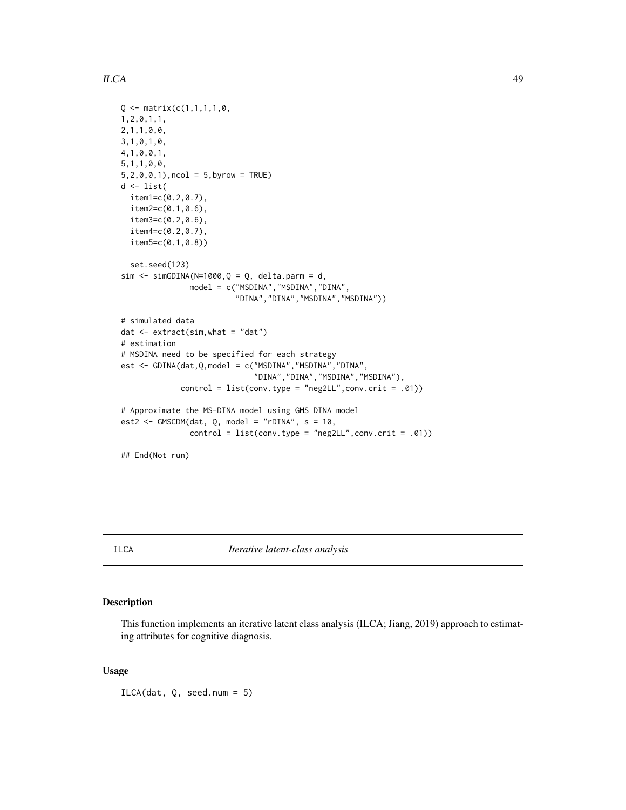## $ILCA$  49

```
Q \leq - matrix(c(1,1,1,1,0,1,2,0,1,1,
2,1,1,0,0,
3,1,0,1,0,
4,1,0,0,1,
5,1,1,0,0,
5, 2, 0, 0, 1, ncol = 5, byrow = TRUE)
d <- list(
  item1=c(0.2,0.7),
  item2=c(0.1,0.6),
  item3=c(0.2,0.6),
  item4=c(0.2,0.7),
  item5=c(0.1,0.8))
  set.seed(123)
sim \le simGDINA(N=1000, Q = Q, delta.parm = d,
               model = c("MSDINA","MSDINA","DINA",
                          "DINA","DINA","MSDINA","MSDINA"))
# simulated data
dat <- extract(sim,what = "dat")
# estimation
# MSDINA need to be specified for each strategy
est <- GDINA(dat,Q,model = c("MSDINA","MSDINA","DINA",
                              "DINA","DINA","MSDINA","MSDINA"),
             control = list(conv.type = "neg2LL",conv.crit = .01))
# Approximate the MS-DINA model using GMS DINA model
est2 <- GMSCDM(dat, Q, model = "rDINA", s = 10,
               control = list(conv.type = "neg2LL", conv.crit = .01))## End(Not run)
```
# Description

This function implements an iterative latent class analysis (ILCA; Jiang, 2019) approach to estimating attributes for cognitive diagnosis.

## Usage

ILCA(dat, Q, seed.num = 5)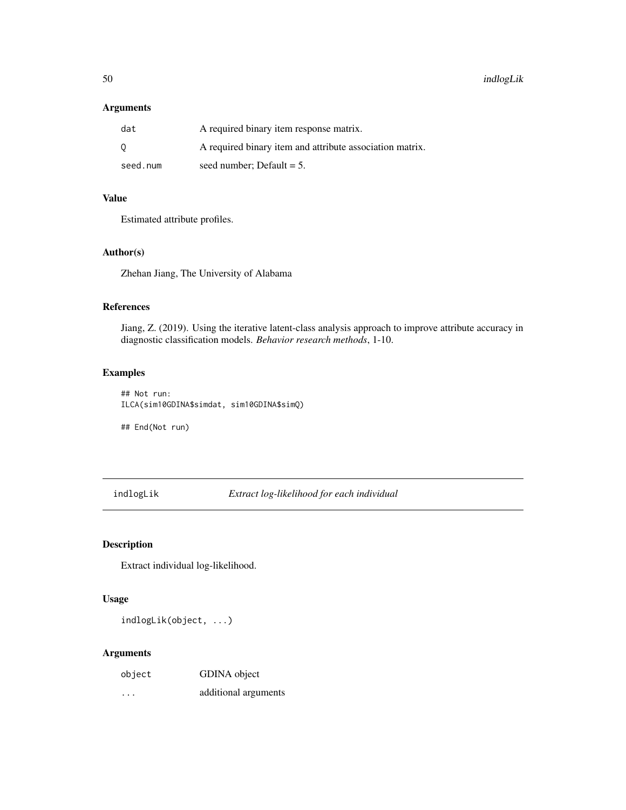# Arguments

| dat      | A required binary item response matrix.                  |
|----------|----------------------------------------------------------|
| - 0      | A required binary item and attribute association matrix. |
| seed.num | seed number: Default $= 5$ .                             |

# Value

Estimated attribute profiles.

## Author(s)

Zhehan Jiang, The University of Alabama

## References

Jiang, Z. (2019). Using the iterative latent-class analysis approach to improve attribute accuracy in diagnostic classification models. *Behavior research methods*, 1-10.

# Examples

## Not run: ILCA(sim10GDINA\$simdat, sim10GDINA\$simQ)

## End(Not run)

indlogLik *Extract log-likelihood for each individual*

# Description

Extract individual log-likelihood.

#### Usage

indlogLik(object, ...)

# Arguments

| object  | GDINA object         |
|---------|----------------------|
| $\cdot$ | additional arguments |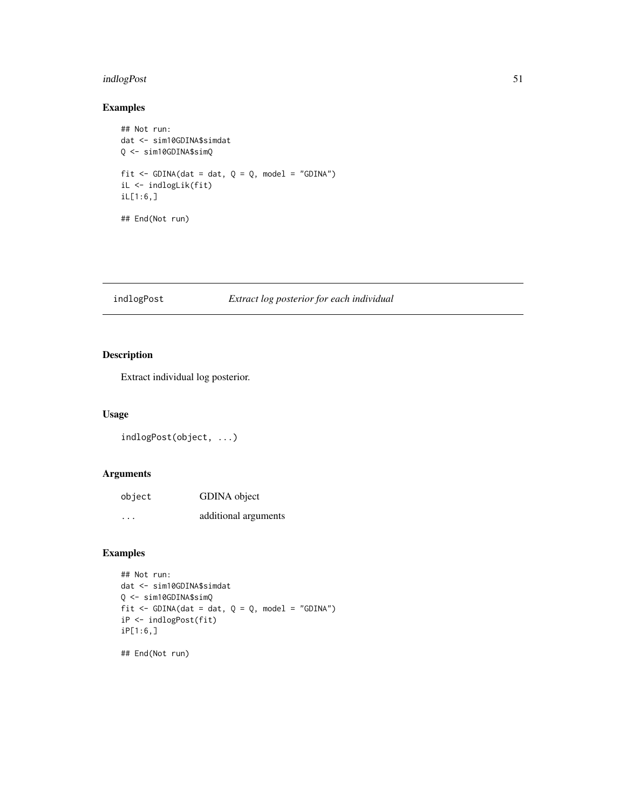# indlogPost 51

# Examples

```
## Not run:
dat <- sim10GDINA$simdat
Q <- sim10GDINA$simQ
fit \le GDINA(dat = dat, Q = Q, model = "GDINA")
iL <- indlogLik(fit)
iL[1:6,]
## End(Not run)
```
# indlogPost *Extract log posterior for each individual*

# Description

Extract individual log posterior.

# Usage

indlogPost(object, ...)

# Arguments

| object | GDINA object         |
|--------|----------------------|
| .      | additional arguments |

# Examples

```
## Not run:
dat <- sim10GDINA$simdat
Q <- sim10GDINA$simQ
fit \le GDINA(dat = dat, Q = Q, model = "GDINA")
iP <- indlogPost(fit)
iP[1:6,]
```
## End(Not run)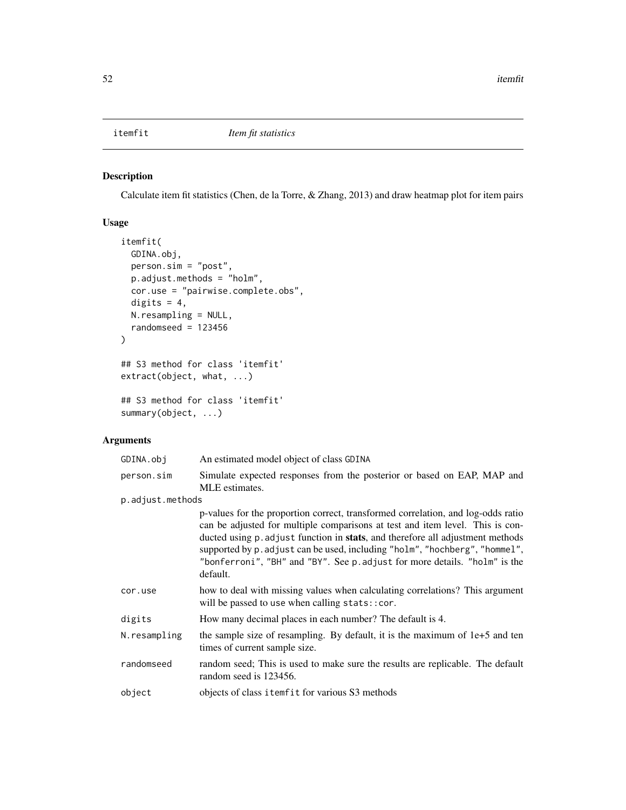# <span id="page-51-0"></span>Description

Calculate item fit statistics (Chen, de la Torre, & Zhang, 2013) and draw heatmap plot for item pairs

# Usage

```
itemfit(
 GDINA.obj,
 person.sim = "post",
 p.adjust.methods = "holm",
 cor.use = "pairwise.complete.obs",
 digits = 4,
 N.resampling = NULL,
  randomseed = 123456)
## S3 method for class 'itemfit'
extract(object, what, ...)
## S3 method for class 'itemfit'
```

```
summary(object, ...)
```
# Arguments

| GDINA.obj        | An estimated model object of class GDINA                                                                                                                                                                                                                                                                                                                                                                                     |
|------------------|------------------------------------------------------------------------------------------------------------------------------------------------------------------------------------------------------------------------------------------------------------------------------------------------------------------------------------------------------------------------------------------------------------------------------|
| person.sim       | Simulate expected responses from the posterior or based on EAP, MAP and<br>MLE estimates.                                                                                                                                                                                                                                                                                                                                    |
| p.adjust.methods |                                                                                                                                                                                                                                                                                                                                                                                                                              |
|                  | p-values for the proportion correct, transformed correlation, and log-odds ratio<br>can be adjusted for multiple comparisons at test and item level. This is con-<br>ducted using p. adjust function in stats, and therefore all adjustment methods<br>supported by p. adjust can be used, including "holm", "hochberg", "hommel",<br>"bonferroni", "BH" and "BY". See p. adjust for more details. "holm" is the<br>default. |
| cor.use          | how to deal with missing values when calculating correlations? This argument<br>will be passed to use when calling stats:: cor.                                                                                                                                                                                                                                                                                              |
| digits           | How many decimal places in each number? The default is 4.                                                                                                                                                                                                                                                                                                                                                                    |
| N.resampling     | the sample size of resampling. By default, it is the maximum of 1e+5 and ten<br>times of current sample size.                                                                                                                                                                                                                                                                                                                |
| randomseed       | random seed; This is used to make sure the results are replicable. The default<br>random seed is 123456.                                                                                                                                                                                                                                                                                                                     |
| object           | objects of class itemfit for various S3 methods                                                                                                                                                                                                                                                                                                                                                                              |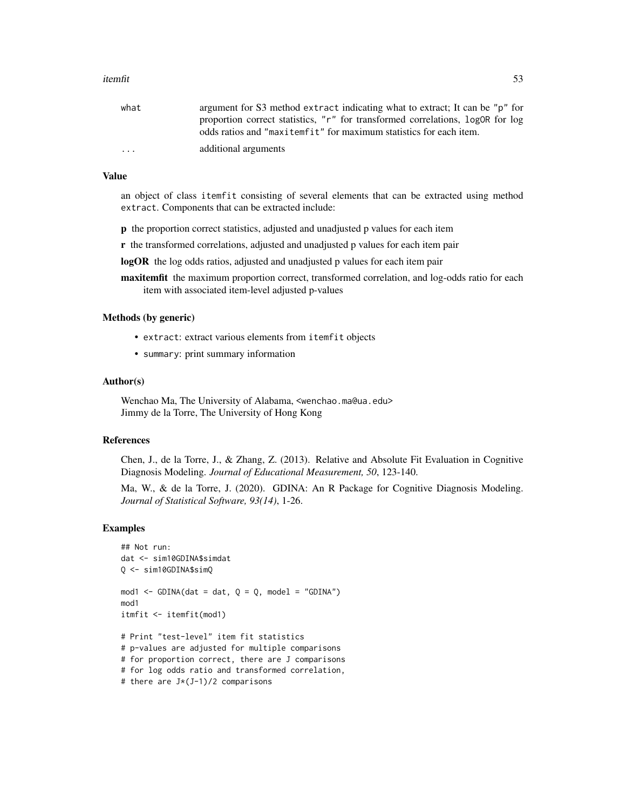#### itemfit 53

| what                    | argument for S3 method extract indicating what to extract; It can be "p" for   |
|-------------------------|--------------------------------------------------------------------------------|
|                         | proportion correct statistics, "r" for transformed correlations, logOR for log |
|                         | odds ratios and "maxitemfit" for maximum statistics for each item.             |
| $\cdot$ $\cdot$ $\cdot$ | additional arguments                                                           |

# Value

an object of class itemfit consisting of several elements that can be extracted using method extract. Components that can be extracted include:

p the proportion correct statistics, adjusted and unadjusted p values for each item

r the transformed correlations, adjusted and unadjusted p values for each item pair

logOR the log odds ratios, adjusted and unadjusted p values for each item pair

maxitemfit the maximum proportion correct, transformed correlation, and log-odds ratio for each item with associated item-level adjusted p-values

#### Methods (by generic)

- extract: extract various elements from itemfit objects
- summary: print summary information

## Author(s)

Wenchao Ma, The University of Alabama, <wenchao.ma@ua.edu> Jimmy de la Torre, The University of Hong Kong

## References

Chen, J., de la Torre, J., & Zhang, Z. (2013). Relative and Absolute Fit Evaluation in Cognitive Diagnosis Modeling. *Journal of Educational Measurement, 50*, 123-140.

Ma, W., & de la Torre, J. (2020). GDINA: An R Package for Cognitive Diagnosis Modeling. *Journal of Statistical Software, 93(14)*, 1-26.

## Examples

```
## Not run:
dat <- sim10GDINA$simdat
Q <- sim10GDINA$simQ
mod1 <- GDINA(dat = dat, Q = Q, model = "GDINA")
mod1
itmfit <- itemfit(mod1)
# Print "test-level" item fit statistics
# p-values are adjusted for multiple comparisons
# for proportion correct, there are J comparisons
# for log odds ratio and transformed correlation,
```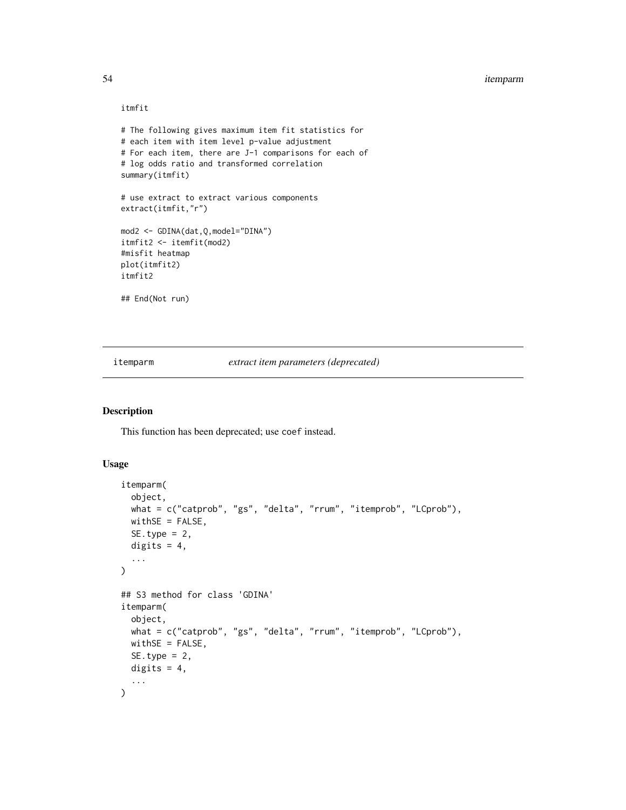#### 54 itemparm

## itmfit

```
# The following gives maximum item fit statistics for
# each item with item level p-value adjustment
# For each item, there are J-1 comparisons for each of
# log odds ratio and transformed correlation
summary(itmfit)
# use extract to extract various components
extract(itmfit,"r")
mod2 <- GDINA(dat,Q,model="DINA")
itmfit2 <- itemfit(mod2)
#misfit heatmap
plot(itmfit2)
itmfit2
## End(Not run)
```
itemparm *extract item parameters (deprecated)*

## Description

This function has been deprecated; use coef instead.

## Usage

```
itemparm(
 object,
 what = c("catprob", "gs", "delta", "rrum", "itemprob", "LCprob"),
 withSE = FALSE,SE.type = 2,
 digits = 4,
  ...
\mathcal{L}## S3 method for class 'GDINA'
itemparm(
 object,
 what = c("catprob", "gs", "delta", "rrum", "itemprob", "LCprob"),
 withSE = FALSE,SE.type = 2,
 digits = 4,
  ...
)
```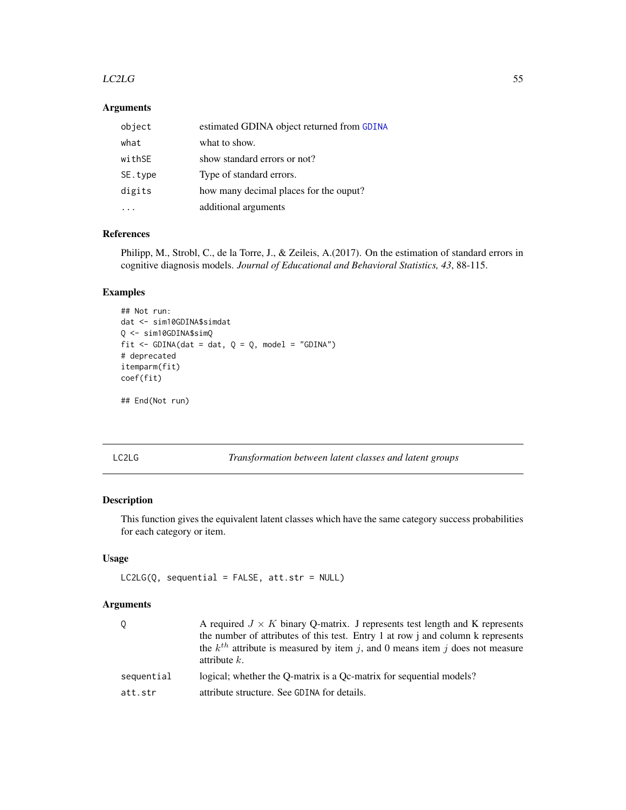#### $LC2LG$  55

# Arguments

| object  | estimated GDINA object returned from GDINA |
|---------|--------------------------------------------|
| what    | what to show.                              |
| withSE  | show standard errors or not?               |
| SE.type | Type of standard errors.                   |
| digits  | how many decimal places for the ouput?     |
|         | additional arguments                       |

# References

Philipp, M., Strobl, C., de la Torre, J., & Zeileis, A.(2017). On the estimation of standard errors in cognitive diagnosis models. *Journal of Educational and Behavioral Statistics, 43*, 88-115.

# Examples

```
## Not run:
dat <- sim10GDINA$simdat
Q <- sim10GDINA$simQ
fit \le - GDINA(dat = dat, Q = Q, model = "GDINA")
# deprecated
itemparm(fit)
coef(fit)
## End(Not run)
```
LC2LG *Transformation between latent classes and latent groups*

# Description

This function gives the equivalent latent classes which have the same category success probabilities for each category or item.

## Usage

```
LC2LG(Q, sequential = FALSE, att.str = NULL)
```
#### Arguments

| Q.         | A required $J \times K$ binary O-matrix. J represents test length and K represents<br>the number of attributes of this test. Entry 1 at row j and column k represents<br>the $k^{th}$ attribute is measured by item j, and 0 means item j does not measure<br>attribute $k$ . |
|------------|-------------------------------------------------------------------------------------------------------------------------------------------------------------------------------------------------------------------------------------------------------------------------------|
| sequential | logical; whether the O-matrix is a Oc-matrix for sequential models?                                                                                                                                                                                                           |
| att.str    | attribute structure. See GDINA for details.                                                                                                                                                                                                                                   |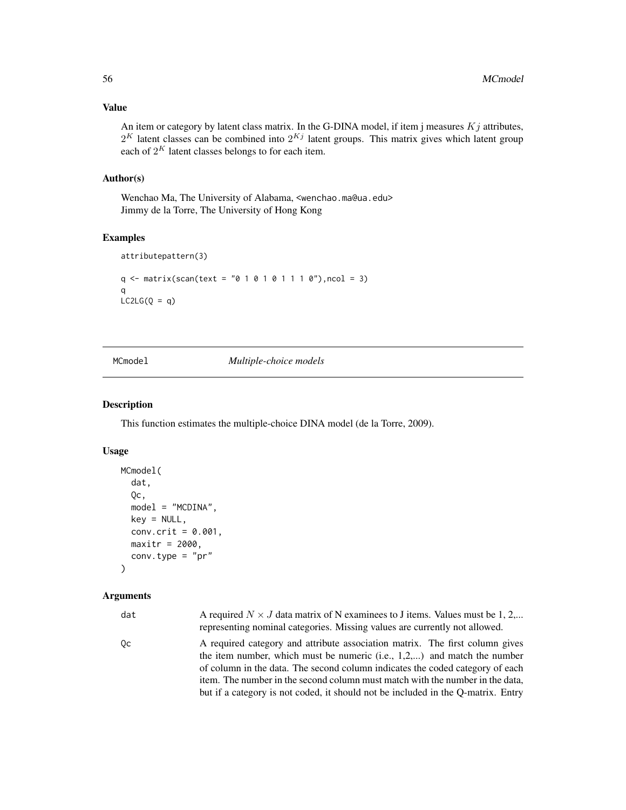## Value

An item or category by latent class matrix. In the G-DINA model, if item j measures  $Kj$  attributes,  $2^K$  latent classes can be combined into  $2^{Kj}$  latent groups. This matrix gives which latent group each of  $2^K$  latent classes belongs to for each item.

## Author(s)

Wenchao Ma, The University of Alabama, <wenchao.ma@ua.edu> Jimmy de la Torre, The University of Hong Kong

# Examples

```
attributepattern(3)
q \leq matrix(scan(text = "0 1 0 1 0 1 1 1 0"), ncol = 3)
q
LC2LG(Q = q)
```
MCmodel *Multiple-choice models*

## Description

This function estimates the multiple-choice DINA model (de la Torre, 2009).

# Usage

```
MCmodel(
  dat,
  Qc,
  model = "MCDINA",
  key = NULL,
  conv.crit = 0.001,
 maxitr = 2000,conv.type = "pr")
```
## Arguments

| dat | A required $N \times J$ data matrix of N examinees to J items. Values must be 1, 2,<br>representing nominal categories. Missing values are currently not allowed.                                                                                                                                                                                                                                                 |
|-----|-------------------------------------------------------------------------------------------------------------------------------------------------------------------------------------------------------------------------------------------------------------------------------------------------------------------------------------------------------------------------------------------------------------------|
| 0c  | A required category and attribute association matrix. The first column gives<br>the item number, which must be numeric (i.e., $1,2,$ ) and match the number<br>of column in the data. The second column indicates the coded category of each<br>item. The number in the second column must match with the number in the data,<br>but if a category is not coded, it should not be included in the Q-matrix. Entry |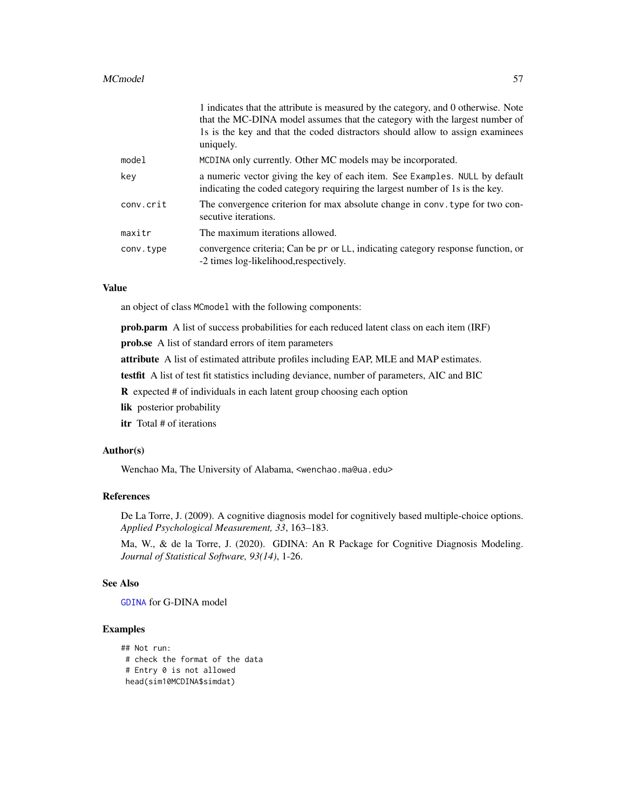#### MCmodel 57

|           | 1 indicates that the attribute is measured by the category, and 0 otherwise. Note<br>that the MC-DINA model assumes that the category with the largest number of<br>1s is the key and that the coded distractors should allow to assign examinees<br>uniquely. |
|-----------|----------------------------------------------------------------------------------------------------------------------------------------------------------------------------------------------------------------------------------------------------------------|
| model     | MCDINA only currently. Other MC models may be incorporated.                                                                                                                                                                                                    |
| key       | a numeric vector giving the key of each item. See Examples. NULL by default<br>indicating the coded category requiring the largest number of 1s is the key.                                                                                                    |
| conv.crit | The convergence criterion for max absolute change in conv. type for two con-<br>secutive iterations.                                                                                                                                                           |
| maxitr    | The maximum iterations allowed.                                                                                                                                                                                                                                |
| conv.type | convergence criteria; Can be pr or LL, indicating category response function, or<br>-2 times log-likelihood, respectively.                                                                                                                                     |

## Value

an object of class MCmodel with the following components:

prob.parm A list of success probabilities for each reduced latent class on each item (IRF)

prob.se A list of standard errors of item parameters

attribute A list of estimated attribute profiles including EAP, MLE and MAP estimates.

testfit A list of test fit statistics including deviance, number of parameters, AIC and BIC

R expected # of individuals in each latent group choosing each option

lik posterior probability

itr Total # of iterations

### Author(s)

Wenchao Ma, The University of Alabama, <wenchao.ma@ua.edu>

#### References

De La Torre, J. (2009). A cognitive diagnosis model for cognitively based multiple-choice options. *Applied Psychological Measurement, 33*, 163–183.

Ma, W., & de la Torre, J. (2020). GDINA: An R Package for Cognitive Diagnosis Modeling. *Journal of Statistical Software, 93(14)*, 1-26.

#### See Also

[GDINA](#page-25-0) for G-DINA model

## Examples

```
## Not run:
# check the format of the data
# Entry 0 is not allowed
head(sim10MCDINA$simdat)
```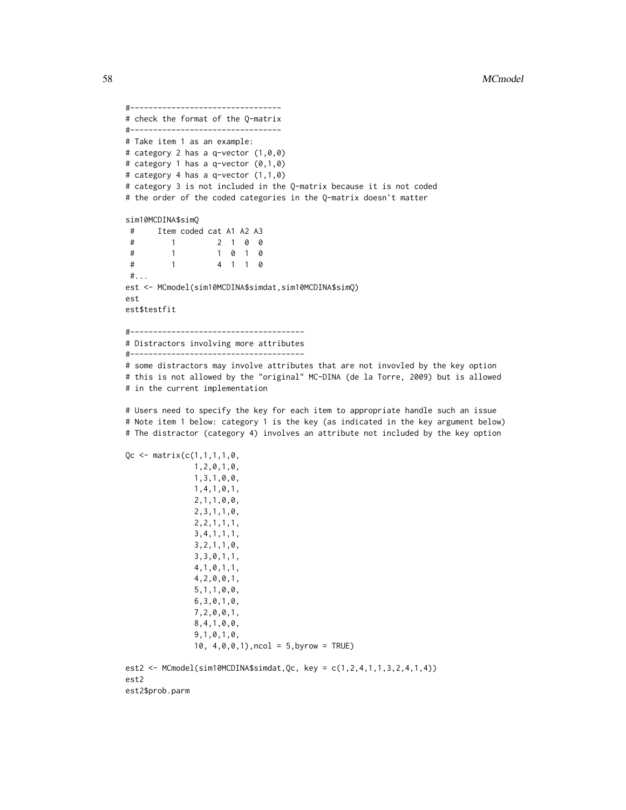```
#----------------------------------
# check the format of the Q-matrix
#---------------------------------
# Take item 1 as an example:
# category 2 has a q-vector (1,0,0)
# category 1 has a q-vector (0,1,0)
# category 4 has a q-vector (1,1,0)
# category 3 is not included in the Q-matrix because it is not coded
# the order of the coded categories in the Q-matrix doesn't matter
sim10MCDINA$simQ
      Item coded cat A1 A2 A3
#2 1 0 0
\#\overline{1}1 0 1 0
\#\mathbf{1}#\overline{1}4 1 1 0
\#...
est <- MCmodel(sim10MCDINA$simdat,sim10MCDINA$simQ)
est
est$testfit
# Distractors involving more attributes
```
# some distractors may involve attributes that are not invovled by the key option # this is not allowed by the "original" MC-DINA (de la Torre, 2009) but is allowed # in the current implementation

# Users need to specify the key for each item to appropriate handle such an issue # Note item 1 below: category 1 is the key (as indicated in the key argument below) # The distractor (category 4) involves an attribute not included by the key option

```
Qc \leq - matrix(c(1,1,1,1,0,1, 2, 0, 1, 0,1, 3, 1, 0, 0,1, 4, 1, 0, 1,2, 1, 1, 0, 0,2, 3, 1, 1, 0,2, 2, 1, 1, 1,3, 4, 1, 1, 1,3, 2, 1, 1, 0,3, 3, 0, 1, 1,4, 1, 0, 1, 1,4, 2, 0, 0, 1,5, 1, 1, 0, 0,6, 3, 0, 1, 0,7, 2, 0, 0, 1,8, 4, 1, 0, 0,9, 1, 0, 1, 0,10, 4, 0, 0, 1, ncol = 5, byrow = TRUE)
est2 <- MCmodel(sim10MCDINA$simdat, Qc, key = c(1, 2, 4, 1, 1, 3, 2, 4, 1, 4))
```
est2 est2\$prob.parm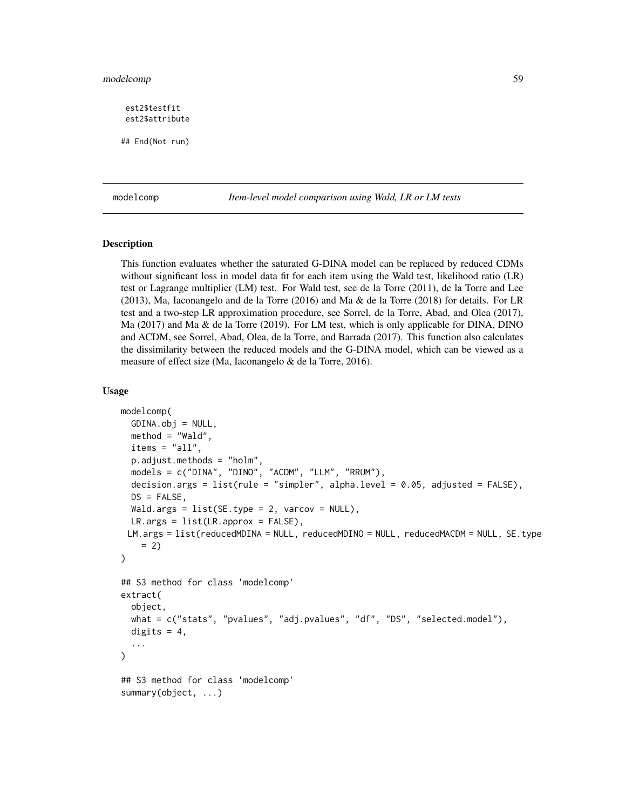## modelcomp 59

est2\$testfit est2\$attribute

## End(Not run)

modelcomp *Item-level model comparison using Wald, LR or LM tests*

## Description

This function evaluates whether the saturated G-DINA model can be replaced by reduced CDMs without significant loss in model data fit for each item using the Wald test, likelihood ratio (LR) test or Lagrange multiplier (LM) test. For Wald test, see de la Torre (2011), de la Torre and Lee (2013), Ma, Iaconangelo and de la Torre (2016) and Ma & de la Torre (2018) for details. For LR test and a two-step LR approximation procedure, see Sorrel, de la Torre, Abad, and Olea (2017), Ma (2017) and Ma & de la Torre (2019). For LM test, which is only applicable for DINA, DINO and ACDM, see Sorrel, Abad, Olea, de la Torre, and Barrada (2017). This function also calculates the dissimilarity between the reduced models and the G-DINA model, which can be viewed as a measure of effect size (Ma, Iaconangelo & de la Torre, 2016).

#### Usage

```
modelcomp(
  GDINA.obj = NULL,
 method = "Wald",
  items = "all",
  p.adjust.methods = "holm",
  models = c("DINA", "DINO", "ACDM", "LLM", "RRUM"),
  decision.args = list(rule = "simpler", alpha.level = 0.05, adjusted = FALSE),
 DS = FALSE,
 Wald.args = list(SE-type = 2, varcov = NULL),
 LR.args = list(LR.approx = FALSE),
 LM.args = list(reducedMDINA = NULL, reducedMDINO = NULL, reducedMACDM = NULL, SE.type
    = 2))
## S3 method for class 'modelcomp'
extract(
 object,
 what = c("stats", "pvalues", "adj.pvalues", "df", "DS", "selected.model"),
  digits = 4,
  ...
)
## S3 method for class 'modelcomp'
summary(object, ...)
```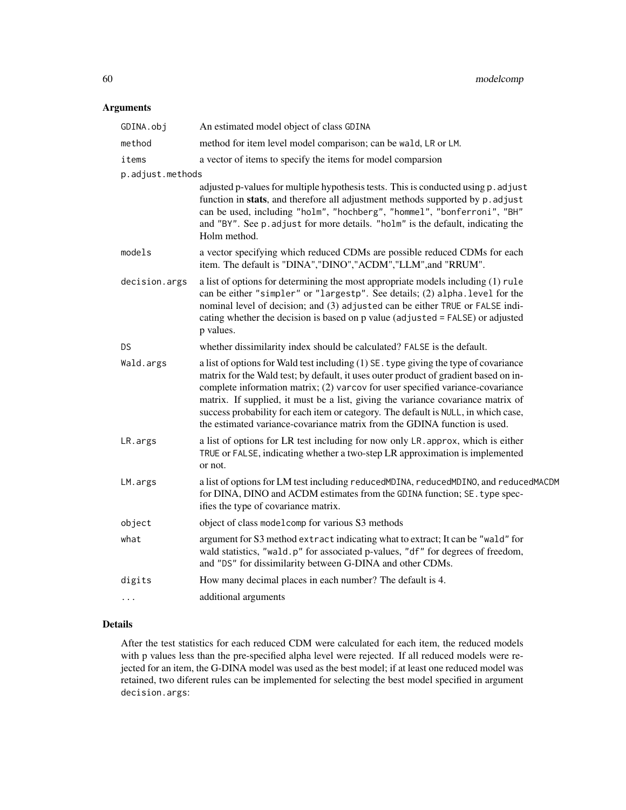# Arguments

| GDINA.obj        | An estimated model object of class GDINA                                                                                                                                                                                                                                                                                                                                                                                                                                                                                |
|------------------|-------------------------------------------------------------------------------------------------------------------------------------------------------------------------------------------------------------------------------------------------------------------------------------------------------------------------------------------------------------------------------------------------------------------------------------------------------------------------------------------------------------------------|
| method           | method for item level model comparison; can be wald, LR or LM.                                                                                                                                                                                                                                                                                                                                                                                                                                                          |
| items            | a vector of items to specify the items for model comparsion                                                                                                                                                                                                                                                                                                                                                                                                                                                             |
| p.adjust.methods |                                                                                                                                                                                                                                                                                                                                                                                                                                                                                                                         |
|                  | adjusted p-values for multiple hypothesis tests. This is conducted using p. adjust<br>function in stats, and therefore all adjustment methods supported by p. adjust<br>can be used, including "holm", "hochberg", "hommel", "bonferroni", "BH"<br>and "BY". See p. adjust for more details. "holm" is the default, indicating the<br>Holm method.                                                                                                                                                                      |
| models           | a vector specifying which reduced CDMs are possible reduced CDMs for each<br>item. The default is "DINA", "DINO", "ACDM", "LLM", and "RRUM".                                                                                                                                                                                                                                                                                                                                                                            |
| decision.args    | a list of options for determining the most appropriate models including (1) rule<br>can be either "simpler" or "largestp". See details; (2) alpha. level for the<br>nominal level of decision; and (3) adjusted can be either TRUE or FALSE indi-<br>cating whether the decision is based on p value (adjusted = FALSE) or adjusted<br>p values.                                                                                                                                                                        |
| DS               | whether dissimilarity index should be calculated? FALSE is the default.                                                                                                                                                                                                                                                                                                                                                                                                                                                 |
| Wald.args        | a list of options for Wald test including $(1)$ SE. type giving the type of covariance<br>matrix for the Wald test; by default, it uses outer product of gradient based on in-<br>complete information matrix; (2) varcov for user specified variance-covariance<br>matrix. If supplied, it must be a list, giving the variance covariance matrix of<br>success probability for each item or category. The default is NULL, in which case,<br>the estimated variance-covariance matrix from the GDINA function is used. |
| LR.args          | a list of options for LR test including for now only LR. approx, which is either<br>TRUE or FALSE, indicating whether a two-step LR approximation is implemented<br>or not.                                                                                                                                                                                                                                                                                                                                             |
| LM.args          | a list of options for LM test including reducedMDINA, reducedMDINO, and reducedMACDM<br>for DINA, DINO and ACDM estimates from the GDINA function; SE. type spec-<br>ifies the type of covariance matrix.                                                                                                                                                                                                                                                                                                               |
| object           | object of class model comp for various S3 methods                                                                                                                                                                                                                                                                                                                                                                                                                                                                       |
| what             | argument for S3 method extract indicating what to extract; It can be "wald" for<br>wald statistics, "wald.p" for associated p-values, "df" for degrees of freedom,<br>and "DS" for dissimilarity between G-DINA and other CDMs.                                                                                                                                                                                                                                                                                         |
| digits           | How many decimal places in each number? The default is 4.                                                                                                                                                                                                                                                                                                                                                                                                                                                               |
| .                | additional arguments                                                                                                                                                                                                                                                                                                                                                                                                                                                                                                    |

# Details

After the test statistics for each reduced CDM were calculated for each item, the reduced models with p values less than the pre-specified alpha level were rejected. If all reduced models were rejected for an item, the G-DINA model was used as the best model; if at least one reduced model was retained, two diferent rules can be implemented for selecting the best model specified in argument decision.args: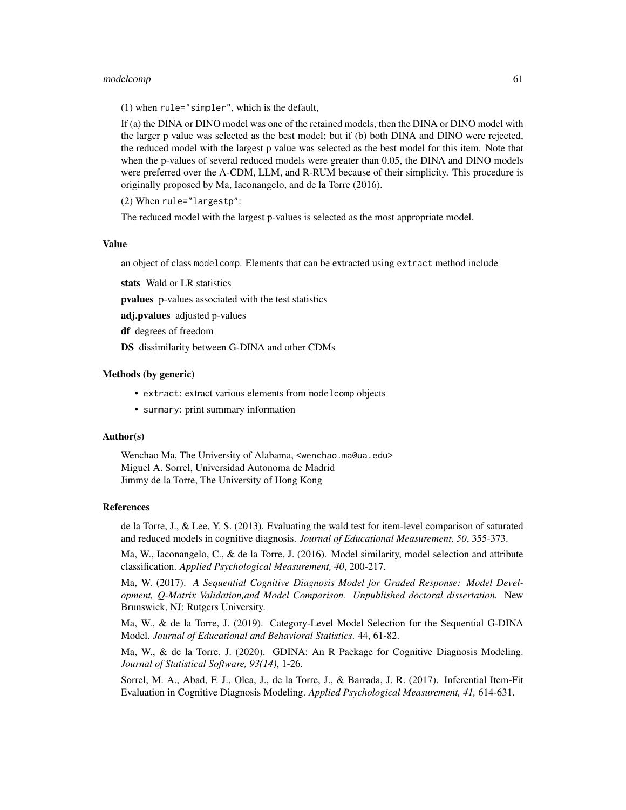#### modelcomp 61

(1) when rule="simpler", which is the default,

If (a) the DINA or DINO model was one of the retained models, then the DINA or DINO model with the larger p value was selected as the best model; but if (b) both DINA and DINO were rejected, the reduced model with the largest p value was selected as the best model for this item. Note that when the p-values of several reduced models were greater than 0.05, the DINA and DINO models were preferred over the A-CDM, LLM, and R-RUM because of their simplicity. This procedure is originally proposed by Ma, Iaconangelo, and de la Torre (2016).

(2) When rule="largestp":

The reduced model with the largest p-values is selected as the most appropriate model.

#### Value

an object of class modelcomp. Elements that can be extracted using extract method include

stats Wald or LR statistics

pvalues p-values associated with the test statistics

adj.pvalues adjusted p-values

df degrees of freedom

DS dissimilarity between G-DINA and other CDMs

#### Methods (by generic)

- extract: extract various elements from modelcomp objects
- summary: print summary information

#### Author(s)

Wenchao Ma, The University of Alabama, <wenchao.ma@ua.edu> Miguel A. Sorrel, Universidad Autonoma de Madrid Jimmy de la Torre, The University of Hong Kong

#### References

de la Torre, J., & Lee, Y. S. (2013). Evaluating the wald test for item-level comparison of saturated and reduced models in cognitive diagnosis. *Journal of Educational Measurement, 50*, 355-373.

Ma, W., Iaconangelo, C., & de la Torre, J. (2016). Model similarity, model selection and attribute classification. *Applied Psychological Measurement, 40*, 200-217.

Ma, W. (2017). *A Sequential Cognitive Diagnosis Model for Graded Response: Model Development, Q-Matrix Validation,and Model Comparison. Unpublished doctoral dissertation.* New Brunswick, NJ: Rutgers University.

Ma, W., & de la Torre, J. (2019). Category-Level Model Selection for the Sequential G-DINA Model. *Journal of Educational and Behavioral Statistics*. 44, 61-82.

Ma, W., & de la Torre, J. (2020). GDINA: An R Package for Cognitive Diagnosis Modeling. *Journal of Statistical Software, 93(14)*, 1-26.

Sorrel, M. A., Abad, F. J., Olea, J., de la Torre, J., & Barrada, J. R. (2017). Inferential Item-Fit Evaluation in Cognitive Diagnosis Modeling. *Applied Psychological Measurement, 41,* 614-631.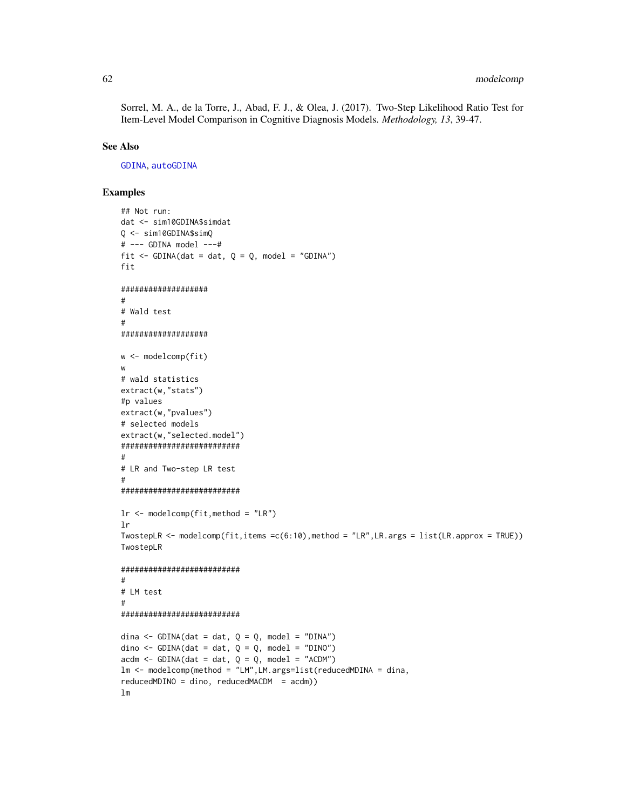Sorrel, M. A., de la Torre, J., Abad, F. J., & Olea, J. (2017). Two-Step Likelihood Ratio Test for Item-Level Model Comparison in Cognitive Diagnosis Models. Methodology, 13, 39-47.

## **See Also**

GDINA, autoGDINA

# **Examples**

```
## Not run:
dat <- sim10GDINA$simdat
Q \le - \sin 10GDINA$simQ# --- GDINA model ---#
fit <- GDINA(dat = dat, Q = Q, model = "GDINA")
fit
##################
## Wald test
###################
w \leq modelcomp(fit)
\mathsf{w}# wald statistics
extract(w,"stats")
#p values
extract(w,"pvalues")
# selected models
extract(w,"selected.model")
#########################
## LR and Two-step LR test
\pm#########################
lr \leq modelcomp(fit, method = "LR")
1rTwostepLR <- modelcomp(fit,items =c(6:10),method = "LR", LR.args = list(LR.approx = TRUE))
TwostepLR
#########################
\## LM test
##########################
dina <- GDINA(dat = dat, Q = Q, model = "DINA")
dino <- GDINA(dat = dat, Q = Q, model = "DINO")
\text{acdm} \leq -\text{GDINA}(\text{dat} = \text{dat}, Q = Q, \text{model} = "ACDM")lm <- modelcomp(method = "LM", LM.args=list(reducedMDINA = dina,
reducedMDINO = dino, reducedMACDM = acdm))
1<sub>m</sub>
```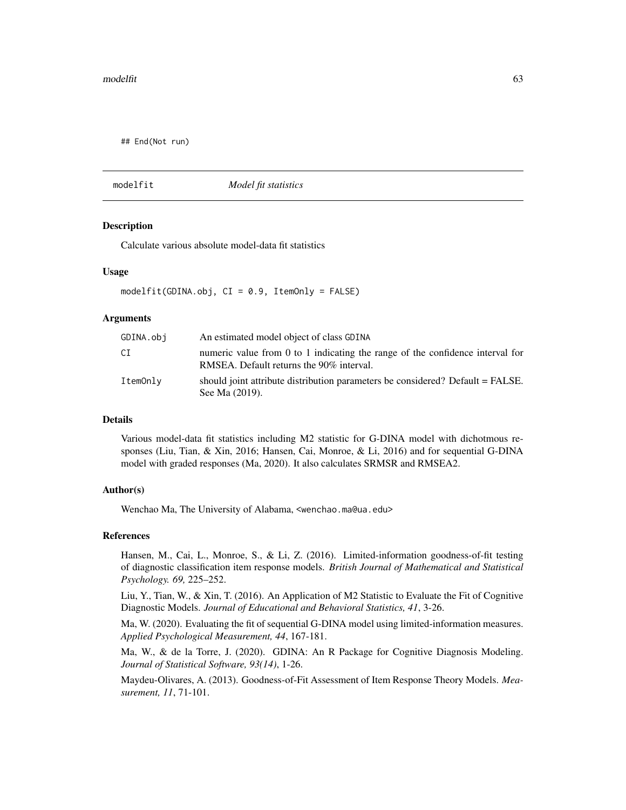## End(Not run)

modelfit *Model fit statistics*

## **Description**

Calculate various absolute model-data fit statistics

#### Usage

 $modelfit(GDINA.obj, CI = 0.9, ItemOnly = FALSE)$ 

#### Arguments

| GDINA.obj | An estimated model object of class GDINA                                                                                      |
|-----------|-------------------------------------------------------------------------------------------------------------------------------|
| СI        | numeric value from $0$ to $1$ indicating the range of the confidence interval for<br>RMSEA. Default returns the 90% interval. |
| ItemOnly  | should joint attribute distribution parameters be considered? Default = FALSE.<br>See Ma (2019).                              |

## Details

Various model-data fit statistics including M2 statistic for G-DINA model with dichotmous responses (Liu, Tian, & Xin, 2016; Hansen, Cai, Monroe, & Li, 2016) and for sequential G-DINA model with graded responses (Ma, 2020). It also calculates SRMSR and RMSEA2.

## Author(s)

Wenchao Ma, The University of Alabama, <wenchao.ma@ua.edu>

#### References

Hansen, M., Cai, L., Monroe, S., & Li, Z. (2016). Limited-information goodness-of-fit testing of diagnostic classification item response models. *British Journal of Mathematical and Statistical Psychology. 69,* 225–252.

Liu, Y., Tian, W., & Xin, T. (2016). An Application of M2 Statistic to Evaluate the Fit of Cognitive Diagnostic Models. *Journal of Educational and Behavioral Statistics, 41*, 3-26.

Ma, W. (2020). Evaluating the fit of sequential G-DINA model using limited-information measures. *Applied Psychological Measurement, 44*, 167-181.

Ma, W., & de la Torre, J. (2020). GDINA: An R Package for Cognitive Diagnosis Modeling. *Journal of Statistical Software, 93(14)*, 1-26.

Maydeu-Olivares, A. (2013). Goodness-of-Fit Assessment of Item Response Theory Models. *Measurement, 11*, 71-101.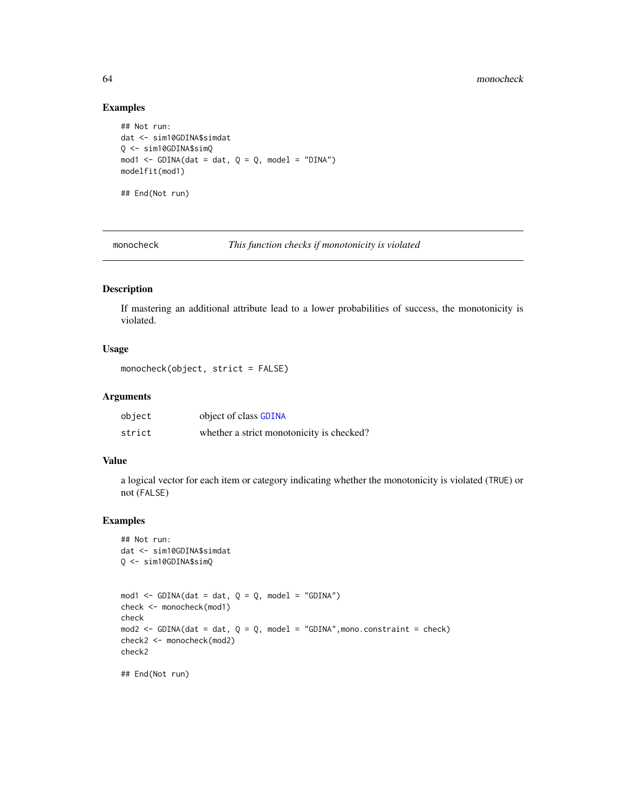## Examples

```
## Not run:
dat <- sim10GDINA$simdat
Q <- sim10GDINA$simQ
mod1 <- GDINA(dat = dat, Q = Q, model = "DINA")
modelfit(mod1)
## End(Not run)
```
monocheck *This function checks if monotonicity is violated*

# Description

If mastering an additional attribute lead to a lower probabilities of success, the monotonicity is violated.

# Usage

```
monocheck(object, strict = FALSE)
```
## Arguments

| object | object of class GDINA                     |
|--------|-------------------------------------------|
| strict | whether a strict monotonicity is checked? |

# Value

a logical vector for each item or category indicating whether the monotonicity is violated (TRUE) or not (FALSE)

## Examples

```
## Not run:
dat <- sim10GDINA$simdat
Q <- sim10GDINA$simQ
mod1 <- GDINA(dat = dat, Q = Q, model = "GDINA")
check <- monocheck(mod1)
check
mod2 <- GDINA(dat = dat, Q = Q, model = "GDINA",mono.constraint = check)
check2 <- monocheck(mod2)
check2
## End(Not run)
```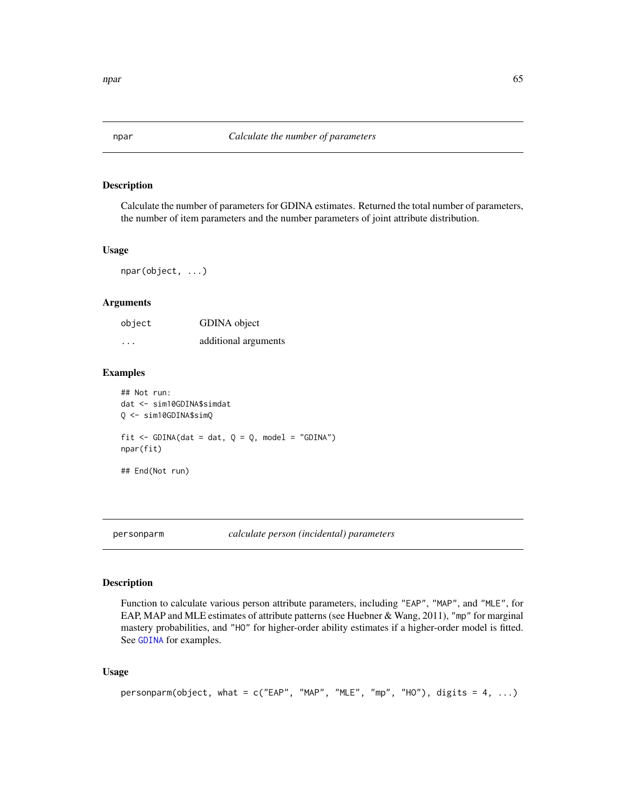# Description

Calculate the number of parameters for GDINA estimates. Returned the total number of parameters, the number of item parameters and the number parameters of joint attribute distribution.

#### Usage

npar(object, ...)

## Arguments

| object                  | GDINA object         |
|-------------------------|----------------------|
| $\cdot$ $\cdot$ $\cdot$ | additional arguments |

## Examples

```
## Not run:
dat <- sim10GDINA$simdat
Q <- sim10GDINA$simQ
fit \le GDINA(dat = dat, Q = Q, model = "GDINA")
npar(fit)
## End(Not run)
```
personparm *calculate person (incidental) parameters*

## Description

Function to calculate various person attribute parameters, including "EAP", "MAP", and "MLE", for EAP, MAP and MLE estimates of attribute patterns (see Huebner & Wang, 2011), "mp" for marginal mastery probabilities, and "HO" for higher-order ability estimates if a higher-order model is fitted. See [GDINA](#page-25-0) for examples.

## Usage

```
personparm(object, what = c("EAP", "MAP", "MLE", "mp", "HO"), digits = 4, ...)
```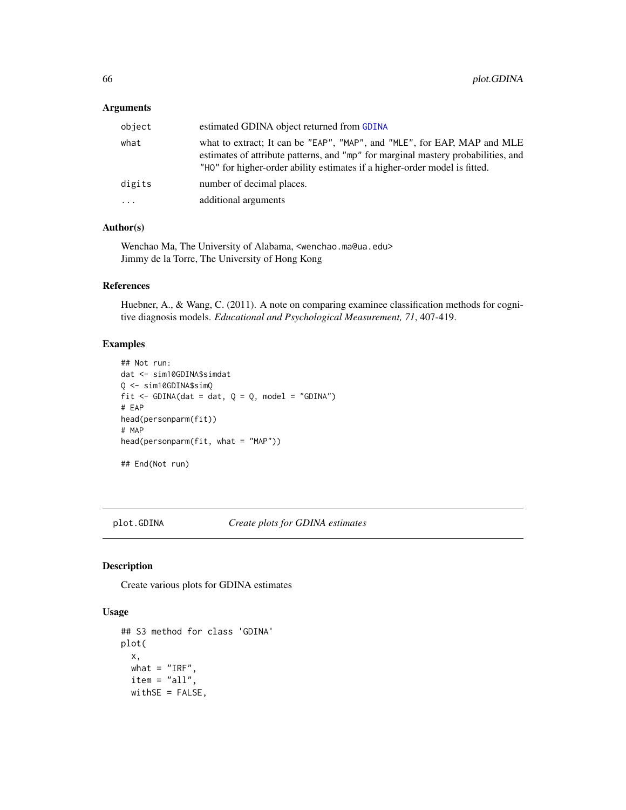## Arguments

| object   | estimated GDINA object returned from GDINA                                                                                                                                                                                                  |
|----------|---------------------------------------------------------------------------------------------------------------------------------------------------------------------------------------------------------------------------------------------|
| what     | what to extract; It can be "EAP", "MAP", and "MLE", for EAP, MAP and MLE<br>estimates of attribute patterns, and "mp" for marginal mastery probabilities, and<br>"HO" for higher-order ability estimates if a higher-order model is fitted. |
| digits   | number of decimal places.                                                                                                                                                                                                                   |
| $\ddots$ | additional arguments                                                                                                                                                                                                                        |
|          |                                                                                                                                                                                                                                             |

# Author(s)

Wenchao Ma, The University of Alabama, <wenchao.ma@ua.edu> Jimmy de la Torre, The University of Hong Kong

## References

Huebner, A., & Wang, C. (2011). A note on comparing examinee classification methods for cognitive diagnosis models. *Educational and Psychological Measurement, 71*, 407-419.

# Examples

```
## Not run:
dat <- sim10GDINA$simdat
Q <- sim10GDINA$simQ
fit \le GDINA(dat = dat, Q = Q, model = "GDINA")
# EAP
head(personparm(fit))
# MAP
head(personparm(fit, what = "MAP"))
## End(Not run)
```
plot.GDINA *Create plots for GDINA estimates*

# Description

Create various plots for GDINA estimates

## Usage

```
## S3 method for class 'GDINA'
plot(
  x,
 what = "IRF",
  item = "all",
 withSE = FALSE,
```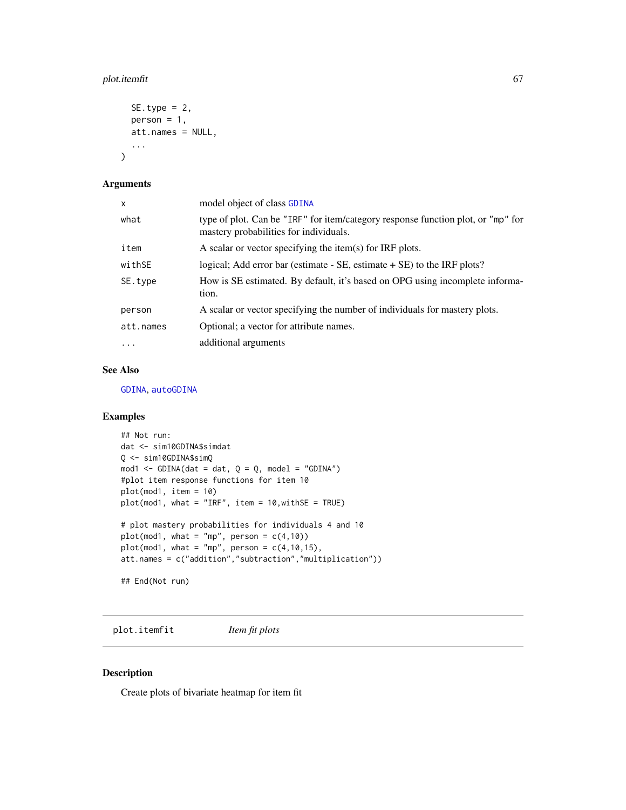# plot.itemfit 67

```
SE.type = 2,
person = 1,att.names = NULL,
...
```
# Arguments

)

| x         | model object of class GDINA                                                                                                |
|-----------|----------------------------------------------------------------------------------------------------------------------------|
| what      | type of plot. Can be "IRF" for item/category response function plot, or "mp" for<br>mastery probabilities for individuals. |
| item      | A scalar or vector specifying the item(s) for IRF plots.                                                                   |
| withSE    | logical; Add error bar (estimate $-$ SE, estimate $+$ SE) to the IRF plots?                                                |
| SE.type   | How is SE estimated. By default, it's based on OPG using incomplete informa-<br>tion.                                      |
| person    | A scalar or vector specifying the number of individuals for mastery plots.                                                 |
| att.names | Optional; a vector for attribute names.                                                                                    |
| $\cdot$   | additional arguments                                                                                                       |

# See Also

[GDINA](#page-25-0), [autoGDINA](#page-7-0)

## Examples

```
## Not run:
dat <- sim10GDINA$simdat
Q <- sim10GDINA$simQ
mod1 <- GDINA(dat = dat, Q = Q, model = "GDINA")
#plot item response functions for item 10
plot(mod1, item = 10)
plot(mod1, what = "IRF", item = 10,withSE = TRUE)
# plot mastery probabilities for individuals 4 and 10
plot(mod1, what = "mp", person = c(4,10))
plot(mod1, what = "mp", person = c(4,10,15),att.names = c("addition","subtraction","multiplication"))
## End(Not run)
```
plot.itemfit *Item fit plots*

# Description

Create plots of bivariate heatmap for item fit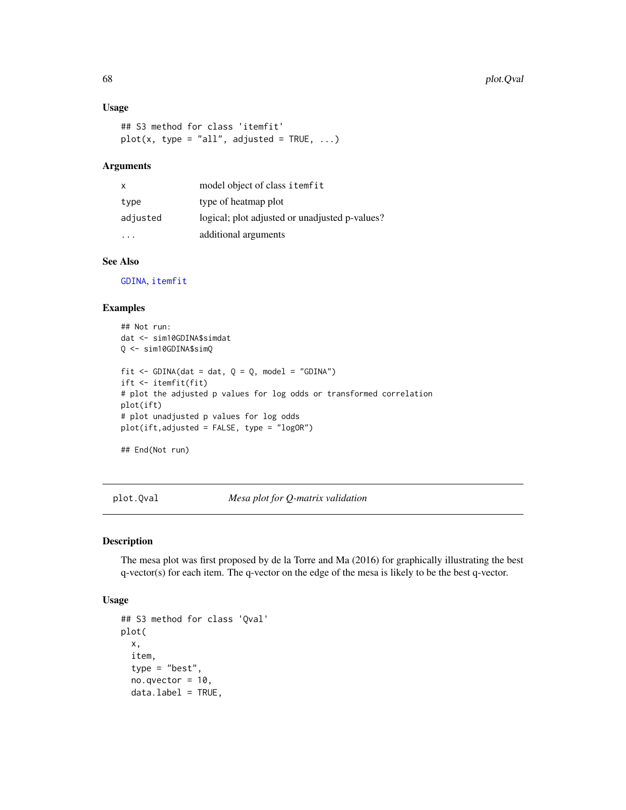## Usage

```
## S3 method for class 'itemfit'
plot(x, type = "all", adjusted = TRUE, ...)
```
## Arguments

| $\mathsf{x}$ | model object of class itemfit                  |
|--------------|------------------------------------------------|
| type         | type of heatmap plot                           |
| adjusted     | logical; plot adjusted or unadjusted p-values? |
|              | additional arguments                           |

## See Also

[GDINA](#page-25-0), [itemfit](#page-51-0)

## Examples

```
## Not run:
dat <- sim10GDINA$simdat
Q <- sim10GDINA$simQ
fit \le GDINA(dat = dat, Q = Q, model = "GDINA")
ift <- itemfit(fit)
# plot the adjusted p values for log odds or transformed correlation
plot(ift)
# plot unadjusted p values for log odds
plot(ift,adjusted = FALSE, type = "logOR")
```

```
## End(Not run)
```
plot.Qval *Mesa plot for Q-matrix validation*

## Description

The mesa plot was first proposed by de la Torre and Ma (2016) for graphically illustrating the best q-vector(s) for each item. The q-vector on the edge of the mesa is likely to be the best q-vector.

#### Usage

```
## S3 method for class 'Qval'
plot(
 x,
  item,
  type = "best",
  no.qvector = 10,
  data.label = TRUE,
```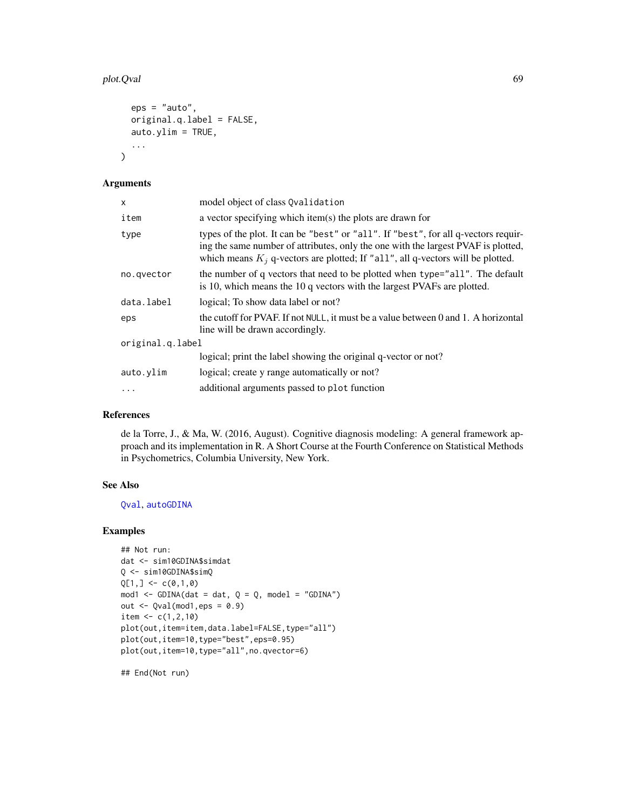## plot.Qval 69

```
eps = "auto",original.q.label = FALSE,
  auto.ylim = TRUE,...
\mathcal{L}
```
## Arguments

| X                | model object of class Qvalidation                                                                                                                                                                                                                            |  |
|------------------|--------------------------------------------------------------------------------------------------------------------------------------------------------------------------------------------------------------------------------------------------------------|--|
| item             | a vector specifying which item(s) the plots are drawn for                                                                                                                                                                                                    |  |
| type             | types of the plot. It can be "best" or "all". If "best", for all q-vectors requir-<br>ing the same number of attributes, only the one with the largest PVAF is plotted,<br>which means $K_i$ q-vectors are plotted; If "all", all q-vectors will be plotted. |  |
| no.qvector       | the number of q vectors that need to be plotted when type="all". The default<br>is 10, which means the 10 q vectors with the largest PVAFs are plotted.                                                                                                      |  |
| data.label       | logical; To show data label or not?                                                                                                                                                                                                                          |  |
| eps              | the cutoff for PVAF. If not NULL, it must be a value between 0 and 1. A horizontal<br>line will be drawn accordingly.                                                                                                                                        |  |
| original.q.label |                                                                                                                                                                                                                                                              |  |
|                  | logical; print the label showing the original q-vector or not?                                                                                                                                                                                               |  |
| auto.ylim        | logical; create y range automatically or not?                                                                                                                                                                                                                |  |
|                  | additional arguments passed to plot function                                                                                                                                                                                                                 |  |

# References

de la Torre, J., & Ma, W. (2016, August). Cognitive diagnosis modeling: A general framework approach and its implementation in R. A Short Course at the Fourth Conference on Statistical Methods in Psychometrics, Columbia University, New York.

# See Also

[Qval](#page-69-0), [autoGDINA](#page-7-0)

#### Examples

```
## Not run:
dat <- sim10GDINA$simdat
Q <- sim10GDINA$simQ
Q[1, ] \leftarrow c(0,1,0)mod1 <- GDINA(dat = dat, Q = Q, model = "GDINA")
out \leq Qval(mod1, eps = 0.9)
item <- c(1,2,10)
plot(out,item=item,data.label=FALSE,type="all")
plot(out,item=10,type="best",eps=0.95)
plot(out,item=10,type="all",no.qvector=6)
```
## End(Not run)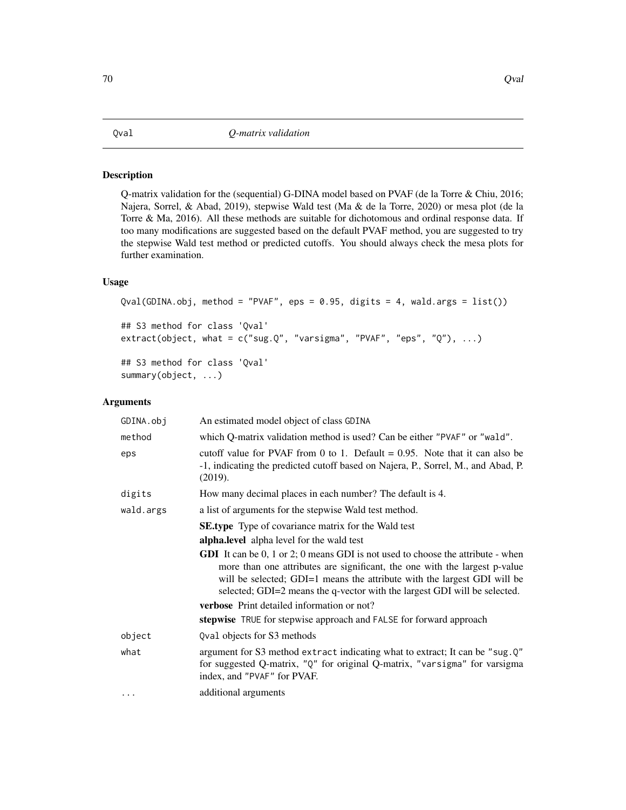## <span id="page-69-0"></span>Description

Q-matrix validation for the (sequential) G-DINA model based on PVAF (de la Torre & Chiu, 2016; Najera, Sorrel, & Abad, 2019), stepwise Wald test (Ma & de la Torre, 2020) or mesa plot (de la Torre & Ma, 2016). All these methods are suitable for dichotomous and ordinal response data. If too many modifications are suggested based on the default PVAF method, you are suggested to try the stepwise Wald test method or predicted cutoffs. You should always check the mesa plots for further examination.

# Usage

```
Qval(GDINA.obj, method = "PVAF", eps = 0.95, digits = 4, wald.args = list())
## S3 method for class 'Qval'
extract(object, what = c("sug.Q", "varsigma", "PVAF", "eps", "Q"), ...)
## S3 method for class 'Qval'
summary(object, ...)
```
## Arguments

| GDINA.obj | An estimated model object of class GDINA                                                                                                                                                                                                                                                                                             |  |
|-----------|--------------------------------------------------------------------------------------------------------------------------------------------------------------------------------------------------------------------------------------------------------------------------------------------------------------------------------------|--|
| method    | which Q-matrix validation method is used? Can be either "PVAF" or "wald".                                                                                                                                                                                                                                                            |  |
| eps       | cutoff value for PVAF from 0 to 1. Default = $0.95$ . Note that it can also be<br>-1, indicating the predicted cutoff based on Najera, P., Sorrel, M., and Abad, P.<br>(2019).                                                                                                                                                       |  |
| digits    | How many decimal places in each number? The default is 4.                                                                                                                                                                                                                                                                            |  |
| wald.args | a list of arguments for the stepwise Wald test method.                                                                                                                                                                                                                                                                               |  |
|           | <b>SE.type</b> Type of covariance matrix for the Wald test                                                                                                                                                                                                                                                                           |  |
|           | <b>alpha.level</b> alpha level for the wald test                                                                                                                                                                                                                                                                                     |  |
|           | <b>GDI</b> It can be $0, 1$ or $2$ ; $0$ means GDI is not used to choose the attribute - when<br>more than one attributes are significant, the one with the largest p-value<br>will be selected; GDI=1 means the attribute with the largest GDI will be<br>selected; GDI=2 means the q-vector with the largest GDI will be selected. |  |
|           | verbose Print detailed information or not?                                                                                                                                                                                                                                                                                           |  |
|           | stepwise TRUE for stepwise approach and FALSE for forward approach                                                                                                                                                                                                                                                                   |  |
| object    | Qval objects for S3 methods                                                                                                                                                                                                                                                                                                          |  |
| what      | argument for S3 method extract indicating what to extract; It can be "sug.Q"<br>for suggested Q-matrix, "Q" for original Q-matrix, "varsigma" for varsigma<br>index, and "PVAF" for PVAF.                                                                                                                                            |  |
|           | additional arguments                                                                                                                                                                                                                                                                                                                 |  |
|           |                                                                                                                                                                                                                                                                                                                                      |  |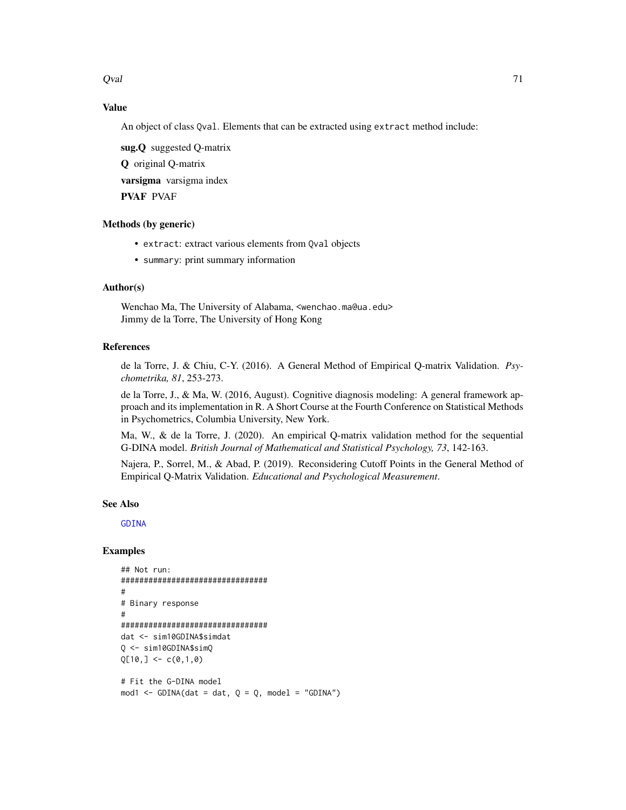Qval

# **Value**

An object of class Qval. Elements that can be extracted using extract method include:

sug.Q suggested Q-matrix **Q** original Q-matrix varsigma varsigma index **PVAF PVAF** 

# Methods (by generic)

- extract: extract various elements from Qval objects
- summary: print summary information

# Author(s)

Wenchao Ma, The University of Alabama, <wenchao.ma@ua.edu> Jimmy de la Torre, The University of Hong Kong

## **References**

de la Torre, J. & Chiu, C-Y. (2016). A General Method of Empirical Q-matrix Validation. Psychometrika, 81, 253-273.

de la Torre, J., & Ma, W. (2016, August). Cognitive diagnosis modeling: A general framework approach and its implementation in R. A Short Course at the Fourth Conference on Statistical Methods in Psychometrics, Columbia University, New York.

Ma, W., & de la Torre, J. (2020). An empirical Q-matrix validation method for the sequential G-DINA model. British Journal of Mathematical and Statistical Psychology, 73, 142-163.

Najera, P., Sorrel, M., & Abad, P. (2019). Reconsidering Cutoff Points in the General Method of Empirical Q-Matrix Validation. Educational and Psychological Measurement.

## **See Also**

**GDINA** 

# **Examples**

```
## Not run:
################################
\## Binary response
#################################
dat <- sim10GDINA$simdat
Q <- sim10GDINA$simQ
Q[10, ] \leftarrow c(0,1,0)
```

```
# Fit the G-DINA model
mod1 <- GDINA(dat = dat, Q = Q, model = "GDINA")
```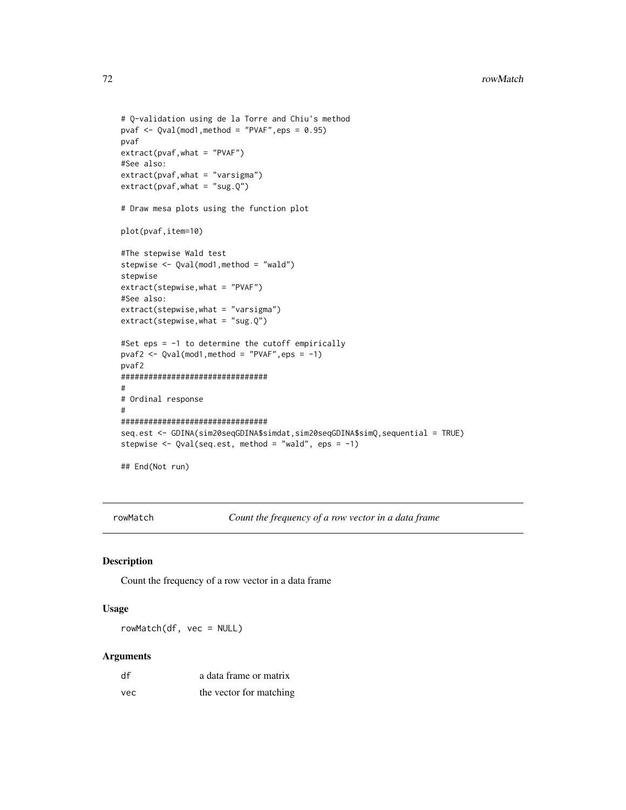```
# Q-validation using de la Torre and Chiu's method
pvaf \leq Qval(mod1, method = "PVAF", eps = 0.95)
pvaf
extract(pvaf,what = "PVAF")
#See also:
extract(pvaf,what = "varsigma")
extract(pvaf, what = "sug.Q")# Draw mesa plots using the function plot
plot(pvaf,item=10)
#The stepwise Wald test
stepwise <- Qval(mod1,method = "wald")
stepwise
extract(stepwise,what = "PVAF")
#See also:
extract(stepwise,what = "varsigma")
extract(stepwise,what = "sug.Q")
#Set eps = -1 to determine the cutoff empirically
pvaf2 <- Qval(mod1,method = "PVAF",eps = -1)
pvaf2
################################
#
# Ordinal response
#
################################
seq.est <- GDINA(sim20seqGDINA$simdat,sim20seqGDINA$simQ,sequential = TRUE)
stepwise <- Qval(seq.est, method = "wald", eps = -1)
## End(Not run)
```
rowMatch *Count the frequency of a row vector in a data frame*

## Description

Count the frequency of a row vector in a data frame

## Usage

rowMatch(df, vec = NULL)

#### Arguments

| df  | a data frame or matrix  |
|-----|-------------------------|
| vec | the vector for matching |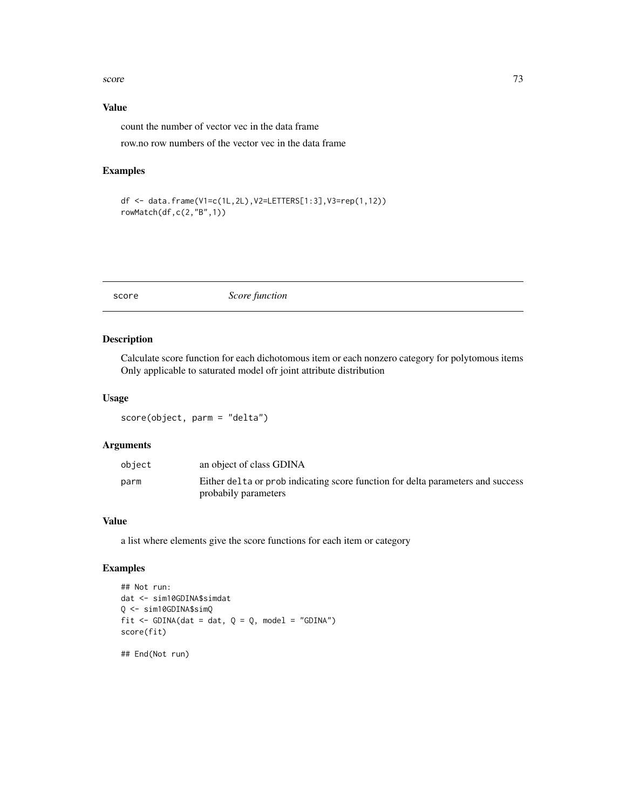#### <span id="page-72-0"></span>score and the set of the set of the set of the set of the set of the set of the set of the set of the set of the set of the set of the set of the set of the set of the set of the set of the set of the set of the set of the

## Value

count the number of vector vec in the data frame row.no row numbers of the vector vec in the data frame

## Examples

```
df <- data.frame(V1=c(1L,2L),V2=LETTERS[1:3],V3=rep(1,12))
rowMatch(df,c(2,"B",1))
```
score *Score function*

## Description

Calculate score function for each dichotomous item or each nonzero category for polytomous items Only applicable to saturated model ofr joint attribute distribution

## Usage

score(object, parm = "delta")

## Arguments

| parm<br>probabily parameters | object | an object of class GDINA                                                        |
|------------------------------|--------|---------------------------------------------------------------------------------|
|                              |        | Either delta or prob indicating score function for delta parameters and success |

#### Value

a list where elements give the score functions for each item or category

## Examples

```
## Not run:
dat <- sim10GDINA$simdat
Q <- sim10GDINA$simQ
fit \le - GDINA(dat = dat, Q = Q, model = "GDINA")
score(fit)
```
## End(Not run)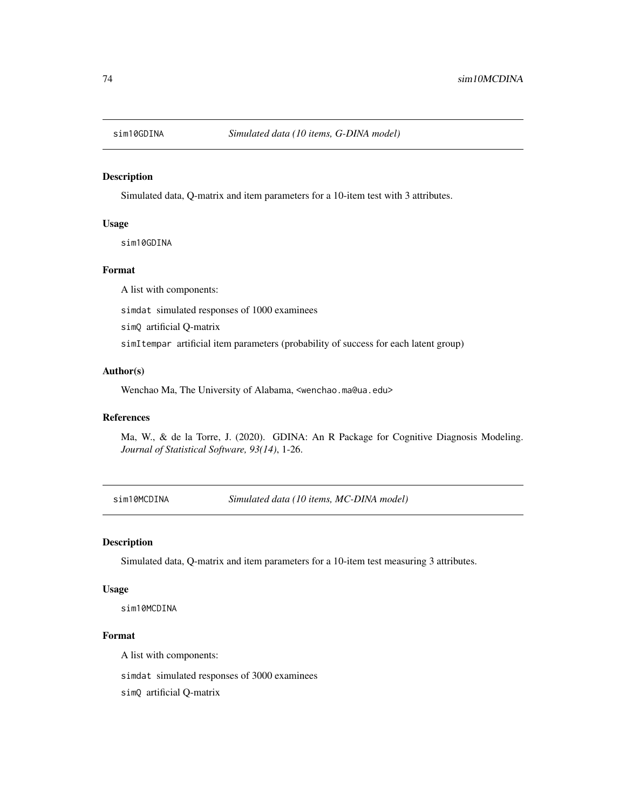<span id="page-73-0"></span>

Simulated data, Q-matrix and item parameters for a 10-item test with 3 attributes.

## Usage

sim10GDINA

## Format

A list with components:

simdat simulated responses of 1000 examinees

simQ artificial Q-matrix

simItempar artificial item parameters (probability of success for each latent group)

## Author(s)

Wenchao Ma, The University of Alabama, <wenchao.ma@ua.edu>

## References

Ma, W., & de la Torre, J. (2020). GDINA: An R Package for Cognitive Diagnosis Modeling. *Journal of Statistical Software, 93(14)*, 1-26.

sim10MCDINA *Simulated data (10 items, MC-DINA model)*

#### Description

Simulated data, Q-matrix and item parameters for a 10-item test measuring 3 attributes.

#### Usage

sim10MCDINA

## Format

A list with components:

simdat simulated responses of 3000 examinees

simQ artificial Q-matrix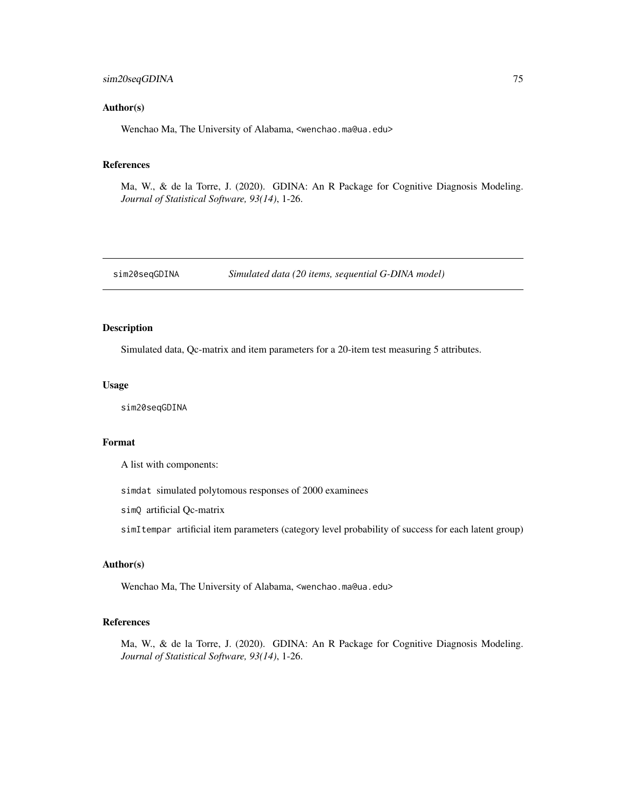## <span id="page-74-0"></span>sim20seqGDINA 75

### Author(s)

Wenchao Ma, The University of Alabama, <wenchao.ma@ua.edu>

#### References

Ma, W., & de la Torre, J. (2020). GDINA: An R Package for Cognitive Diagnosis Modeling. *Journal of Statistical Software, 93(14)*, 1-26.

sim20seqGDINA *Simulated data (20 items, sequential G-DINA model)*

## Description

Simulated data, Qc-matrix and item parameters for a 20-item test measuring 5 attributes.

#### Usage

sim20seqGDINA

#### Format

A list with components:

simdat simulated polytomous responses of 2000 examinees

simQ artificial Qc-matrix

simItempar artificial item parameters (category level probability of success for each latent group)

## Author(s)

Wenchao Ma, The University of Alabama, <wenchao.ma@ua.edu>

## References

Ma, W., & de la Torre, J. (2020). GDINA: An R Package for Cognitive Diagnosis Modeling. *Journal of Statistical Software, 93(14)*, 1-26.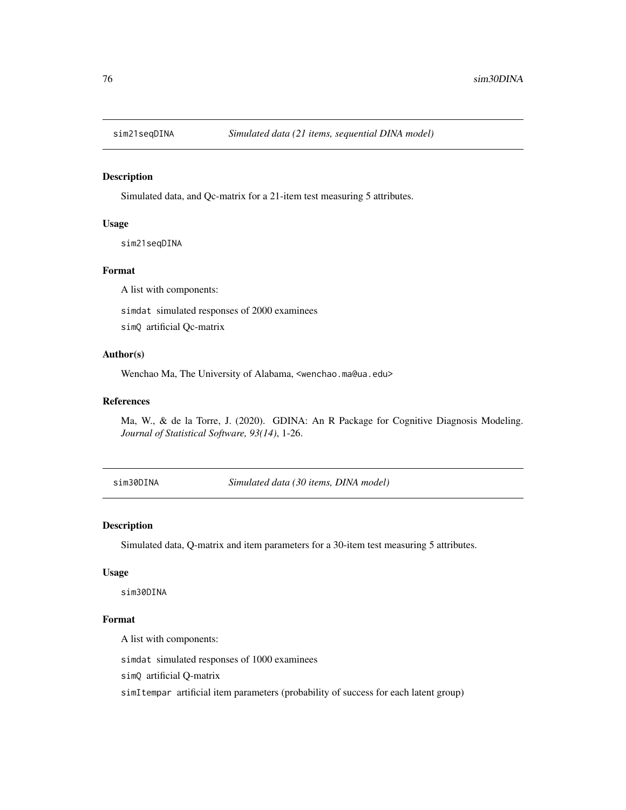<span id="page-75-0"></span>

Simulated data, and Qc-matrix for a 21-item test measuring 5 attributes.

## Usage

sim21seqDINA

## Format

A list with components:

simdat simulated responses of 2000 examinees

simQ artificial Qc-matrix

## Author(s)

Wenchao Ma, The University of Alabama, <wenchao.ma@ua.edu>

#### References

Ma, W., & de la Torre, J. (2020). GDINA: An R Package for Cognitive Diagnosis Modeling. *Journal of Statistical Software, 93(14)*, 1-26.

sim30DINA *Simulated data (30 items, DINA model)*

#### Description

Simulated data, Q-matrix and item parameters for a 30-item test measuring 5 attributes.

## Usage

sim30DINA

## Format

A list with components:

simdat simulated responses of 1000 examinees

simQ artificial Q-matrix

simItempar artificial item parameters (probability of success for each latent group)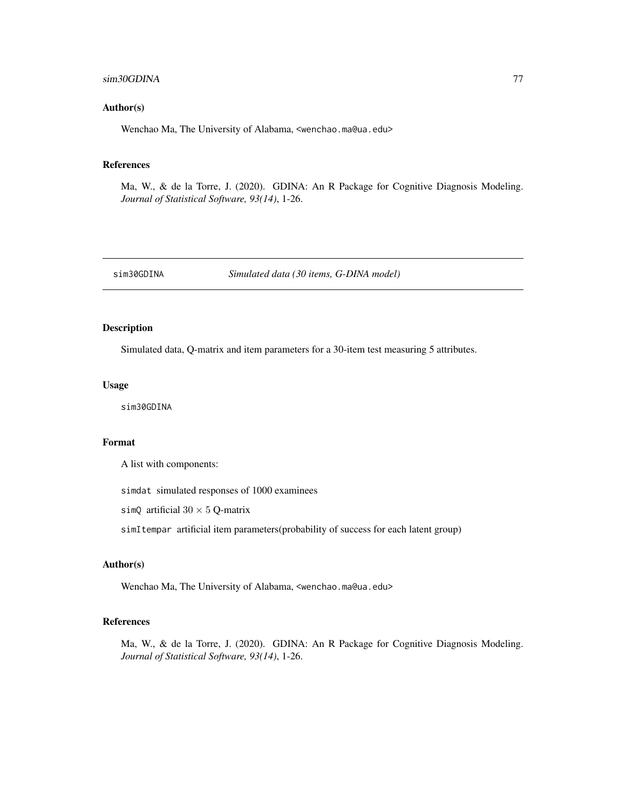## <span id="page-76-0"></span>sim30GDINA 77

#### Author(s)

Wenchao Ma, The University of Alabama, <wenchao.ma@ua.edu>

#### References

Ma, W., & de la Torre, J. (2020). GDINA: An R Package for Cognitive Diagnosis Modeling. *Journal of Statistical Software, 93(14)*, 1-26.

sim30GDINA *Simulated data (30 items, G-DINA model)*

## Description

Simulated data, Q-matrix and item parameters for a 30-item test measuring 5 attributes.

#### Usage

sim30GDINA

#### Format

A list with components:

simdat simulated responses of 1000 examinees

simQ artificial  $30 \times 5$  Q-matrix

simItempar artificial item parameters(probability of success for each latent group)

## Author(s)

Wenchao Ma, The University of Alabama, <wenchao.ma@ua.edu>

## References

Ma, W., & de la Torre, J. (2020). GDINA: An R Package for Cognitive Diagnosis Modeling. *Journal of Statistical Software, 93(14)*, 1-26.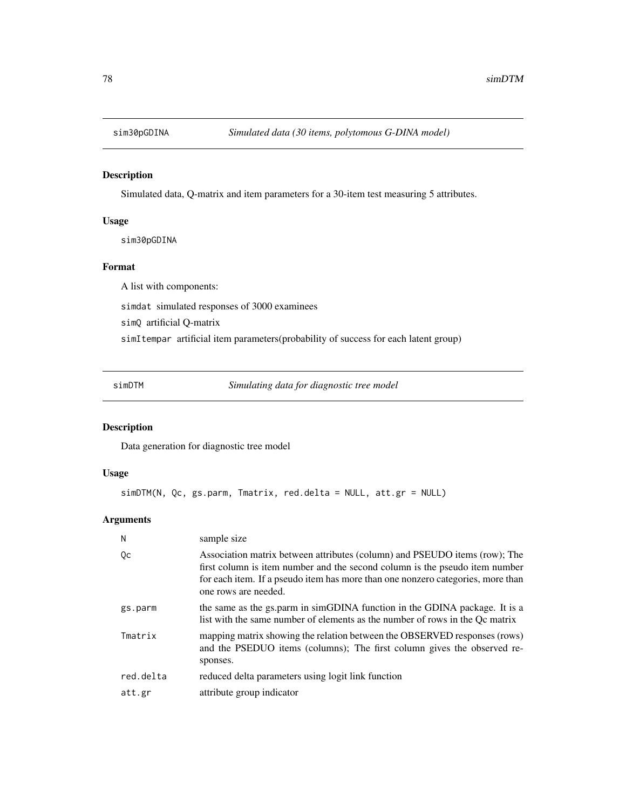<span id="page-77-0"></span>

Simulated data, Q-matrix and item parameters for a 30-item test measuring 5 attributes.

## Usage

sim30pGDINA

## Format

A list with components:

simdat simulated responses of 3000 examinees

simQ artificial Q-matrix

simItempar artificial item parameters(probability of success for each latent group)

simDTM *Simulating data for diagnostic tree model*

## Description

Data generation for diagnostic tree model

## Usage

```
simDTM(N, Qc, gs.parm, Tmatrix, red.delta = NULL, att.gr = NULL)
```
## Arguments

| sample size                                                                                                                                                                                                                                                          |
|----------------------------------------------------------------------------------------------------------------------------------------------------------------------------------------------------------------------------------------------------------------------|
| Association matrix between attributes (column) and PSEUDO items (row); The<br>first column is item number and the second column is the pseudo item number<br>for each item. If a pseudo item has more than one nonzero categories, more than<br>one rows are needed. |
| the same as the gs.parm in simGDINA function in the GDINA package. It is a<br>list with the same number of elements as the number of rows in the Oc matrix                                                                                                           |
| mapping matrix showing the relation between the OBSERVED responses (rows)<br>and the PSEDUO items (columns); The first column gives the observed re-<br>sponses.                                                                                                     |
| reduced delta parameters using logit link function                                                                                                                                                                                                                   |
| attribute group indicator                                                                                                                                                                                                                                            |
|                                                                                                                                                                                                                                                                      |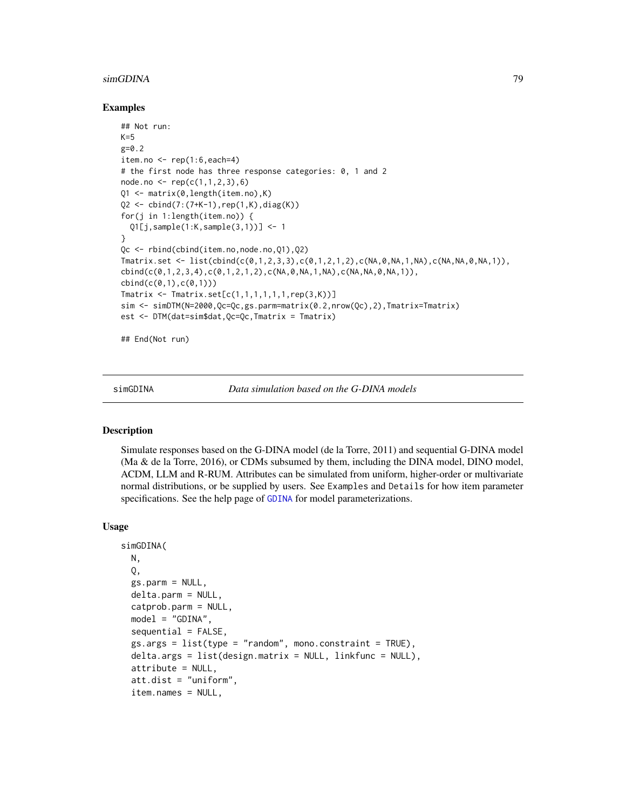## <span id="page-78-0"></span>Examples

```
## Not run:
K=5g=0.2item.no \leq rep(1:6, each=4)
# the first node has three response categories: 0, 1 and 2
node.no \leftarrow rep(c(1,1,2,3),6)Q1 <- matrix(0,length(item.no),K)
Q2 \le -\text{cbind}(7:(7+K-1),\text{rep}(1,K),\text{diag}(K))for(j in 1:length(item.no)) {
  Q1[j,sample(1:K,sample(3,1))] <- 1
}
Qc <- rbind(cbind(item.no,node.no,Q1),Q2)
Tmatrix.set <- list(cbind(c(0,1,2,3,3),c(0,1,2,1,2),c(NA,0,NA,1,NA),c(NA,NA,0,NA,1)),
cbind(c(0,1,2,3,4),c(0,1,2,1,2),c(NA,0,NA,1,NA),c(NA,NA,0,NA,1)),
cbind(c(0,1),c(0,1)))Tmatrix \leq Tmatrix.set[c(1,1,1,1,1,1,rep(3,K))]sim <- simDTM(N=2000,Qc=Qc,gs.parm=matrix(0.2,nrow(Qc),2),Tmatrix=Tmatrix)
est <- DTM(dat=sim$dat,Qc=Qc,Tmatrix = Tmatrix)
```
## End(Not run)

simGDINA *Data simulation based on the G-DINA models*

#### Description

Simulate responses based on the G-DINA model (de la Torre, 2011) and sequential G-DINA model (Ma & de la Torre, 2016), or CDMs subsumed by them, including the DINA model, DINO model, ACDM, LLM and R-RUM. Attributes can be simulated from uniform, higher-order or multivariate normal distributions, or be supplied by users. See Examples and Details for how item parameter specifications. See the help page of [GDINA](#page-25-0) for model parameterizations.

#### Usage

```
simGDINA(
 N,
  Q,
  gs.parm = NULL,
  delta.parm = NULL,
  catprob.parm = NULL,
  model = "GDINA",
  sequential = FALSE.
  gs.args = list(type = "random", mono.constraint = TRUE),delta.args = list(design.matrix = NULL, linkfunc = NULL),
  attribute = NULL,
  att.dist = "uniform",
  item.names = NULL,
```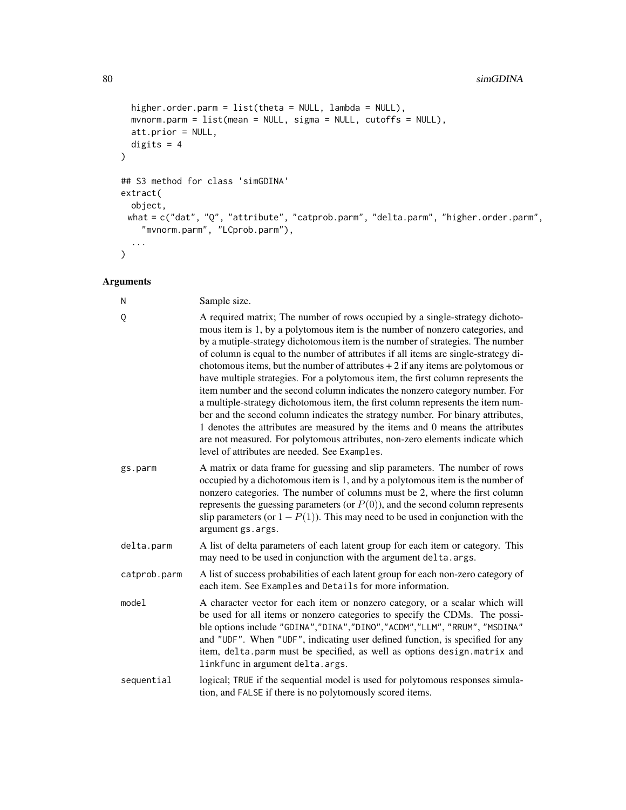```
higher.order.parm = list(theta = NULL, lambda = NULL),
 mvnorm.parm = list(mean = NULL, sigma = NULL, cutoffs = NULL),
 att.prior = NULL,
 digits = 4\mathcal{L}## S3 method for class 'simGDINA'
extract(
 object,
 what = c("dat", "Q", "attribute", "catprob.parm", "delta.parm", "higher.order.parm",
    "mvnorm.parm", "LCprob.parm"),
  ...
)
```
## Arguments

| N            | Sample size.                                                                                                                                                                                                                                                                                                                                                                                                                                                                                                                                                                                                                                                                                                                                                                                                                                                                                                                                                                             |
|--------------|------------------------------------------------------------------------------------------------------------------------------------------------------------------------------------------------------------------------------------------------------------------------------------------------------------------------------------------------------------------------------------------------------------------------------------------------------------------------------------------------------------------------------------------------------------------------------------------------------------------------------------------------------------------------------------------------------------------------------------------------------------------------------------------------------------------------------------------------------------------------------------------------------------------------------------------------------------------------------------------|
| Q            | A required matrix; The number of rows occupied by a single-strategy dichoto-<br>mous item is 1, by a polytomous item is the number of nonzero categories, and<br>by a mutiple-strategy dichotomous item is the number of strategies. The number<br>of column is equal to the number of attributes if all items are single-strategy di-<br>chotomous items, but the number of attributes $+2$ if any items are polytomous or<br>have multiple strategies. For a polytomous item, the first column represents the<br>item number and the second column indicates the nonzero category number. For<br>a multiple-strategy dichotomous item, the first column represents the item num-<br>ber and the second column indicates the strategy number. For binary attributes,<br>1 denotes the attributes are measured by the items and 0 means the attributes<br>are not measured. For polytomous attributes, non-zero elements indicate which<br>level of attributes are needed. See Examples. |
| gs.parm      | A matrix or data frame for guessing and slip parameters. The number of rows<br>occupied by a dichotomous item is 1, and by a polytomous item is the number of<br>nonzero categories. The number of columns must be 2, where the first column<br>represents the guessing parameters (or $P(0)$ ), and the second column represents<br>slip parameters (or $1 - P(1)$ ). This may need to be used in conjunction with the<br>argument gs.args.                                                                                                                                                                                                                                                                                                                                                                                                                                                                                                                                             |
| delta.parm   | A list of delta parameters of each latent group for each item or category. This<br>may need to be used in conjunction with the argument delta. args.                                                                                                                                                                                                                                                                                                                                                                                                                                                                                                                                                                                                                                                                                                                                                                                                                                     |
| catprob.parm | A list of success probabilities of each latent group for each non-zero category of<br>each item. See Examples and Details for more information.                                                                                                                                                                                                                                                                                                                                                                                                                                                                                                                                                                                                                                                                                                                                                                                                                                          |
| model        | A character vector for each item or nonzero category, or a scalar which will<br>be used for all items or nonzero categories to specify the CDMs. The possi-<br>ble options include "GDINA","DINA","DINO","ACDM","LLM", "RRUM", "MSDINA"<br>and "UDF". When "UDF", indicating user defined function, is specified for any<br>item, delta.parm must be specified, as well as options design.matrix and<br>linkfunc in argument delta.args.                                                                                                                                                                                                                                                                                                                                                                                                                                                                                                                                                 |
| sequential   | logical; TRUE if the sequential model is used for polytomous responses simula-<br>tion, and FALSE if there is no polytomously scored items.                                                                                                                                                                                                                                                                                                                                                                                                                                                                                                                                                                                                                                                                                                                                                                                                                                              |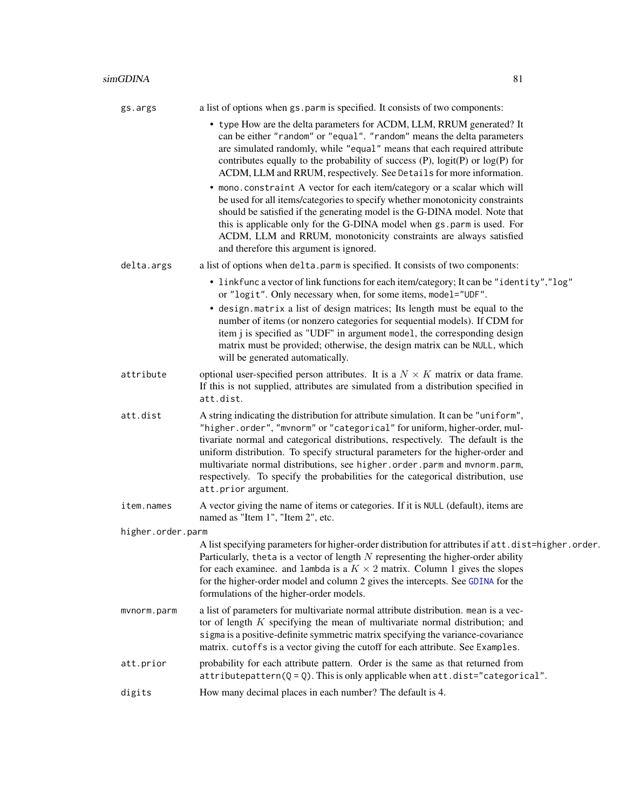<span id="page-80-0"></span>

| gs.args | a list of options when gs. parm is specified. It consists of two components:                                                                    |
|---------|-------------------------------------------------------------------------------------------------------------------------------------------------|
|         | • type How are the delta parameters for ACDM, LLM, RRUM generated? It<br>can be either "random" or "equal". "random" means the delta parameters |
|         | are simulated randomly, while "equal" means that each required attribute                                                                        |
|         | contributes equally to the probability of success $(P)$ , logit $(P)$ or log $(P)$ for                                                          |
|         | ACDM, LLM and RRUM, respectively. See Details for more information.                                                                             |

- mono.constraint A vector for each item/category or a scalar which will be used for all items/categories to specify whether monotonicity constraints should be satisfied if the generating model is the G-DINA model. Note that this is applicable only for the G-DINA model when gs.parm is used. For ACDM, LLM and RRUM, monotonicity constraints are always satisfied and therefore this argument is ignored.
- delta.args a list of options when delta.parm is specified. It consists of two components:
	- linkfunc a vector of link functions for each item/category; It can be "identity","log" or "logit". Only necessary when, for some items, model="UDF".
	- design.matrix a list of design matrices; Its length must be equal to the number of items (or nonzero categories for sequential models). If CDM for item j is specified as "UDF" in argument model, the corresponding design matrix must be provided; otherwise, the design matrix can be NULL, which will be generated automatically.
- attribute optional user-specified person attributes. It is a  $N \times K$  matrix or data frame. If this is not supplied, attributes are simulated from a distribution specified in att.dist.
- att.dist A string indicating the distribution for attribute simulation. It can be "uniform", "higher.order", "mvnorm" or "categorical" for uniform, higher-order, multivariate normal and categorical distributions, respectively. The default is the uniform distribution. To specify structural parameters for the higher-order and multivariate normal distributions, see higher.order.parm and mvnorm.parm, respectively. To specify the probabilities for the categorical distribution, use att.prior argument.
- item.names A vector giving the name of items or categories. If it is NULL (default), items are named as "Item 1", "Item 2", etc.

higher.order.parm

- A list specifying parameters for higher-order distribution for attributes if att.dist=higher.order. Particularly, theta is a vector of length  $N$  representing the higher-order ability for each examinee. and lambda is a  $K \times 2$  matrix. Column 1 gives the slopes for the higher-order model and column 2 gives the intercepts. See [GDINA](#page-25-0) for the formulations of the higher-order models.
- mvnorm.parm a list of parameters for multivariate normal attribute distribution. mean is a vector of length  $K$  specifying the mean of multivariate normal distribution; and sigma is a positive-definite symmetric matrix specifying the variance-covariance matrix. cutoffs is a vector giving the cutoff for each attribute. See Examples.

# att.prior probability for each attribute pattern. Order is the same as that returned from  $attribute$ pattern( $Q = Q$ ). This is only applicable when  $att.dist="category$ categorical".

digits How many decimal places in each number? The default is 4.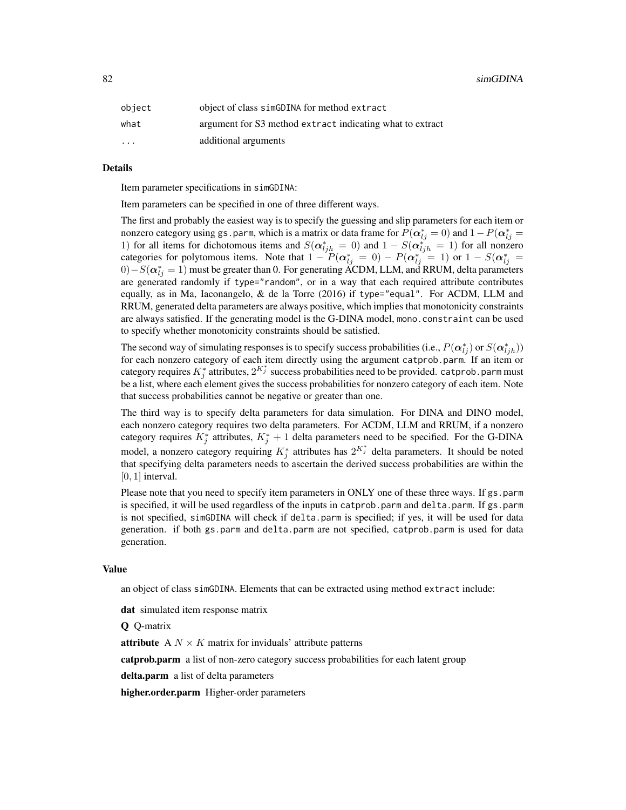| object   | object of class simGDINA for method extract               |
|----------|-----------------------------------------------------------|
| what     | argument for S3 method extract indicating what to extract |
| $\cdots$ | additional arguments                                      |

#### Details

Item parameter specifications in simGDINA:

Item parameters can be specified in one of three different ways.

The first and probably the easiest way is to specify the guessing and slip parameters for each item or nonzero category using gs.parm, which is a matrix or data frame for  $P(\bm{\alpha}_{lj}^*=0)$  and  $1-P(\bm{\alpha}_{lj}^*=0)$ 1) for all items for dichotomous items and  $S(\alpha_{ljh}^* = 0)$  and  $1 - S(\alpha_{ljh}^*) = 1$  for all nonzero categories for polytomous items. Note that  $1 - P(\alpha_{lj}^* = 0) - P(\alpha_{lj}^* = 1)$  or  $1 - S(\alpha_{lj}^* = 1)$  $(0) - S(\boldsymbol{\alpha}_{lj}^*=1)$  must be greater than 0. For generating ACDM, LLM, and RRUM, delta parameters are generated randomly if type="random", or in a way that each required attribute contributes equally, as in Ma, Iaconangelo, & de la Torre (2016) if type="equal". For ACDM, LLM and RRUM, generated delta parameters are always positive, which implies that monotonicity constraints are always satisfied. If the generating model is the G-DINA model, mono.constraint can be used to specify whether monotonicity constraints should be satisfied.

The second way of simulating responses is to specify success probabilities (i.e.,  $P(\alpha_{lj}^*)$  or  $S(\alpha_{ljh}^*)$ ) for each nonzero category of each item directly using the argument catprob.parm. If an item or category requires  $K_j^*$  attributes,  $2^{K_j^*}$  success probabilities need to be provided. catprob. parm must be a list, where each element gives the success probabilities for nonzero category of each item. Note that success probabilities cannot be negative or greater than one.

The third way is to specify delta parameters for data simulation. For DINA and DINO model, each nonzero category requires two delta parameters. For ACDM, LLM and RRUM, if a nonzero category requires  $K_j^*$  attributes,  $K_j^* + 1$  delta parameters need to be specified. For the G-DINA model, a nonzero category requiring  $K_j^*$  attributes has  $2^{K_j^*}$  delta parameters. It should be noted that specifying delta parameters needs to ascertain the derived success probabilities are within the  $[0, 1]$  interval.

Please note that you need to specify item parameters in ONLY one of these three ways. If gs.parm is specified, it will be used regardless of the inputs in catprob.parm and delta.parm. If gs.parm is not specified, simGDINA will check if delta.parm is specified; if yes, it will be used for data generation. if both gs.parm and delta.parm are not specified, catprob.parm is used for data generation.

#### Value

an object of class simGDINA. Elements that can be extracted using method extract include:

dat simulated item response matrix

Q Q-matrix

**attribute** A  $N \times K$  matrix for inviduals' attribute patterns

**catprob.parm** a list of non-zero category success probabilities for each latent group

delta.parm a list of delta parameters

higher.order.parm Higher-order parameters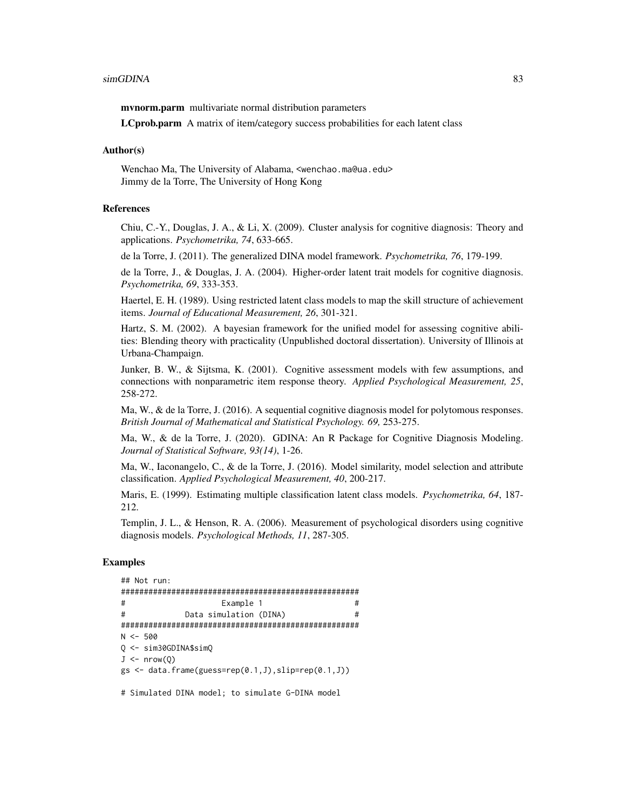mvnorm.parm multivariate normal distribution parameters

LCprob.parm A matrix of item/category success probabilities for each latent class

#### Author(s)

Wenchao Ma, The University of Alabama, <wenchao.ma@ua.edu> Jimmy de la Torre, The University of Hong Kong

## References

Chiu, C.-Y., Douglas, J. A., & Li, X. (2009). Cluster analysis for cognitive diagnosis: Theory and applications. *Psychometrika, 74*, 633-665.

de la Torre, J. (2011). The generalized DINA model framework. *Psychometrika, 76*, 179-199.

de la Torre, J., & Douglas, J. A. (2004). Higher-order latent trait models for cognitive diagnosis. *Psychometrika, 69*, 333-353.

Haertel, E. H. (1989). Using restricted latent class models to map the skill structure of achievement items. *Journal of Educational Measurement, 26*, 301-321.

Hartz, S. M. (2002). A bayesian framework for the unified model for assessing cognitive abilities: Blending theory with practicality (Unpublished doctoral dissertation). University of Illinois at Urbana-Champaign.

Junker, B. W., & Sijtsma, K. (2001). Cognitive assessment models with few assumptions, and connections with nonparametric item response theory. *Applied Psychological Measurement, 25*, 258-272.

Ma, W., & de la Torre, J. (2016). A sequential cognitive diagnosis model for polytomous responses. *British Journal of Mathematical and Statistical Psychology. 69,* 253-275.

Ma, W., & de la Torre, J. (2020). GDINA: An R Package for Cognitive Diagnosis Modeling. *Journal of Statistical Software, 93(14)*, 1-26.

Ma, W., Iaconangelo, C., & de la Torre, J. (2016). Model similarity, model selection and attribute classification. *Applied Psychological Measurement, 40*, 200-217.

Maris, E. (1999). Estimating multiple classification latent class models. *Psychometrika, 64*, 187- 212.

Templin, J. L., & Henson, R. A. (2006). Measurement of psychological disorders using cognitive diagnosis models. *Psychological Methods, 11*, 287-305.

#### Examples

```
## Not run:
####################################################
# Example 1 #
# Data simulation (DINA) #
####################################################
N < -500Q <- sim30GDINA$simQ
J \leftarrow \text{nrow}(0)gs \leftarrow data-frame(guess=rep(0.1, J), slip=rep(0.1, J))
```
# Simulated DINA model; to simulate G-DINA model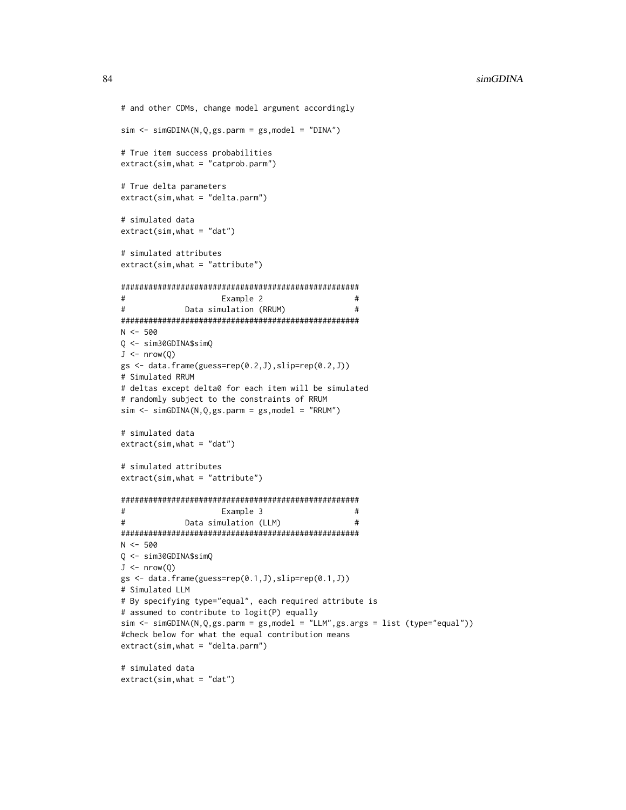```
# and other CDMs, change model argument accordingly
sim < simGDINA(N,Q,gs.parm = gs,model = "DINA")
# True item success probabilities
extract(sim, what = "catprob. parm")# True delta parameters
extract(sim, what = "delta.parm")# simulated data
extract(sim, what = "dat")# simulated attributes
extract(sim, what = "attribute")\pmb{\pm}Example 2
                                              #\pm#Data simulation (RRUM)
N < -5000 \le -\sin 30GDINA$simQ
J \leftarrow \text{nrow}(Q)gs \leftarrow data.frame(guess=rep(0.2, J),slip=rep(0.2, J))
# Simulated RRUM
# deltas except delta0 for each item will be simulated
# randomly subject to the constraints of RRUM
sim < simGDINA(N,Q,gs.parm = gs,model = "RRUM")
# simulated data
extract(sim, what = "dat")# simulated attributes
extract(sim, what = "attribute")##Example 3
#Data simulation (LLM)
                                              #N < -500Q \le -\sin 30GDINA$simQ
J \leftarrow \text{nrow}(Q)gs \leftarrow data-frame(guess=rep(0.1, J), slip=rep(0.1, J))# Simulated LLM
# By specifying type="equal", each required attribute is
# assumed to contribute to logit(P) equally
sim \le simGDINA(N,Q,gs.parm = gs,model = "LLM",gs.args = list (type="equal"))
#check below for what the equal contribution means
extract(sim, what = "delta.parm")# simulated data
extract(sim, what = "dat")
```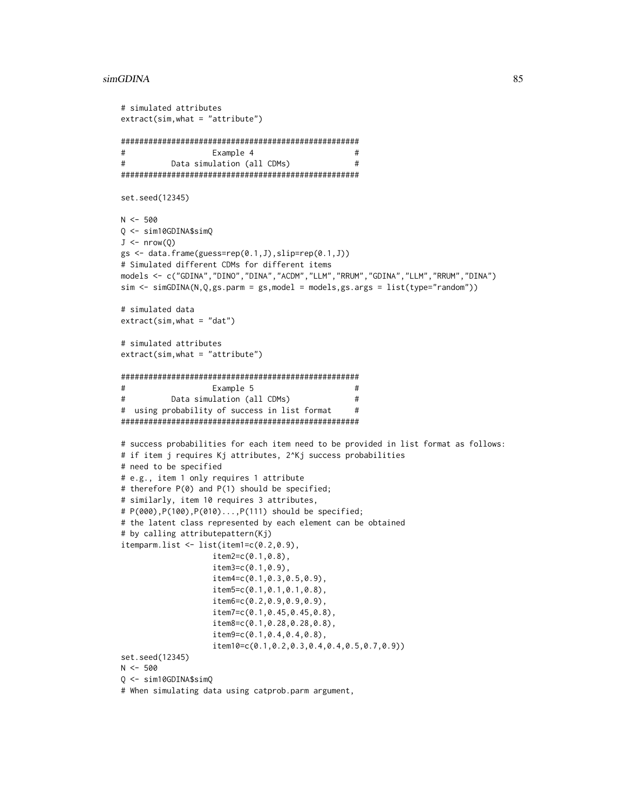```
# simulated attributes
extract(sim, what = "attribute")\pmb{\pm}#Example 4
#\pmData simulation (all CDMs)
set.seed(12345)
N < -500Q <- sim10GDINA$simQ
J \leftarrow \text{nrow}(Q)gs \leftarrow data.frame(guess=rep(0.1, J), slip=rep(0.1, J))# Simulated different CDMs for different items
models <- c("GDINA","DINO","DINA","ACDM","LLM","RRUM","GDINA","LLM","RRUM","DINA")
sim <- simGDINA(N,Q,gs.parm = gs,model = models,gs.args = list(type="random"))
simulated data
extract(sim, what = "dat")# simulated attributes
extract(sim, what = "attribute")#Example 5
                                               #\#Data simulation (all CDMs)
                                               ## using probability of success in list format
                                               \## success probabilities for each item need to be provided in list format as follows:
# if item j requires Kj attributes, 2^Kj success probabilities
# need to be specified
# e.g., item 1 only requires 1 attribute
# therefore P(0) and P(1) should be specified;
# similarly, item 10 requires 3 attributes,
# P(000), P(100), P(010)..., P(111) should be specified;
# the latent class represented by each element can be obtained
# by calling attributepattern(Kj)
itemparm.list <- list(item1=c(0.2, 0.9),
                  item2 = c(0.1, 0.8),
                  item3 = c(0.1, 0.9),item4=c(0.1, 0.3, 0.5, 0.9),
                  item5=c(0.1, 0.1, 0.1, 0.8),item6 = c(0.2, 0.9, 0.9, 0.9),item7 = c(0.1, 0.45, 0.45, 0.8),
                  item8=c(0.1, 0.28, 0.28, 0.8),item9=c(0.1, 0.4, 0.4, 0.8),item10 = c(0.1, 0.2, 0.3, 0.4, 0.4, 0.5, 0.7, 0.9))set.seed(12345)
N < -500Q <- sim10GDINA$simQ
# When simulating data using catprob.parm argument,
```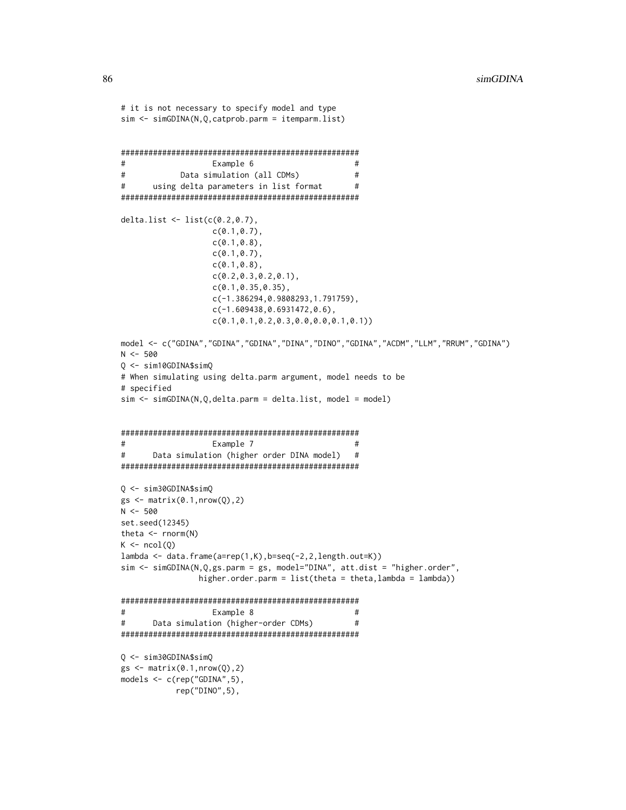```
# it is not necessary to specify model and type
sim \leftarrow simGDINA(N, Q, catprob.parent = itemparam.list)\pmExample 6
                                            #\#Data simulation (all CDMs)
                                            #using delta parameters in list format
                                            ##delta.list <- list(c(0.2, 0.7)),c(0.1, 0.7),
                 c(0.1, 0.8),
                 c(0.1, 0.7),
                 c(0.1, 0.8),
                 c(0.2, 0.3, 0.2, 0.1),c(0.1, 0.35, 0.35),
                 c(-1.386294, 0.9808293, 1.791759),c(-1.609438, 0.6931472, 0.6),
                 c(0.1, 0.1, 0.2, 0.3, 0.0, 0.0, 0.1, 0.1))model <- c("GDINA", "GDINA", "GDINA", "DINA", "DINO", "GDINA", "ACDM", "LLM", "RRUM", "GDINA")
N < -500Q \le - \sin 10GDINA$simQ# When simulating using delta.parm argument, model needs to be
# specified
sim \leftarrow simGDINA(N,Q,delta.parm = delta.list, model = model)
\pmb{\pm}Example 7
                                            #\pmData simulation (higher order DINA model)
                                            #Q \le -\sin 30GDINA$simQ
gs \leftarrow matrix(0.1, nrow(Q), 2)N < -500set.seed(12345)
theta \leq rnorm(N)
K \leftarrow \text{ncol}(Q)lambda \leftarrow data frame(a=rep(1,K), b=seq(-2,2, length.out=K))sim <- simGDINA(N,Q,gs.parm = gs, model="DINA", att.dist = "higher.order",
              higher.order.parm = list(theta = theta, lambda = lambda))#Example 8
                                            #Data simulation (higher-order CDMs)
##0 \le -\sin 30GDINA$simO
gs \leftarrow matrix(0.1, nrow(Q), 2)models \leq c(rep("GDINA", 5),
          rep("DINO", 5),
```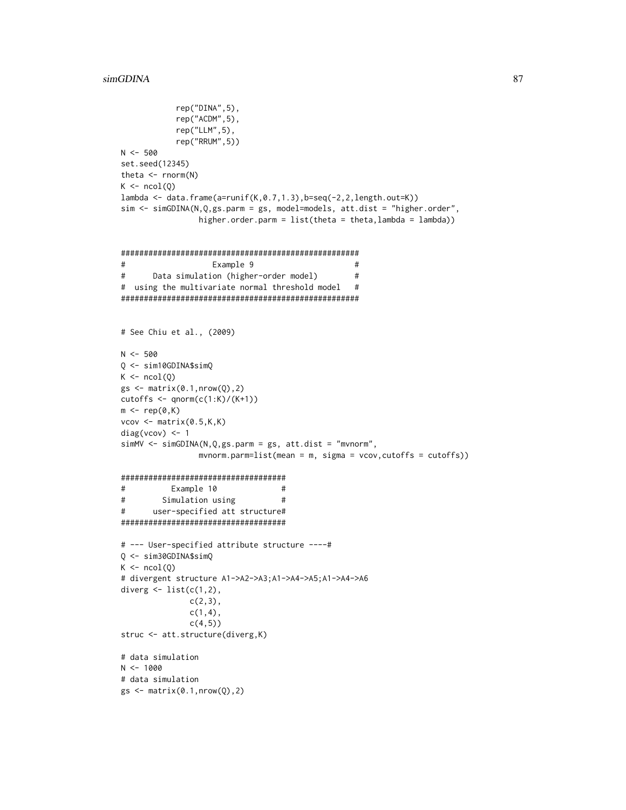```
rep("DINA", 5),rep("ACDM",5),
           rep("LLM", 5),
           rep("RRUM", 5))
N < -500set.seed(12345)
theta \leq rnorm(N)
K \leftarrow \text{ncol}(Q)lambda <- data.frame(a=runif(K, 0.7, 1.3), b=seq(-2, 2, length.out=K))
sim < simGDINA(N,Q,gs.parm = gs, model=models, att.dist = "higher.order",
                higher.order.parm = list(theta = theta, lambda = lambda))\#Example 9
                                                #\#Data simulation (higher-order model)
                                                ## using the multivariate normal threshold model
                                               ## See Chiu et al., (2009)
N < -500Q \le - \sin 10GDINA$simQK \leftarrow \text{ncol}(Q)gs \leftarrow matrix(0.1, nrow(Q), 2)cutoffs <- qnorm(c(1:K)/(K+1))m \leftarrow rep(0,K)vcov \leftarrow matrix(0.5, K, K)diag(vcov) <- 1
simMV \leftarrow simGDINA(N,Q,gs.parm = gs, att.dist = "mvnorm",mvnorm.parm=list(mean = m, sigma = vcov,cutoffs = cutoffs))
#Example 10
                                 ##Simulation using
                                 ##user-specified att structure#
# --- User-specified attribute structure ----#
Q \le -\sin 30GDINA$simQ
K \leftarrow \text{ncol}(Q)# divergent structure A1->A2->A3;A1->A4->A5;A1->A4->A6
diverg \leq list(c(1,2),
              c(2,3),
              c(1,4),
              c(4,5)struc <- att.structure(diverg,K)
# data simulation
N < -1000# data simulation
gs \leftarrow matrix(0.1, nrow(Q), 2)
```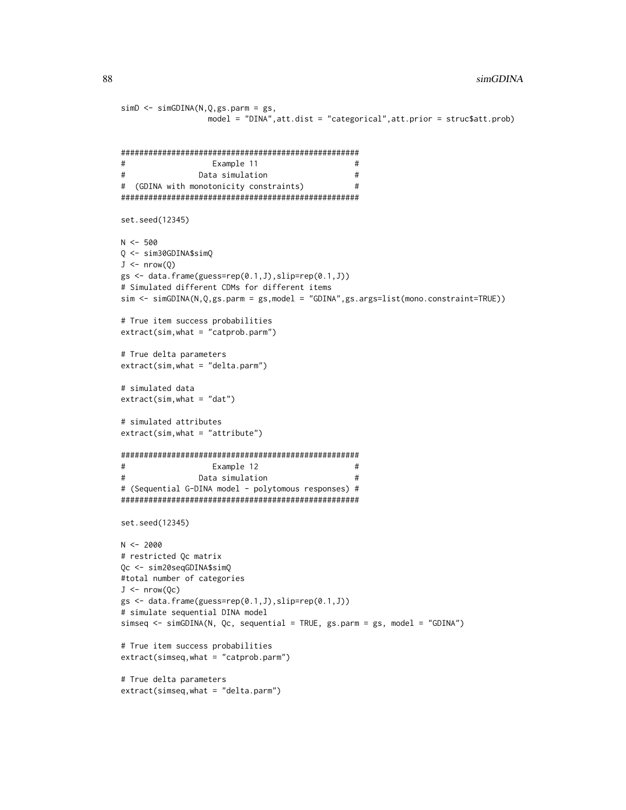```
simD \leftarrow simGDINA(N,Q,gs.parm = gs,model = "DINA", att.dist = "categorical", att.prior = struc$att.prob)
#Example 11
                                              ##\#Data simulation
                                              ## (GDINA with monotonicity constraints)
set.seed(12345)
N < -500Q <- sim30GDINA$simQ
J \leftarrow \text{nrow}(Q)gs \leftarrow data.frame(guess=rep(0.1, J), slip=rep(0.1, J))# Simulated different CDMs for different items
sim \leftarrow simGDINA(N,Q,gs.parm = gs,model = "GDINA",gs.args=list(mono.constraint=TRUE))
# True item success probabilities
extract(sim, what = "catprob.parm")# True delta parameters
extract(sim, what = "delta.parm")# simulated data
extract(sim, what = "dat")# simulated attributes
extract(sim, what = "attribute")#Example 12
                                              ##Data simulation
                                              ## (Sequential G-DINA model - polytomous responses) #
set.seed(12345)
N < -2000# restricted Qc matrix
Qc <- sim20seqGDINA$simQ
#total number of categories
J \leftarrow \text{nrow}(\text{Qc})gs \leftarrow data-frame(guess=rep(0.1, J), slip=rep(0.1, J))# simulate sequential DINA model
simseq <- simGDINA(N, Qc, sequential = TRUE, gs.parm = gs, model = "GDINA")
# True item success probabilities
extract(simesq, what = "catprob.parm")# True delta parameters
extract(simesq, what = "delta.parm")
```
88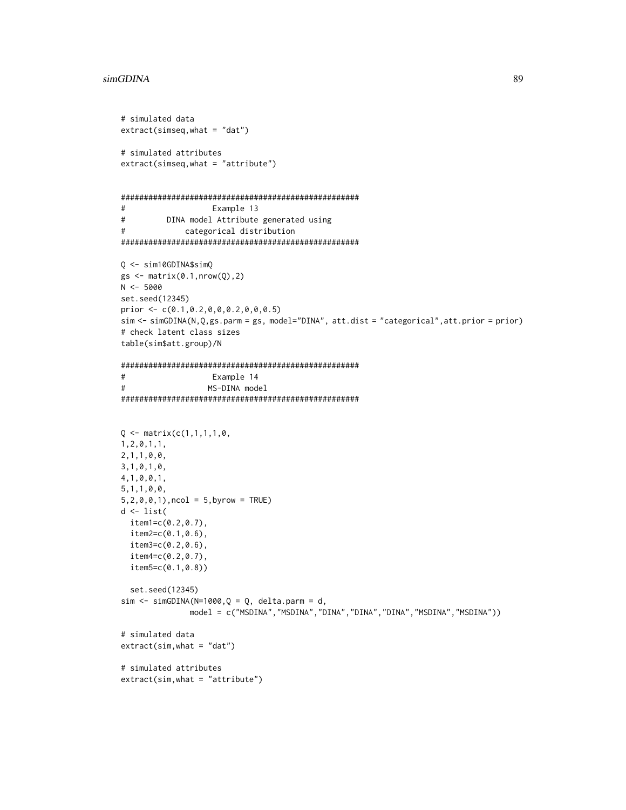```
# simulated data
extract(simseq, what = "dat")# simulated attributes
extract(simesq, what = "attribute")#Example 13
\#DINA model Attribute generated using
            categorical distribution
#Q \le -\sin 10GDINA$simQ
gs \leftarrow matrix(0.1, nrow(Q), 2)N < -5000set.seed(12345)
prior <- c(0.1, 0.2, 0, 0, 0.2, 0, 0, 0.5)sim <- simGDINA(N,Q,gs.parm = gs, model="DINA", att.dist = "categorical", att.prior = prior)
# check latent class sizes
table(sim$att.group)/N
#Example 14
\#MS-DINA model
Q \leftarrow matrix(c(1,1,1,1,0,1, 2, 0, 1, 1,2, 1, 1, 0, 0,3, 1, 0, 1, 0,4, 1, 0, 0, 1,5, 1, 1, 0, 0,5, 2, 0, 0, 1), ncol = 5, byrow = TRUE)
d \leftarrow list(item1 = c(0.2, 0.7),
 item2=c(0.1, 0.6),
 item3 = c(0.2, 0.6),
 item4 = c(0.2, 0.7),item5=c(0.1, 0.8))set.seed(12345)
sim < -simGDINA(N=1000,Q = Q, delta.parm = d,
             model = c("MSDINA","MSDINA","DINA","DINA","DINA","MSDINA","MSDINA"))
# simulated data
extract(sim, what = "dat")# simulated attributes
extract(sim, what = "attribute")
```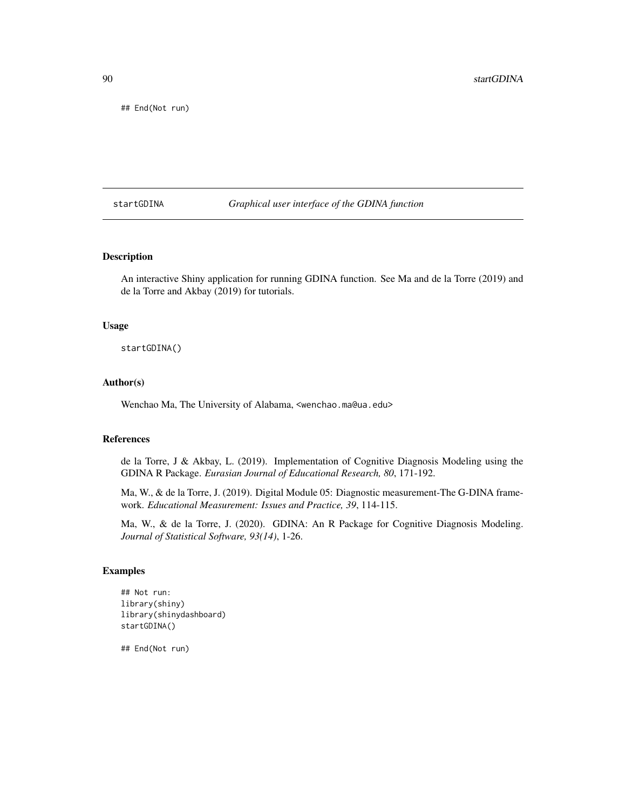<span id="page-89-0"></span>## End(Not run)

startGDINA *Graphical user interface of the GDINA function*

## Description

An interactive Shiny application for running GDINA function. See Ma and de la Torre (2019) and de la Torre and Akbay (2019) for tutorials.

#### Usage

startGDINA()

#### Author(s)

Wenchao Ma, The University of Alabama, <wenchao.ma@ua.edu>

## References

de la Torre, J & Akbay, L. (2019). Implementation of Cognitive Diagnosis Modeling using the GDINA R Package. *Eurasian Journal of Educational Research, 80*, 171-192.

Ma, W., & de la Torre, J. (2019). Digital Module 05: Diagnostic measurement-The G-DINA framework. *Educational Measurement: Issues and Practice, 39*, 114-115.

Ma, W., & de la Torre, J. (2020). GDINA: An R Package for Cognitive Diagnosis Modeling. *Journal of Statistical Software, 93(14)*, 1-26.

#### Examples

```
## Not run:
library(shiny)
library(shinydashboard)
startGDINA()
```
## End(Not run)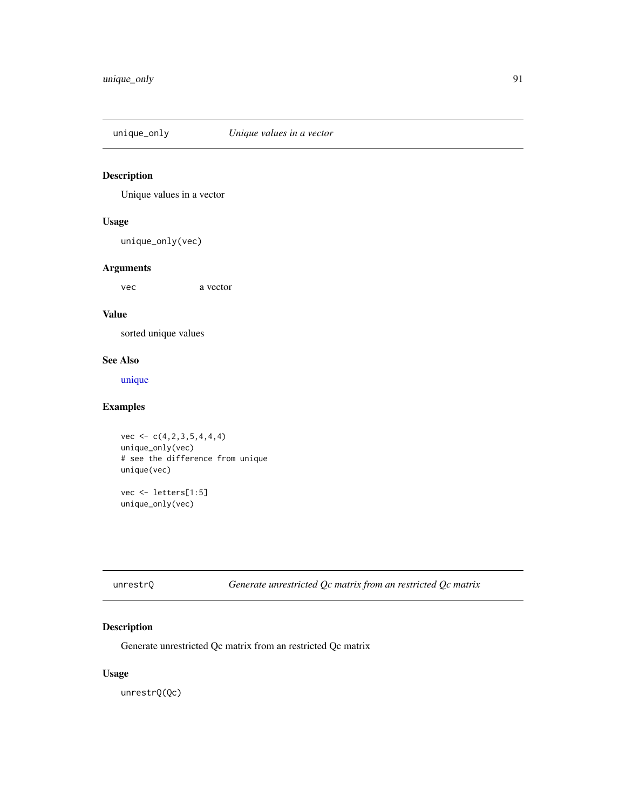<span id="page-90-0"></span>

Unique values in a vector

## Usage

unique\_only(vec)

## Arguments

vec a vector

## Value

sorted unique values

## See Also

[unique](#page-0-0)

## Examples

vec  $\leq$   $c(4,2,3,5,4,4,4)$ unique\_only(vec) # see the difference from unique unique(vec)

vec <- letters[1:5] unique\_only(vec)

unrestrQ *Generate unrestricted Qc matrix from an restricted Qc matrix*

## Description

Generate unrestricted Qc matrix from an restricted Qc matrix

## Usage

unrestrQ(Qc)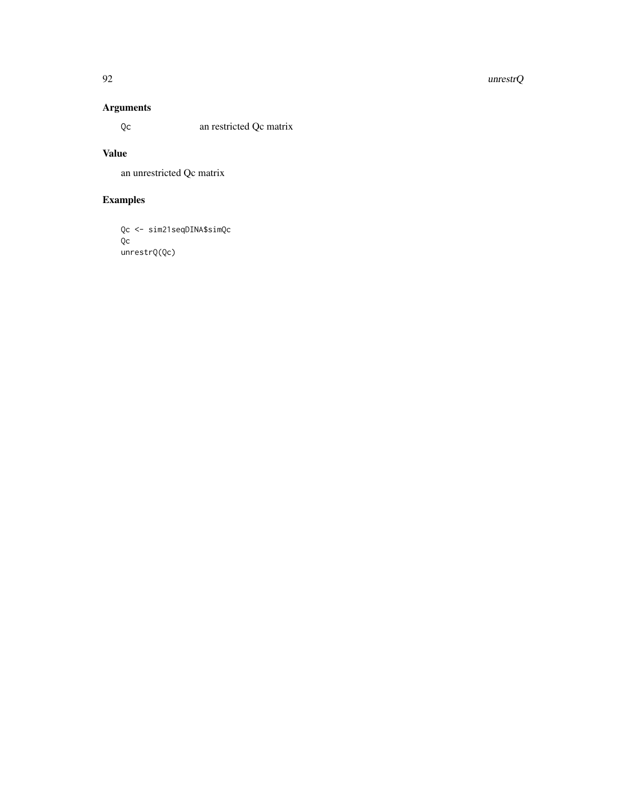#### $92$  unrestrQ

## Arguments

Qc an restricted Qc matrix

## Value

an unrestricted Qc matrix

# Examples

```
Qc <- sim21seqDINA$simQc
Qc
unrestrQ(Qc)
```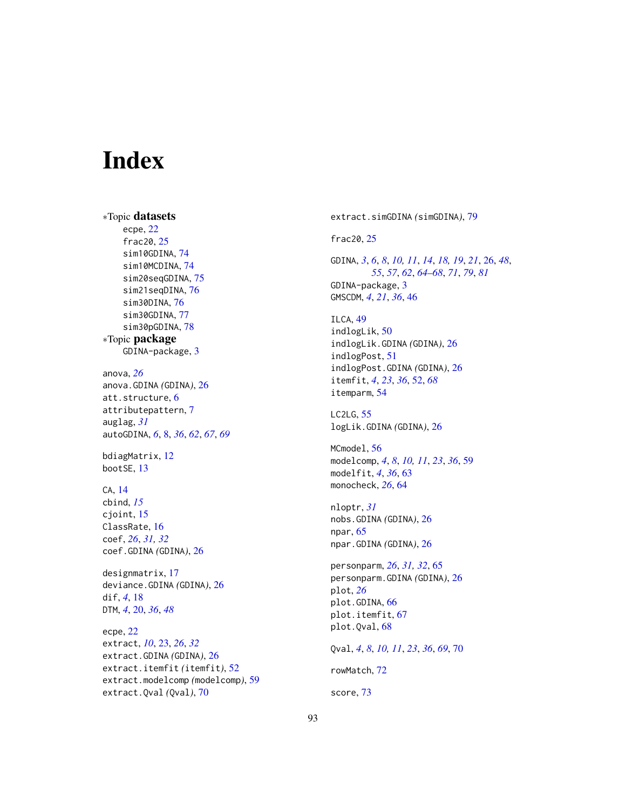# Index

∗Topic datasets ecpe, [22](#page-21-0) frac20, [25](#page-24-0) sim10GDINA, [74](#page-73-0) sim10MCDINA, [74](#page-73-0) sim20seqGDINA, [75](#page-74-0) sim21seqDINA, [76](#page-75-0) sim30DINA, [76](#page-75-0) sim30GDINA, [77](#page-76-0) sim30pGDINA, [78](#page-77-0) ∗Topic package GDINA-package, [3](#page-2-0) anova, *[26](#page-25-1)* anova.GDINA *(*GDINA*)*, [26](#page-25-1) att.structure, [6](#page-5-0) attributepattern, [7](#page-6-0) auglag, *[31](#page-30-0)* autoGDINA, *[6](#page-5-0)*, [8,](#page-7-0) *[36](#page-35-0)*, *[62](#page-61-0)*, *[67](#page-66-0)*, *[69](#page-68-0)* bdiagMatrix, [12](#page-11-0) bootSE, [13](#page-12-0) CA, [14](#page-13-0) cbind, *[15](#page-14-0)* cjoint, [15](#page-14-0) ClassRate, [16](#page-15-0) coef, *[26](#page-25-1)*, *[31,](#page-30-0) [32](#page-31-0)* coef.GDINA *(*GDINA*)*, [26](#page-25-1) designmatrix, [17](#page-16-0) deviance.GDINA *(*GDINA*)*, [26](#page-25-1) dif, *[4](#page-3-0)*, [18](#page-17-0) DTM, *[4](#page-3-0)*, [20,](#page-19-0) *[36](#page-35-0)*, *[48](#page-47-0)* ecpe, [22](#page-21-0) extract, *[10](#page-9-0)*, [23,](#page-22-0) *[26](#page-25-1)*, *[32](#page-31-0)* extract.GDINA *(*GDINA*)*, [26](#page-25-1) extract.itemfit *(*itemfit*)*, [52](#page-51-0) extract.modelcomp *(*modelcomp*)*, [59](#page-58-0)

extract.Qval *(*Qval*)*, [70](#page-69-0)

extract.simGDINA *(*simGDINA*)*, [79](#page-78-0) frac20, [25](#page-24-0) GDINA, *[3](#page-2-0)*, *[6](#page-5-0)*, *[8](#page-7-0)*, *[10,](#page-9-0) [11](#page-10-0)*, *[14](#page-13-0)*, *[18,](#page-17-0) [19](#page-18-0)*, *[21](#page-20-0)*, [26,](#page-25-1) *[48](#page-47-0)*, *[55](#page-54-0)*, *[57](#page-56-0)*, *[62](#page-61-0)*, *[64](#page-63-0)[–68](#page-67-0)*, *[71](#page-70-0)*, *[79](#page-78-0)*, *[81](#page-80-0)* GDINA-package, [3](#page-2-0) GMSCDM, *[4](#page-3-0)*, *[21](#page-20-0)*, *[36](#page-35-0)*, [46](#page-45-0) ILCA, [49](#page-48-0) indlogLik, [50](#page-49-0) indlogLik.GDINA *(*GDINA*)*, [26](#page-25-1) indlogPost, [51](#page-50-0) indlogPost.GDINA *(*GDINA*)*, [26](#page-25-1) itemfit, *[4](#page-3-0)*, *[23](#page-22-0)*, *[36](#page-35-0)*, [52,](#page-51-0) *[68](#page-67-0)* itemparm, [54](#page-53-0) LC2LG, [55](#page-54-0) logLik.GDINA *(*GDINA*)*, [26](#page-25-1) MCmodel, [56](#page-55-0) modelcomp, *[4](#page-3-0)*, *[8](#page-7-0)*, *[10,](#page-9-0) [11](#page-10-0)*, *[23](#page-22-0)*, *[36](#page-35-0)*, [59](#page-58-0) modelfit, *[4](#page-3-0)*, *[36](#page-35-0)*, [63](#page-62-0) monocheck, *[26](#page-25-1)*, [64](#page-63-0) nloptr, *[31](#page-30-0)* nobs.GDINA *(*GDINA*)*, [26](#page-25-1) npar, [65](#page-64-0) npar.GDINA *(*GDINA*)*, [26](#page-25-1) personparm, *[26](#page-25-1)*, *[31,](#page-30-0) [32](#page-31-0)*, [65](#page-64-0) personparm.GDINA *(*GDINA*)*, [26](#page-25-1) plot, *[26](#page-25-1)* plot.GDINA, [66](#page-65-0) plot.itemfit, [67](#page-66-0) plot.Qval, [68](#page-67-0) Qval, *[4](#page-3-0)*, *[8](#page-7-0)*, *[10,](#page-9-0) [11](#page-10-0)*, *[23](#page-22-0)*, *[36](#page-35-0)*, *[69](#page-68-0)*, [70](#page-69-0) rowMatch, [72](#page-71-0) score, [73](#page-72-0)